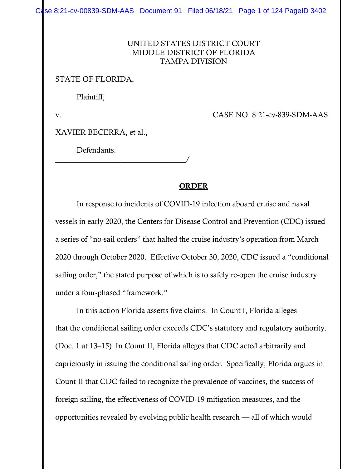Case 8:21-cv-00839-SDM-AAS Document 91 Filed 06/18/21 Page 1 of 124 PageID 3402

### UNITED STATES DISTRICT COURT MIDDLE DISTRICT OF FLORIDA TAMPA DIVISION

### STATE OF FLORIDA,

Plaintiff,

v. CASE NO. 8:21-cv-839-SDM-AAS

XAVIER BECERRA, et al.,

\_\_\_\_\_\_\_\_\_\_\_\_\_\_\_\_\_\_\_\_\_\_\_\_\_\_\_\_\_\_\_\_\_\_/

Defendants.

#### ORDER

 In response to incidents of COVID-19 infection aboard cruise and naval vessels in early 2020, the Centers for Disease Control and Prevention (CDC) issued a series of "no-sail orders" that halted the cruise industry's operation from March 2020 through October 2020. Effective October 30, 2020, CDC issued a "conditional sailing order," the stated purpose of which is to safely re-open the cruise industry under a four-phased "framework."

 In this action Florida asserts five claims. In Count I, Florida alleges that the conditional sailing order exceeds CDC's statutory and regulatory authority. (Doc. 1 at 13–15) In Count II, Florida alleges that CDC acted arbitrarily and capriciously in issuing the conditional sailing order. Specifically, Florida argues in Count II that CDC failed to recognize the prevalence of vaccines, the success of foreign sailing, the effectiveness of COVID-19 mitigation measures, and the opportunities revealed by evolving public health research — all of which would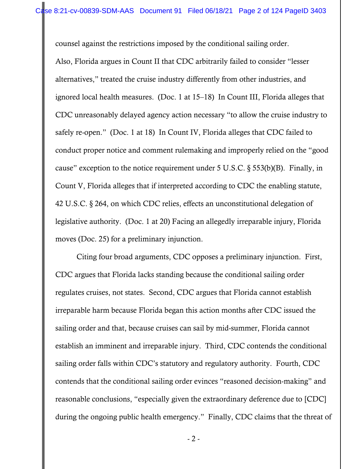counsel against the restrictions imposed by the conditional sailing order. Also, Florida argues in Count II that CDC arbitrarily failed to consider "lesser alternatives," treated the cruise industry differently from other industries, and ignored local health measures. (Doc. 1 at 15–18) In Count III, Florida alleges that CDC unreasonably delayed agency action necessary "to allow the cruise industry to safely re-open." (Doc. 1 at 18) In Count IV, Florida alleges that CDC failed to conduct proper notice and comment rulemaking and improperly relied on the "good cause" exception to the notice requirement under 5 U.S.C. § 553(b)(B). Finally, in Count V, Florida alleges that if interpreted according to CDC the enabling statute, 42 U.S.C. § 264, on which CDC relies, effects an unconstitutional delegation of legislative authority. (Doc. 1 at 20) Facing an allegedly irreparable injury, Florida moves (Doc. 25) for a preliminary injunction.

 Citing four broad arguments, CDC opposes a preliminary injunction. First, CDC argues that Florida lacks standing because the conditional sailing order regulates cruises, not states. Second, CDC argues that Florida cannot establish irreparable harm because Florida began this action months after CDC issued the sailing order and that, because cruises can sail by mid-summer, Florida cannot establish an imminent and irreparable injury. Third, CDC contends the conditional sailing order falls within CDC's statutory and regulatory authority. Fourth, CDC contends that the conditional sailing order evinces "reasoned decision-making" and reasonable conclusions, "especially given the extraordinary deference due to [CDC] during the ongoing public health emergency." Finally, CDC claims that the threat of

- 2 -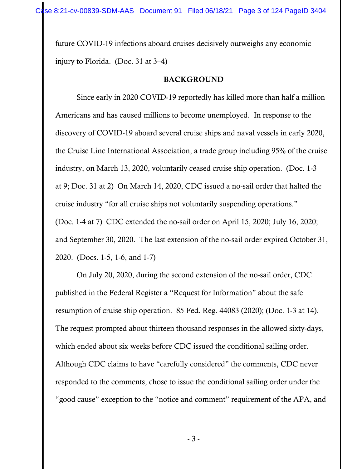future COVID-19 infections aboard cruises decisively outweighs any economic injury to Florida. (Doc. 31 at 3–4)

#### BACKGROUND

Since early in 2020 COVID-19 reportedly has killed more than half a million Americans and has caused millions to become unemployed. In response to the discovery of COVID-19 aboard several cruise ships and naval vessels in early 2020, the Cruise Line International Association, a trade group including 95% of the cruise industry, on March 13, 2020, voluntarily ceased cruise ship operation. (Doc. 1-3 at 9; Doc. 31 at 2) On March 14, 2020, CDC issued a no-sail order that halted the cruise industry "for all cruise ships not voluntarily suspending operations." (Doc. 1-4 at 7) CDC extended the no-sail order on April 15, 2020; July 16, 2020; and September 30, 2020. The last extension of the no-sail order expired October 31, 2020. (Docs. 1-5, 1-6, and 1-7)

On July 20, 2020, during the second extension of the no-sail order, CDC published in the Federal Register a "Request for Information" about the safe resumption of cruise ship operation. 85 Fed. Reg. 44083 (2020); (Doc. 1-3 at 14). The request prompted about thirteen thousand responses in the allowed sixty-days, which ended about six weeks before CDC issued the conditional sailing order. Although CDC claims to have "carefully considered" the comments, CDC never responded to the comments, chose to issue the conditional sailing order under the "good cause" exception to the "notice and comment" requirement of the APA, and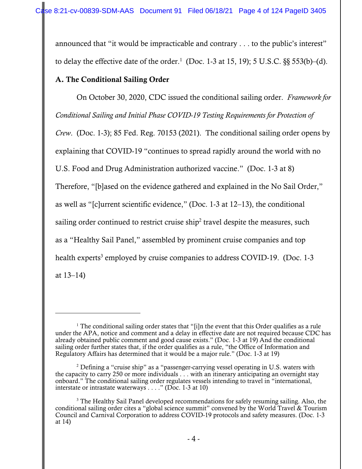announced that "it would be impracticable and contrary . . . to the public's interest" to delay the effective date of the order.<sup>1</sup> (Doc. 1-3 at 15, 19); 5 U.S.C.  $\S$ § 553(b)–(d).

## A. The Conditional Sailing Order

 On October 30, 2020, CDC issued the conditional sailing order. *Framework for Conditional Sailing and Initial Phase COVID-19 Testing Requirements for Protection of Crew*. (Doc. 1-3); 85 Fed. Reg. 70153 (2021). The conditional sailing order opens by explaining that COVID-19 "continues to spread rapidly around the world with no U.S. Food and Drug Administration authorized vaccine." (Doc. 1-3 at 8) Therefore, "[b]ased on the evidence gathered and explained in the No Sail Order," as well as "[c]urrent scientific evidence," (Doc. 1-3 at 12–13), the conditional sailing order continued to restrict cruise ship<sup>2</sup> travel despite the measures, such as a "Healthy Sail Panel," assembled by prominent cruise companies and top health experts<sup>3</sup> employed by cruise companies to address COVID-19. (Doc. 1-3 at 13–14)

<sup>&</sup>lt;sup>1</sup> The conditional sailing order states that "[i]n the event that this Order qualifies as a rule under the APA, notice and comment and a delay in effective date are not required because CDC has already obtained public comment and good cause exists." (Doc. 1-3 at 19) And the conditional sailing order further states that, if the order qualifies as a rule, "the Office of Information and Regulatory Affairs has determined that it would be a major rule." (Doc. 1-3 at 19)

<sup>&</sup>lt;sup>2</sup> Defining a "cruise ship" as a "passenger-carrying vessel operating in U.S. waters with the capacity to carry 250 or more individuals . . . with an itinerary anticipating an overnight stay onboard." The conditional sailing order regulates vessels intending to travel in "international, interstate or intrastate waterways . . . ." (Doc. 1-3 at 10)

<sup>&</sup>lt;sup>3</sup> The Healthy Sail Panel developed recommendations for safely resuming sailing. Also, the conditional sailing order cites a "global science summit" convened by the World Travel & Tourism Council and Carnival Corporation to address COVID-19 protocols and safety measures. (Doc. 1-3 at 14)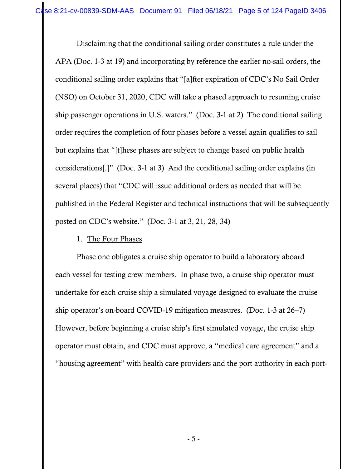Disclaiming that the conditional sailing order constitutes a rule under the APA (Doc. 1-3 at 19) and incorporating by reference the earlier no-sail orders, the conditional sailing order explains that "[a]fter expiration of CDC's No Sail Order (NSO) on October 31, 2020, CDC will take a phased approach to resuming cruise ship passenger operations in U.S. waters." (Doc. 3-1 at 2) The conditional sailing order requires the completion of four phases before a vessel again qualifies to sail but explains that "[t]hese phases are subject to change based on public health considerations[.]" (Doc. 3-1 at 3) And the conditional sailing order explains (in several places) that "CDC will issue additional orders as needed that will be published in the Federal Register and technical instructions that will be subsequently posted on CDC's website." (Doc. 3-1 at 3, 21, 28, 34)

## 1. The Four Phases

 Phase one obligates a cruise ship operator to build a laboratory aboard each vessel for testing crew members. In phase two, a cruise ship operator must undertake for each cruise ship a simulated voyage designed to evaluate the cruise ship operator's on-board COVID-19 mitigation measures. (Doc. 1-3 at 26–7) However, before beginning a cruise ship's first simulated voyage, the cruise ship operator must obtain, and CDC must approve, a "medical care agreement" and a "housing agreement" with health care providers and the port authority in each port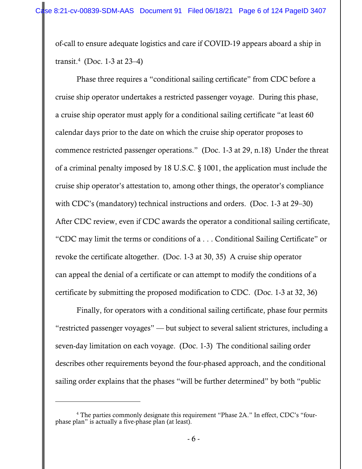of-call to ensure adequate logistics and care if COVID-19 appears aboard a ship in transit.<sup>4</sup> (Doc. 1-3 at 23–4)

Phase three requires a "conditional sailing certificate" from CDC before a cruise ship operator undertakes a restricted passenger voyage. During this phase, a cruise ship operator must apply for a conditional sailing certificate "at least 60 calendar days prior to the date on which the cruise ship operator proposes to commence restricted passenger operations." (Doc. 1-3 at 29, n.18) Under the threat of a criminal penalty imposed by 18 U.S.C. § 1001, the application must include the cruise ship operator's attestation to, among other things, the operator's compliance with CDC's (mandatory) technical instructions and orders. (Doc. 1-3 at 29–30) After CDC review, even if CDC awards the operator a conditional sailing certificate, "CDC may limit the terms or conditions of a . . . Conditional Sailing Certificate" or revoke the certificate altogether. (Doc. 1-3 at 30, 35) A cruise ship operator can appeal the denial of a certificate or can attempt to modify the conditions of a certificate by submitting the proposed modification to CDC. (Doc. 1-3 at 32, 36)

Finally, for operators with a conditional sailing certificate, phase four permits "restricted passenger voyages" — but subject to several salient strictures, including a seven-day limitation on each voyage. (Doc. 1-3) The conditional sailing order describes other requirements beyond the four-phased approach, and the conditional sailing order explains that the phases "will be further determined" by both "public

<sup>&</sup>lt;sup>4</sup> The parties commonly designate this requirement "Phase 2A." In effect, CDC's "fourphase plan" is actually a five-phase plan (at least).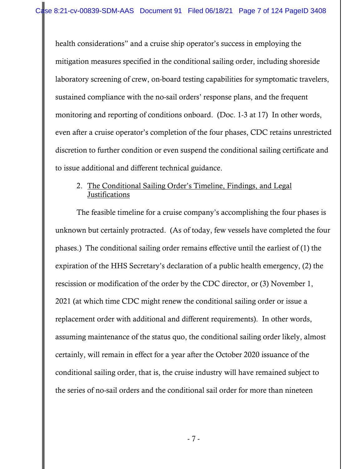health considerations" and a cruise ship operator's success in employing the mitigation measures specified in the conditional sailing order, including shoreside laboratory screening of crew, on-board testing capabilities for symptomatic travelers, sustained compliance with the no-sail orders' response plans, and the frequent monitoring and reporting of conditions onboard. (Doc. 1-3 at 17) In other words, even after a cruise operator's completion of the four phases, CDC retains unrestricted discretion to further condition or even suspend the conditional sailing certificate and to issue additional and different technical guidance.

## 2. The Conditional Sailing Order's Timeline, Findings, and Legal **Justifications**

The feasible timeline for a cruise company's accomplishing the four phases is unknown but certainly protracted. (As of today, few vessels have completed the four phases.) The conditional sailing order remains effective until the earliest of (1) the expiration of the HHS Secretary's declaration of a public health emergency, (2) the rescission or modification of the order by the CDC director, or (3) November 1, 2021 (at which time CDC might renew the conditional sailing order or issue a replacement order with additional and different requirements). In other words, assuming maintenance of the status quo, the conditional sailing order likely, almost certainly, will remain in effect for a year after the October 2020 issuance of the conditional sailing order, that is, the cruise industry will have remained subject to the series of no-sail orders and the conditional sail order for more than nineteen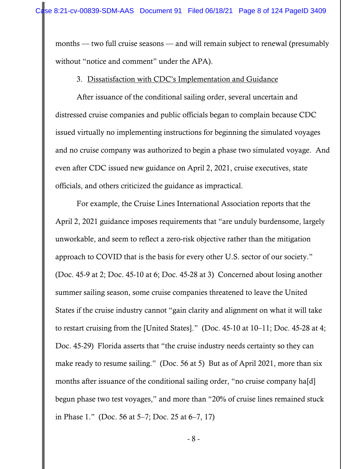months — two full cruise seasons — and will remain subject to renewal (presumably without "notice and comment" under the APA).

## 3. Dissatisfaction with CDC's Implementation and Guidance

After issuance of the conditional sailing order, several uncertain and distressed cruise companies and public officials began to complain because CDC issued virtually no implementing instructions for beginning the simulated voyages and no cruise company was authorized to begin a phase two simulated voyage. And even after CDC issued new guidance on April 2, 2021, cruise executives, state officials, and others criticized the guidance as impractical.

 For example, the Cruise Lines International Association reports that the April 2, 2021 guidance imposes requirements that "are unduly burdensome, largely unworkable, and seem to reflect a zero-risk objective rather than the mitigation approach to COVID that is the basis for every other U.S. sector of our society." (Doc. 45-9 at 2; Doc. 45-10 at 6; Doc. 45-28 at 3) Concerned about losing another summer sailing season, some cruise companies threatened to leave the United States if the cruise industry cannot "gain clarity and alignment on what it will take to restart cruising from the [United States]." (Doc. 45-10 at 10–11; Doc. 45-28 at 4; Doc. 45-29) Florida asserts that "the cruise industry needs certainty so they can make ready to resume sailing." (Doc. 56 at 5) But as of April 2021, more than six months after issuance of the conditional sailing order, "no cruise company hald begun phase two test voyages," and more than "20% of cruise lines remained stuck in Phase 1." (Doc. 56 at 5–7; Doc. 25 at 6–7, 17)

- 8 -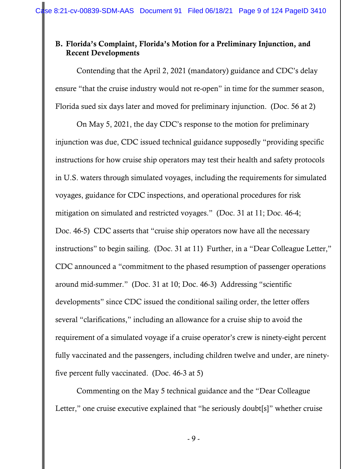## B. Florida's Complaint, Florida's Motion for a Preliminary Injunction, and Recent Developments

 Contending that the April 2, 2021 (mandatory) guidance and CDC's delay ensure "that the cruise industry would not re-open" in time for the summer season, Florida sued six days later and moved for preliminary injunction. (Doc. 56 at 2)

 On May 5, 2021, the day CDC's response to the motion for preliminary injunction was due, CDC issued technical guidance supposedly "providing specific instructions for how cruise ship operators may test their health and safety protocols in U.S. waters through simulated voyages, including the requirements for simulated voyages, guidance for CDC inspections, and operational procedures for risk mitigation on simulated and restricted voyages." (Doc. 31 at 11; Doc. 46-4; Doc. 46-5) CDC asserts that "cruise ship operators now have all the necessary instructions" to begin sailing. (Doc. 31 at 11) Further, in a "Dear Colleague Letter," CDC announced a "commitment to the phased resumption of passenger operations around mid-summer." (Doc. 31 at 10; Doc. 46-3) Addressing "scientific developments" since CDC issued the conditional sailing order, the letter offers several "clarifications," including an allowance for a cruise ship to avoid the requirement of a simulated voyage if a cruise operator's crew is ninety-eight percent fully vaccinated and the passengers, including children twelve and under, are ninetyfive percent fully vaccinated. (Doc. 46-3 at 5)

 Commenting on the May 5 technical guidance and the "Dear Colleague Letter," one cruise executive explained that "he seriously doubt<sup>[s]"</sup> whether cruise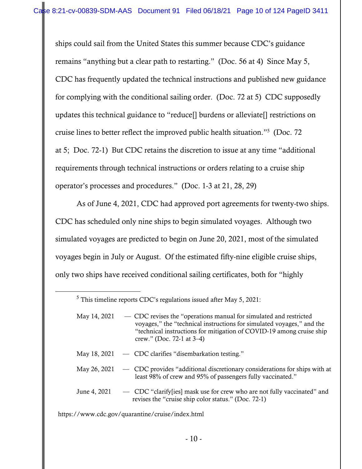ships could sail from the United States this summer because CDC's guidance remains "anything but a clear path to restarting." (Doc. 56 at 4) Since May 5, CDC has frequently updated the technical instructions and published new guidance for complying with the conditional sailing order. (Doc. 72 at 5) CDC supposedly updates this technical guidance to "reduce[] burdens or alleviate[] restrictions on cruise lines to better reflect the improved public health situation."5 (Doc. 72 at 5; Doc. 72-1) But CDC retains the discretion to issue at any time "additional requirements through technical instructions or orders relating to a cruise ship operator's processes and procedures." (Doc. 1-3 at 21, 28, 29)

 As of June 4, 2021, CDC had approved port agreements for twenty-two ships. CDC has scheduled only nine ships to begin simulated voyages. Although two simulated voyages are predicted to begin on June 20, 2021, most of the simulated voyages begin in July or August. Of the estimated fifty-nine eligible cruise ships, only two ships have received conditional sailing certificates, both for "highly

- May 18, 2021 CDC clarifies "disembarkation testing."
- May 26, 2021 CDC provides "additional discretionary considerations for ships with at least 98% of crew and 95% of passengers fully vaccinated."
- June 4, 2021 CDC "clarify[ies] mask use for crew who are not fully vaccinated" and revises the "cruise ship color status." (Doc. 72-1)

https://www.cdc.gov/quarantine/cruise/index.html

 $<sup>5</sup>$  This timeline reports CDC's regulations issued after May 5, 2021:</sup>

May 14, 2021 — CDC revises the "operations manual for simulated and restricted voyages," the "technical instructions for simulated voyages," and the "technical instructions for mitigation of COVID-19 among cruise ship crew." (Doc. 72-1 at 3–4)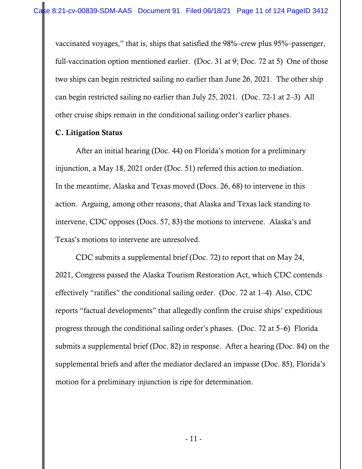vaccinated voyages," that is, ships that satisfied the 98%–crew plus 95%–passenger, full-vaccination option mentioned earlier. (Doc. 31 at 9; Doc. 72 at 5) One of those two ships can begin restricted sailing no earlier than June 26, 2021. The other ship can begin restricted sailing no earlier than July 25, 2021. (Doc. 72-1 at 2–3) All other cruise ships remain in the conditional sailing order's earlier phases.

## C. Litigation Status

 After an initial hearing (Doc. 44) on Florida's motion for a preliminary injunction, a May 18, 2021 order (Doc. 51) referred this action to mediation. In the meantime, Alaska and Texas moved (Docs. 26, 68) to intervene in this action. Arguing, among other reasons, that Alaska and Texas lack standing to intervene, CDC opposes (Docs. 57, 83) the motions to intervene. Alaska's and Texas's motions to intervene are unresolved.

 CDC submits a supplemental brief (Doc. 72) to report that on May 24, 2021, Congress passed the Alaska Tourism Restoration Act, which CDC contends effectively "ratifies" the conditional sailing order. (Doc. 72 at 1–4) Also, CDC reports "factual developments" that allegedly confirm the cruise ships' expeditious progress through the conditional sailing order's phases. (Doc. 72 at 5–6) Florida submits a supplemental brief (Doc. 82) in response. After a hearing (Doc. 84) on the supplemental briefs and after the mediator declared an impasse (Doc. 85), Florida's motion for a preliminary injunction is ripe for determination.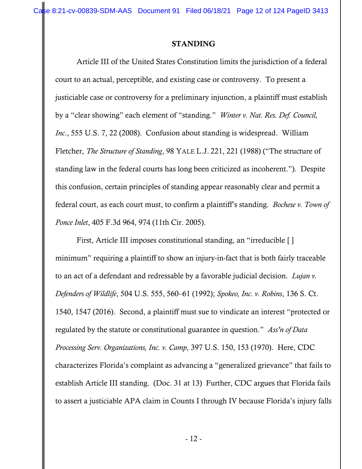Case 8:21-cv-00839-SDM-AAS Document 91 Filed 06/18/21 Page 12 of 124 PageID 3413

### STANDING

 Article III of the United States Constitution limits the jurisdiction of a federal court to an actual, perceptible, and existing case or controversy. To present a justiciable case or controversy for a preliminary injunction, a plaintiff must establish by a "clear showing" each element of "standing." *Winter v. Nat. Res. Def. Council, Inc*., 555 U.S. 7, 22 (2008). Confusion about standing is widespread. William Fletcher, *The Structure of Standing*, 98 YALE L.J. 221, 221 (1988) ("The structure of standing law in the federal courts has long been criticized as incoherent."). Despite this confusion, certain principles of standing appear reasonably clear and permit a federal court, as each court must, to confirm a plaintiff's standing. *Bochese v. Town of Ponce Inlet*, 405 F.3d 964, 974 (11th Cir. 2005).

 First, Article III imposes constitutional standing, an "irreducible [ ] minimum" requiring a plaintiff to show an injury-in-fact that is both fairly traceable to an act of a defendant and redressable by a favorable judicial decision. *Lujan v. Defenders of Wildlife*, 504 U.S. 555, 560–61 (1992); *Spokeo, Inc. v. Robins*, 136 S. Ct. 1540, 1547 (2016). Second, a plaintiff must sue to vindicate an interest "protected or regulated by the statute or constitutional guarantee in question." *Ass'n of Data Processing Serv. Organizations, Inc. v. Camp*, 397 U.S. 150, 153 (1970). Here, CDC characterizes Florida's complaint as advancing a "generalized grievance" that fails to establish Article III standing. (Doc. 31 at 13) Further, CDC argues that Florida fails to assert a justiciable APA claim in Counts I through IV because Florida's injury falls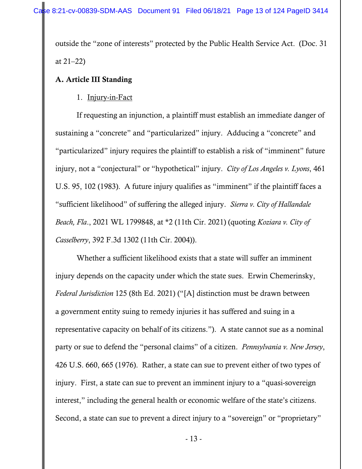outside the "zone of interests" protected by the Public Health Service Act. (Doc. 31 at 21–22)

# A. Article III Standing

## 1. Injury-in-Fact

If requesting an injunction, a plaintiff must establish an immediate danger of sustaining a "concrete" and "particularized" injury. Adducing a "concrete" and "particularized" injury requires the plaintiff to establish a risk of "imminent" future injury, not a "conjectural" or "hypothetical" injury. *City of Los Angeles v. Lyons*, 461 U.S. 95, 102 (1983). A future injury qualifies as "imminent" if the plaintiff faces a "sufficient likelihood" of suffering the alleged injury. *Sierra v. City of Hallandale Beach, Fla*., 2021 WL 1799848, at \*2 (11th Cir. 2021) (quoting *Koziara v. City of Casselberry*, 392 F.3d 1302 (11th Cir. 2004)).

Whether a sufficient likelihood exists that a state will suffer an imminent injury depends on the capacity under which the state sues. Erwin Chemerinsky, *Federal Jurisdiction* 125 (8th Ed. 2021) ("[A] distinction must be drawn between a government entity suing to remedy injuries it has suffered and suing in a representative capacity on behalf of its citizens."). A state cannot sue as a nominal party or sue to defend the "personal claims" of a citizen. *Pennsylvania v. New Jersey*, 426 U.S. 660, 665 (1976). Rather, a state can sue to prevent either of two types of injury. First, a state can sue to prevent an imminent injury to a "quasi-sovereign interest," including the general health or economic welfare of the state's citizens. Second, a state can sue to prevent a direct injury to a "sovereign" or "proprietary"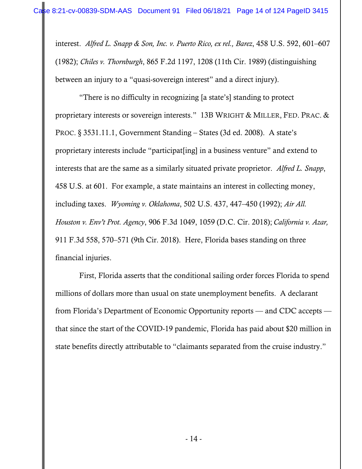interest. *Alfred L. Snapp & Son, Inc. v. Puerto Rico, ex rel., Barez*, 458 U.S. 592, 601–607 (1982); *Chiles v. Thornburgh*, 865 F.2d 1197, 1208 (11th Cir. 1989) (distinguishing between an injury to a "quasi-sovereign interest" and a direct injury).

 "There is no difficulty in recognizing [a state's] standing to protect proprietary interests or sovereign interests." 13B WRIGHT & MILLER, FED. PRAC. & PROC. § 3531.11.1, Government Standing – States (3d ed. 2008). A state's proprietary interests include "participat[ing] in a business venture" and extend to interests that are the same as a similarly situated private proprietor. *Alfred L. Snapp*, 458 U.S. at 601. For example, a state maintains an interest in collecting money, including taxes. *Wyoming v. Oklahoma*, 502 U.S. 437, 447–450 (1992); *Air All. Houston v. Env't Prot. Agency*, 906 F.3d 1049, 1059 (D.C. Cir. 2018); *California v. Azar,*  911 F.3d 558, 570–571 (9th Cir. 2018). Here, Florida bases standing on three financial injuries.

 First, Florida asserts that the conditional sailing order forces Florida to spend millions of dollars more than usual on state unemployment benefits. A declarant from Florida's Department of Economic Opportunity reports — and CDC accepts that since the start of the COVID-19 pandemic, Florida has paid about \$20 million in state benefits directly attributable to "claimants separated from the cruise industry."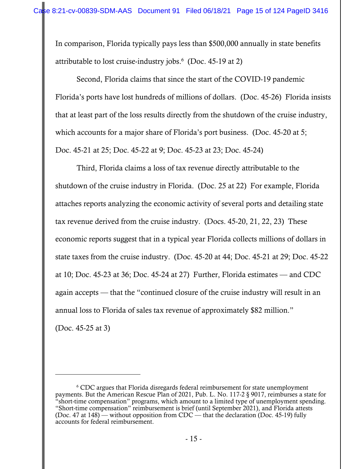In comparison, Florida typically pays less than \$500,000 annually in state benefits attributable to lost cruise-industry jobs.6 (Doc. 45-19 at 2)

Second, Florida claims that since the start of the COVID-19 pandemic Florida's ports have lost hundreds of millions of dollars. (Doc. 45-26) Florida insists that at least part of the loss results directly from the shutdown of the cruise industry, which accounts for a major share of Florida's port business. (Doc. 45-20 at 5; Doc. 45-21 at 25; Doc. 45-22 at 9; Doc. 45-23 at 23; Doc. 45-24)

 Third, Florida claims a loss of tax revenue directly attributable to the shutdown of the cruise industry in Florida. (Doc. 25 at 22) For example, Florida attaches reports analyzing the economic activity of several ports and detailing state tax revenue derived from the cruise industry. (Docs. 45-20, 21, 22, 23) These economic reports suggest that in a typical year Florida collects millions of dollars in state taxes from the cruise industry. (Doc. 45-20 at 44; Doc. 45-21 at 29; Doc. 45-22 at 10; Doc. 45-23 at 36; Doc. 45-24 at 27) Further, Florida estimates — and CDC again accepts — that the "continued closure of the cruise industry will result in an annual loss to Florida of sales tax revenue of approximately \$82 million." (Doc. 45-25 at 3)

<sup>&</sup>lt;sup>6</sup> CDC argues that Florida disregards federal reimbursement for state unemployment payments. But the American Rescue Plan of 2021, Pub. L. No. 117-2 § 9017, reimburses a state for "short-time compensation" programs, which amount to a limited type of unemployment spending. "Short-time compensation" reimbursement is brief (until September 2021), and Florida attests (Doc. 47 at 148) — without opposition from CDC — that the declaration (Doc. 45-19) fully accounts for federal reimbursement.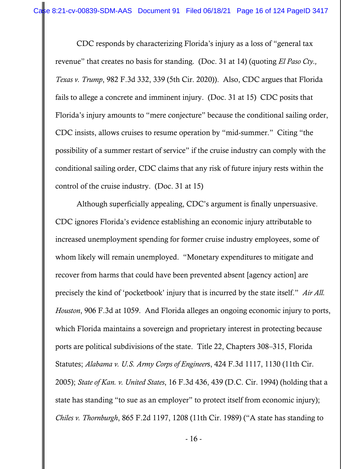CDC responds by characterizing Florida's injury as a loss of "general tax revenue" that creates no basis for standing. (Doc. 31 at 14) (quoting *El Paso Cty., Texas v. Trump*, 982 F.3d 332, 339 (5th Cir. 2020)). Also, CDC argues that Florida fails to allege a concrete and imminent injury. (Doc. 31 at 15) CDC posits that Florida's injury amounts to "mere conjecture" because the conditional sailing order, CDC insists, allows cruises to resume operation by "mid-summer." Citing "the possibility of a summer restart of service" if the cruise industry can comply with the conditional sailing order, CDC claims that any risk of future injury rests within the control of the cruise industry. (Doc. 31 at 15)

 Although superficially appealing, CDC's argument is finally unpersuasive. CDC ignores Florida's evidence establishing an economic injury attributable to increased unemployment spending for former cruise industry employees, some of whom likely will remain unemployed. "Monetary expenditures to mitigate and recover from harms that could have been prevented absent [agency action] are precisely the kind of 'pocketbook' injury that is incurred by the state itself." *Air All. Houston*, 906 F.3d at 1059. And Florida alleges an ongoing economic injury to ports, which Florida maintains a sovereign and proprietary interest in protecting because ports are political subdivisions of the state. Title 22, Chapters 308–315, Florida Statutes; *Alabama v. U.S. Army Corps of Engineer*s, 424 F.3d 1117, 1130 (11th Cir. 2005); *State of Kan. v. United States*, 16 F.3d 436, 439 (D.C. Cir. 1994) (holding that a state has standing "to sue as an employer" to protect itself from economic injury); *Chiles v. Thornburgh*, 865 F.2d 1197, 1208 (11th Cir. 1989) ("A state has standing to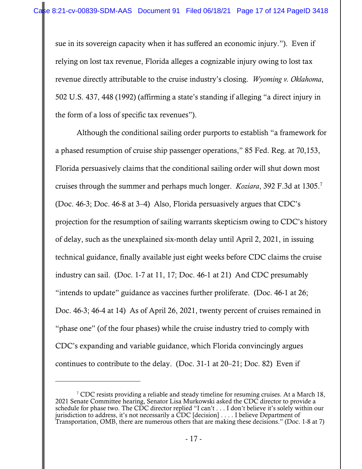sue in its sovereign capacity when it has suffered an economic injury."). Even if relying on lost tax revenue, Florida alleges a cognizable injury owing to lost tax revenue directly attributable to the cruise industry's closing. *Wyoming v. Oklahoma*, 502 U.S. 437, 448 (1992) (affirming a state's standing if alleging "a direct injury in the form of a loss of specific tax revenues").

 Although the conditional sailing order purports to establish "a framework for a phased resumption of cruise ship passenger operations," 85 Fed. Reg. at 70,153, Florida persuasively claims that the conditional sailing order will shut down most cruises through the summer and perhaps much longer. *Koziara*, 392 F.3d at 1305.7 (Doc. 46-3; Doc. 46-8 at 3–4) Also, Florida persuasively argues that CDC's projection for the resumption of sailing warrants skepticism owing to CDC's history of delay, such as the unexplained six-month delay until April 2, 2021, in issuing technical guidance, finally available just eight weeks before CDC claims the cruise industry can sail. (Doc. 1-7 at 11, 17; Doc. 46-1 at 21) And CDC presumably "intends to update" guidance as vaccines further proliferate. (Doc. 46-1 at 26; Doc. 46-3; 46-4 at 14) As of April 26, 2021, twenty percent of cruises remained in "phase one" (of the four phases) while the cruise industry tried to comply with CDC's expanding and variable guidance, which Florida convincingly argues continues to contribute to the delay. (Doc. 31-1 at 20–21; Doc. 82) Even if

<sup>&</sup>lt;sup>7</sup> CDC resists providing a reliable and steady timeline for resuming cruises. At a March 18, 2021 Senate Committee hearing, Senator Lisa Murkowski asked the CDC director to provide a schedule for phase two. The CDC director replied "I can't . . . I don't believe it's solely within our jurisdiction to address, it's not necessarily a CDC [decision] . . . . I believe Department of Transportation, OMB, there are numerous others that are making these decisions." (Doc. 1-8 at 7)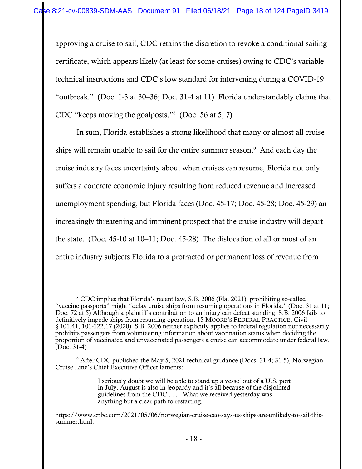approving a cruise to sail, CDC retains the discretion to revoke a conditional sailing certificate, which appears likely (at least for some cruises) owing to CDC's variable technical instructions and CDC's low standard for intervening during a COVID-19 "outbreak." (Doc. 1-3 at 30–36; Doc. 31-4 at 11) Florida understandably claims that CDC "keeps moving the goalposts."8 (Doc. 56 at 5, 7)

 In sum, Florida establishes a strong likelihood that many or almost all cruise ships will remain unable to sail for the entire summer season.<sup>9</sup> And each day the cruise industry faces uncertainty about when cruises can resume, Florida not only suffers a concrete economic injury resulting from reduced revenue and increased unemployment spending, but Florida faces (Doc. 45-17; Doc. 45-28; Doc. 45-29) an increasingly threatening and imminent prospect that the cruise industry will depart the state. (Doc. 45-10 at 10–11; Doc. 45-28) The dislocation of all or most of an entire industry subjects Florida to a protracted or permanent loss of revenue from

<sup>&</sup>lt;sup>8</sup> CDC implies that Florida's recent law, S.B. 2006 (Fla. 2021), prohibiting so-called "vaccine passports" might "delay cruise ships from resuming operations in Florida." (Doc. 31 at 11; Doc. 72 at 5) Although a plaintiff's contribution to an injury can defeat standing, S.B. 2006 fails to definitively impede ships from resuming operation. 15 MOORE'S FEDERAL PRACTICE, Civil § 101.41, 101-122.17 (2020). S.B. 2006 neither explicitly applies to federal regulation nor necessarily prohibits passengers from volunteering information about vaccination status when deciding the proportion of vaccinated and unvaccinated passengers a cruise can accommodate under federal law. (Doc. 31-4)

<sup>&</sup>lt;sup>9</sup> After CDC published the May 5, 2021 technical guidance (Docs. 31-4; 31-5), Norwegian Cruise Line's Chief Executive Officer laments:

I seriously doubt we will be able to stand up a vessel out of a U.S. port in July. August is also in jeopardy and it's all because of the disjointed guidelines from the  $CDC \dots$ . What we received yesterday was anything but a clear path to restarting.

https://www.cnbc.com/2021/05/06/norwegian-cruise-ceo-says-us-ships-are-unlikely-to-sail-thissummer.html.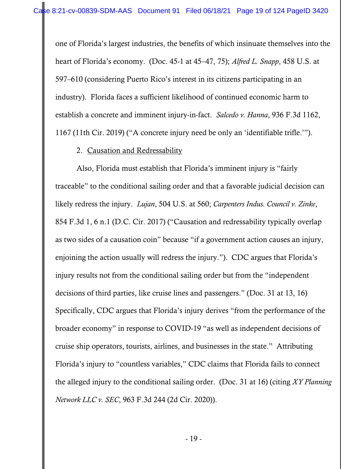one of Florida's largest industries, the benefits of which insinuate themselves into the heart of Florida's economy. (Doc. 45-1 at 45–47, 75); *Alfred L. Snapp*, 458 U.S. at 597–610 (considering Puerto Rico's interest in its citizens participating in an industry). Florida faces a sufficient likelihood of continued economic harm to establish a concrete and imminent injury-in-fact. *Salcedo v. Hanna*, 936 F.3d 1162, 1167 (11th Cir. 2019) ("A concrete injury need be only an 'identifiable trifle.'").

### 2. Causation and Redressability

Also, Florida must establish that Florida's imminent injury is "fairly traceable" to the conditional sailing order and that a favorable judicial decision can likely redress the injury. *Lujan*, 504 U.S. at 560; *Carpenters Indus. Council v. Zinke*, 854 F.3d 1, 6 n.1 (D.C. Cir. 2017) ("Causation and redressability typically overlap as two sides of a causation coin" because "if a government action causes an injury, enjoining the action usually will redress the injury."). CDC argues that Florida's injury results not from the conditional sailing order but from the "independent decisions of third parties, like cruise lines and passengers." (Doc. 31 at 13, 16) Specifically, CDC argues that Florida's injury derives "from the performance of the broader economy" in response to COVID-19 "as well as independent decisions of cruise ship operators, tourists, airlines, and businesses in the state." Attributing Florida's injury to "countless variables," CDC claims that Florida fails to connect the alleged injury to the conditional sailing order. (Doc. 31 at 16) (citing *XY Planning Network LLC v. SEC*, 963 F.3d 244 (2d Cir. 2020)).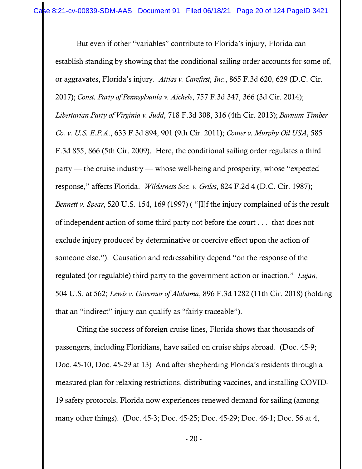But even if other "variables" contribute to Florida's injury, Florida can establish standing by showing that the conditional sailing order accounts for some of, or aggravates, Florida's injury. *Attias v. Carefirst, Inc.*, 865 F.3d 620, 629 (D.C. Cir. 2017); *Const. Party of Pennsylvania v. Aichele*, 757 F.3d 347, 366 (3d Cir. 2014); *Libertarian Party of Virginia v. Judd*, 718 F.3d 308, 316 (4th Cir. 2013); *Barnum Timber Co. v. U.S. E.P.A*., 633 F.3d 894, 901 (9th Cir. 2011); *Comer v. Murphy Oil USA*, 585 F.3d 855, 866 (5th Cir. 2009). Here, the conditional sailing order regulates a third party — the cruise industry — whose well-being and prosperity, whose "expected response," affects Florida. *Wilderness Soc. v. Griles*, 824 F.2d 4 (D.C. Cir. 1987); *Bennett v. Spear*, 520 U.S. 154, 169 (1997) ( "[I]f the injury complained of is the result of independent action of some third party not before the court . . . that does not exclude injury produced by determinative or coercive effect upon the action of someone else."). Causation and redressability depend "on the response of the regulated (or regulable) third party to the government action or inaction." *Lujan,*  504 U.S. at 562; *Lewis v. Governor of Alabama*, 896 F.3d 1282 (11th Cir. 2018) (holding that an "indirect" injury can qualify as "fairly traceable").

Citing the success of foreign cruise lines, Florida shows that thousands of passengers, including Floridians, have sailed on cruise ships abroad. (Doc. 45-9; Doc. 45-10, Doc. 45-29 at 13) And after shepherding Florida's residents through a measured plan for relaxing restrictions, distributing vaccines, and installing COVID-19 safety protocols, Florida now experiences renewed demand for sailing (among many other things). (Doc. 45-3; Doc. 45-25; Doc. 45-29; Doc. 46-1; Doc. 56 at 4,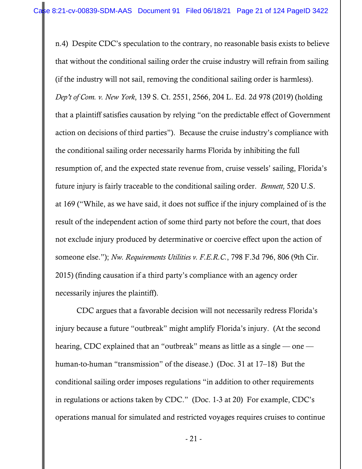n.4) Despite CDC's speculation to the contrary, no reasonable basis exists to believe that without the conditional sailing order the cruise industry will refrain from sailing (if the industry will not sail, removing the conditional sailing order is harmless). *Dep't of Com. v. New York*, 139 S. Ct. 2551, 2566, 204 L. Ed. 2d 978 (2019) (holding that a plaintiff satisfies causation by relying "on the predictable effect of Government action on decisions of third parties"). Because the cruise industry's compliance with the conditional sailing order necessarily harms Florida by inhibiting the full resumption of, and the expected state revenue from, cruise vessels' sailing, Florida's future injury is fairly traceable to the conditional sailing order. *Bennett,* 520 U.S. at 169 ("While, as we have said, it does not suffice if the injury complained of is the result of the independent action of some third party not before the court, that does not exclude injury produced by determinative or coercive effect upon the action of someone else."); *Nw. Requirements Utilities v. F.E.R.C.*, 798 F.3d 796, 806 (9th Cir. 2015) (finding causation if a third party's compliance with an agency order necessarily injures the plaintiff).

CDC argues that a favorable decision will not necessarily redress Florida's injury because a future "outbreak" might amplify Florida's injury. (At the second hearing, CDC explained that an "outbreak" means as little as a single — one human-to-human "transmission" of the disease.) (Doc. 31 at 17–18) But the conditional sailing order imposes regulations "in addition to other requirements in regulations or actions taken by CDC." (Doc. 1-3 at 20) For example, CDC's operations manual for simulated and restricted voyages requires cruises to continue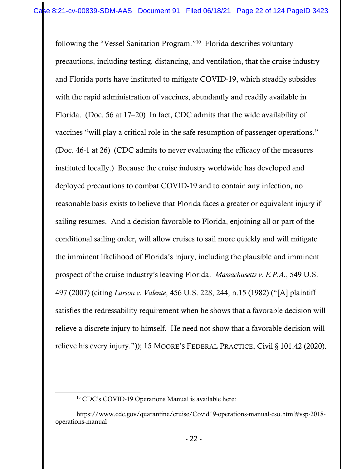following the "Vessel Sanitation Program."10 Florida describes voluntary precautions, including testing, distancing, and ventilation, that the cruise industry and Florida ports have instituted to mitigate COVID-19, which steadily subsides with the rapid administration of vaccines, abundantly and readily available in Florida. (Doc. 56 at 17–20) In fact, CDC admits that the wide availability of vaccines "will play a critical role in the safe resumption of passenger operations." (Doc. 46-1 at 26) (CDC admits to never evaluating the efficacy of the measures instituted locally.) Because the cruise industry worldwide has developed and deployed precautions to combat COVID-19 and to contain any infection, no reasonable basis exists to believe that Florida faces a greater or equivalent injury if sailing resumes. And a decision favorable to Florida, enjoining all or part of the conditional sailing order, will allow cruises to sail more quickly and will mitigate the imminent likelihood of Florida's injury, including the plausible and imminent prospect of the cruise industry's leaving Florida. *Massachusetts v. E.P.A.*, 549 U.S. 497 (2007) (citing *Larson v. Valente*, 456 U.S. 228, 244, n.15 (1982) ("[A] plaintiff satisfies the redressability requirement when he shows that a favorable decision will relieve a discrete injury to himself. He need not show that a favorable decision will relieve his every injury.")); 15 MOORE'S FEDERAL PRACTICE, Civil § 101.42 (2020).

<sup>&</sup>lt;sup>10</sup> CDC's COVID-19 Operations Manual is available here:

https://www.cdc.gov/quarantine/cruise/Covid19-operations-manual-cso.html#vsp-2018 operations-manual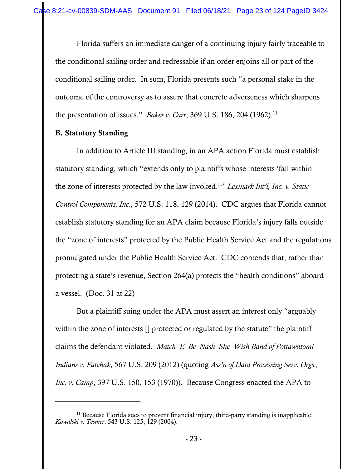Florida suffers an immediate danger of a continuing injury fairly traceable to the conditional sailing order and redressable if an order enjoins all or part of the conditional sailing order. In sum, Florida presents such "a personal stake in the outcome of the controversy as to assure that concrete adverseness which sharpens the presentation of issues." *Baker v. Carr*, 369 U.S. 186, 204 (1962).<sup>11</sup>

## B. Statutory Standing

 In addition to Article III standing, in an APA action Florida must establish statutory standing, which "extends only to plaintiffs whose interests 'fall within the zone of interests protected by the law invoked.'*" Lexmark Int'l, Inc. v. Static Control Components, Inc.*, 572 U.S. 118, 129 (2014). CDC argues that Florida cannot establish statutory standing for an APA claim because Florida's injury falls outside the "zone of interests" protected by the Public Health Service Act and the regulations promulgated under the Public Health Service Act. CDC contends that, rather than protecting a state's revenue, Section 264(a) protects the "health conditions" aboard a vessel. (Doc. 31 at 22)

 But a plaintiff suing under the APA must assert an interest only "arguably within the zone of interests  $\Box$  protected or regulated by the statute" the plaintiff claims the defendant violated. *Match–E–Be–Nash–She–Wish Band of Pottawatomi Indians v. Patchak*, 567 U.S. 209 (2012) (quoting *Ass'n of Data Processing Serv. Orgs., Inc. v. Camp*, 397 U.S. 150, 153 (1970)). Because Congress enacted the APA to

 $11$  Because Florida sues to prevent financial injury, third-party standing is inapplicable. *Kowalski v. Tesmer*, 543 U.S. 125, 129 (2004).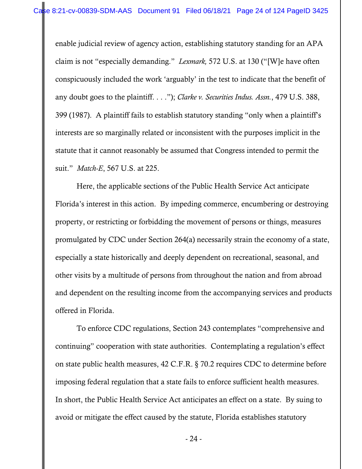enable judicial review of agency action, establishing statutory standing for an APA claim is not "especially demanding." *Lexmark,* 572 U.S. at 130 ("[W]e have often conspicuously included the work 'arguably' in the test to indicate that the benefit of any doubt goes to the plaintiff. . . ."); *Clarke v. Securities Indus. Assn.*, 479 U.S. 388, 399 (1987). A plaintiff fails to establish statutory standing "only when a plaintiff's interests are so marginally related or inconsistent with the purposes implicit in the statute that it cannot reasonably be assumed that Congress intended to permit the suit." *Match-E*, 567 U.S. at 225.

 Here, the applicable sections of the Public Health Service Act anticipate Florida's interest in this action. By impeding commerce, encumbering or destroying property, or restricting or forbidding the movement of persons or things, measures promulgated by CDC under Section 264(a) necessarily strain the economy of a state, especially a state historically and deeply dependent on recreational, seasonal, and other visits by a multitude of persons from throughout the nation and from abroad and dependent on the resulting income from the accompanying services and products offered in Florida.

 To enforce CDC regulations, Section 243 contemplates "comprehensive and continuing" cooperation with state authorities. Contemplating a regulation's effect on state public health measures, 42 C.F.R. § 70.2 requires CDC to determine before imposing federal regulation that a state fails to enforce sufficient health measures. In short, the Public Health Service Act anticipates an effect on a state. By suing to avoid or mitigate the effect caused by the statute, Florida establishes statutory

- 24 -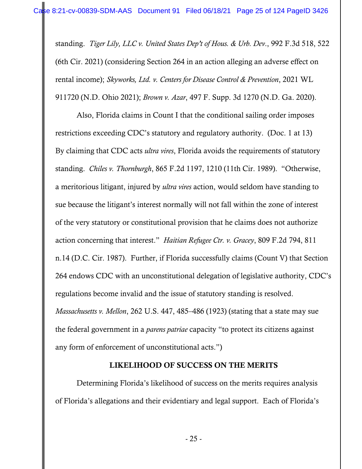standing. *Tiger Lily, LLC v. United States Dep't of Hous. & Urb. Dev*., 992 F.3d 518, 522 (6th Cir. 2021) (considering Section 264 in an action alleging an adverse effect on rental income); *Skyworks, Ltd. v. Centers for Disease Control & Prevention*, 2021 WL 911720 (N.D. Ohio 2021); *Brown v. Azar*, 497 F. Supp. 3d 1270 (N.D. Ga. 2020).

 Also, Florida claims in Count I that the conditional sailing order imposes restrictions exceeding CDC's statutory and regulatory authority. (Doc. 1 at 13) By claiming that CDC acts *ultra vires*, Florida avoids the requirements of statutory standing. *Chiles v. Thornburgh*, 865 F.2d 1197, 1210 (11th Cir. 1989). "Otherwise, a meritorious litigant, injured by *ultra vires* action, would seldom have standing to sue because the litigant's interest normally will not fall within the zone of interest of the very statutory or constitutional provision that he claims does not authorize action concerning that interest." *Haitian Refugee Ctr. v. Gracey*, 809 F.2d 794, 811 n.14 (D.C. Cir. 1987). Further, if Florida successfully claims (Count V) that Section 264 endows CDC with an unconstitutional delegation of legislative authority, CDC's regulations become invalid and the issue of statutory standing is resolved. *Massachusetts v. Mellon*, 262 U.S. 447, 485–486 (1923) (stating that a state may sue the federal government in a *parens patriae* capacity "to protect its citizens against any form of enforcement of unconstitutional acts.")

## LIKELIHOOD OF SUCCESS ON THE MERITS

Determining Florida's likelihood of success on the merits requires analysis of Florida's allegations and their evidentiary and legal support. Each of Florida's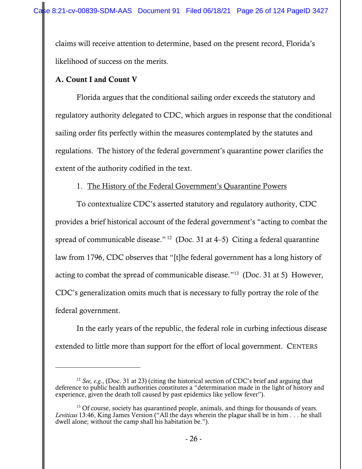claims will receive attention to determine, based on the present record, Florida's likelihood of success on the merits.

## A. Count I and Count V

Florida argues that the conditional sailing order exceeds the statutory and regulatory authority delegated to CDC, which argues in response that the conditional sailing order fits perfectly within the measures contemplated by the statutes and regulations. The history of the federal government's quarantine power clarifies the extent of the authority codified in the text.

# 1. The History of the Federal Government's Quarantine Powers

To contextualize CDC's asserted statutory and regulatory authority, CDC provides a brief historical account of the federal government's "acting to combat the spread of communicable disease." <sup>12</sup> (Doc. 31 at 4–5) Citing a federal quarantine law from 1796, CDC observes that "[t]he federal government has a long history of acting to combat the spread of communicable disease."13 (Doc. 31 at 5) However, CDC's generalization omits much that is necessary to fully portray the role of the federal government.

In the early years of the republic, the federal role in curbing infectious disease extended to little more than support for the effort of local government. CENTERS

<sup>12</sup> *See, e.g.*, (Doc. 31 at 23) (citing the historical section of CDC's brief and arguing that deference to public health authorities constitutes a "determination made in the light of history and experience, given the death toll caused by past epidemics like yellow fever").

<sup>&</sup>lt;sup>13</sup> Of course, society has quarantined people, animals, and things for thousands of years. *Leviticus* 13:46, King James Version ("All the days wherein the plague shall be in him . . . he shall dwell alone; without the camp shall his habitation be.").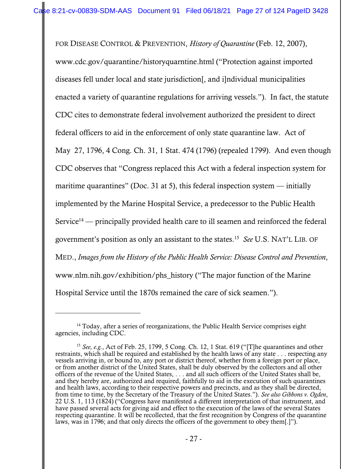FOR DISEASE CONTROL & PREVENTION, *History of Quarantine* (Feb. 12, 2007), www.cdc.gov/quarantine/historyquarntine.html ("Protection against imported diseases fell under local and state jurisdiction[, and i]ndividual municipalities enacted a variety of quarantine regulations for arriving vessels."). In fact, the statute CDC cites to demonstrate federal involvement authorized the president to direct federal officers to aid in the enforcement of only state quarantine law. Act of May 27, 1796, 4 Cong. Ch. 31, 1 Stat. 474 (1796) (repealed 1799). And even though CDC observes that "Congress replaced this Act with a federal inspection system for maritime quarantines" (Doc. 31 at 5), this federal inspection system  $-$  initially implemented by the Marine Hospital Service, a predecessor to the Public Health Service<sup>14</sup> — principally provided health care to ill seamen and reinforced the federal government's position as only an assistant to the states.15 *See* U.S. NAT'L LIB. OF MED., *Images from the History of the Public Health Service: Disease Control and Prevention*, www.nlm.nih.gov/exhibition/phs\_history ("The major function of the Marine Hospital Service until the 1870s remained the care of sick seamen.").

 $14$  Today, after a series of reorganizations, the Public Health Service comprises eight agencies, including CDC.

<sup>15</sup> *See, e.g.*, Act of Feb. 25, 1799, 5 Cong. Ch. 12, 1 Stat. 619 ("[T]he quarantines and other restraints, which shall be required and established by the health laws of any state . . . respecting any vessels arriving in, or bound to, any port or district thereof, whether from a foreign port or place, or from another district of the United States, shall be duly observed by the collectors and all other officers of the revenue of the United States, . . . and all such officers of the United States shall be, and they hereby are, authorized and required, faithfully to aid in the execution of such quarantines and health laws, according to their respective powers and precincts, and as they shall be directed, from time to time, by the Secretary of the Treasury of the United States."). *See also Gibbons v. Ogden*, 22 U.S. 1, 113 (1824) ("Congress have manifested a different interpretation of that instrument, and have passed several acts for giving aid and effect to the execution of the laws of the several States respecting quarantine. It will be recollected, that the first recognition by Congress of the quarantine laws, was in 1796; and that only directs the officers of the government to obey them[.]").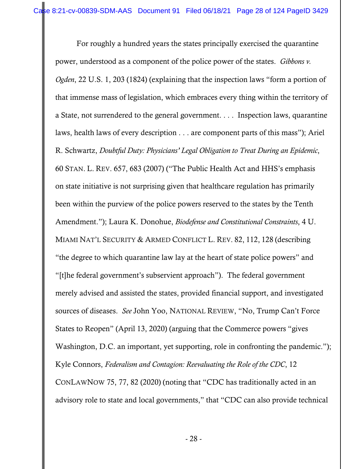For roughly a hundred years the states principally exercised the quarantine power, understood as a component of the police power of the states. *Gibbons v. Ogden*, 22 U.S. 1, 203 (1824) (explaining that the inspection laws "form a portion of that immense mass of legislation, which embraces every thing within the territory of a State, not surrendered to the general government. . . . Inspection laws, quarantine laws, health laws of every description . . . are component parts of this mass"); Ariel R. Schwartz, *Doubtful Duty: Physicians' Legal Obligation to Treat During an Epidemic*, 60 STAN. L. REV. 657, 683 (2007) ("The Public Health Act and HHS's emphasis on state initiative is not surprising given that healthcare regulation has primarily been within the purview of the police powers reserved to the states by the Tenth Amendment."); Laura K. Donohue, *Biodefense and Constitutional Constraints*, 4 U. MIAMI NAT'L SECURITY & ARMED CONFLICT L. REV. 82, 112, 128 (describing "the degree to which quarantine law lay at the heart of state police powers" and "[t]he federal government's subservient approach"). The federal government merely advised and assisted the states, provided financial support, and investigated sources of diseases. *See* John Yoo, NATIONAL REVIEW, "No, Trump Can't Force States to Reopen" (April 13, 2020) (arguing that the Commerce powers "gives Washington, D.C. an important, yet supporting, role in confronting the pandemic."); Kyle Connors, *Federalism and Contagion: Reevaluating the Role of the CDC*, 12 CONLAWNOW 75, 77, 82 (2020) (noting that "CDC has traditionally acted in an advisory role to state and local governments," that "CDC can also provide technical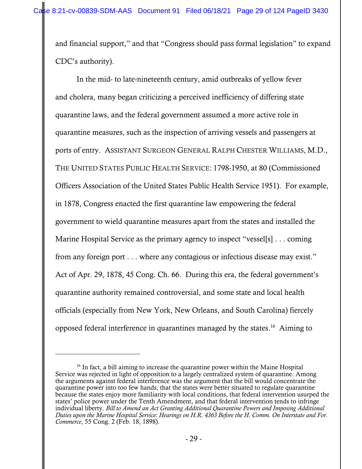and financial support," and that "Congress should pass formal legislation" to expand CDC's authority).

In the mid- to late-nineteenth century, amid outbreaks of yellow fever and cholera, many began criticizing a perceived inefficiency of differing state quarantine laws, and the federal government assumed a more active role in quarantine measures, such as the inspection of arriving vessels and passengers at ports of entry. ASSISTANT SURGEON GENERAL RALPH CHESTER WILLIAMS, M.D., THE UNITED STATES PUBLIC HEALTH SERVICE: 1798-1950, at 80 (Commissioned Officers Association of the United States Public Health Service 1951). For example, in 1878, Congress enacted the first quarantine law empowering the federal government to wield quarantine measures apart from the states and installed the Marine Hospital Service as the primary agency to inspect "vessel[s] . . . coming from any foreign port . . . where any contagious or infectious disease may exist." Act of Apr. 29, 1878, 45 Cong. Ch. 66. During this era, the federal government's quarantine authority remained controversial, and some state and local health officials (especially from New York, New Orleans, and South Carolina) fiercely opposed federal interference in quarantines managed by the states.16 Aiming to

<sup>&</sup>lt;sup>16</sup> In fact, a bill aiming to increase the quarantine power within the Maine Hospital Service was rejected in light of opposition to a largely centralized system of quarantine. Among the arguments against federal interference was the argument that the bill would concentrate the quarantine power into too few hands, that the states were better situated to regulate quarantine because the states enjoy more familiarity with local conditions, that federal intervention usurped the states' police power under the Tenth Amendment, and that federal intervention tends to infringe individual liberty. *Bill to Amend an Act Granting Additional Quarantine Powers and Imposing Additional Duties upon the Marine Hospital Service: Hearings on H.R. 4363 Before the H. Comm. On Interstate and For. Commerce*, 55 Cong. 2 (Feb. 18, 1898).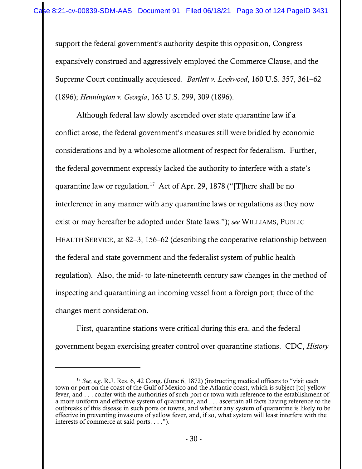support the federal government's authority despite this opposition, Congress expansively construed and aggressively employed the Commerce Clause, and the Supreme Court continually acquiesced. *Bartlett v. Lockwood*, 160 U.S. 357, 361–62 (1896); *Hennington v. Georgia*, 163 U.S. 299, 309 (1896).

Although federal law slowly ascended over state quarantine law if a conflict arose, the federal government's measures still were bridled by economic considerations and by a wholesome allotment of respect for federalism. Further, the federal government expressly lacked the authority to interfere with a state's quarantine law or regulation.<sup>17</sup> Act of Apr. 29, 1878 ("[T]here shall be no interference in any manner with any quarantine laws or regulations as they now exist or may hereafter be adopted under State laws."); *see* WILLIAMS, PUBLIC HEALTH SERVICE, at 82–3, 156–62 (describing the cooperative relationship between the federal and state government and the federalist system of public health regulation). Also, the mid- to late-nineteenth century saw changes in the method of inspecting and quarantining an incoming vessel from a foreign port; three of the changes merit consideration.

First, quarantine stations were critical during this era, and the federal government began exercising greater control over quarantine stations. CDC, *History* 

<sup>17</sup> *See, e.g*. R.J. Res. 6, 42 Cong. (June 6, 1872) (instructing medical officers to "visit each town or port on the coast of the Gulf of Mexico and the Atlantic coast, which is subject [to] yellow fever, and . . . confer with the authorities of such port or town with reference to the establishment of a more uniform and effective system of quarantine, and . . . ascertain all facts having reference to the outbreaks of this disease in such ports or towns, and whether any system of quarantine is likely to be effective in preventing invasions of yellow fever, and, if so, what system will least interfere with the interests of commerce at said ports. . . .").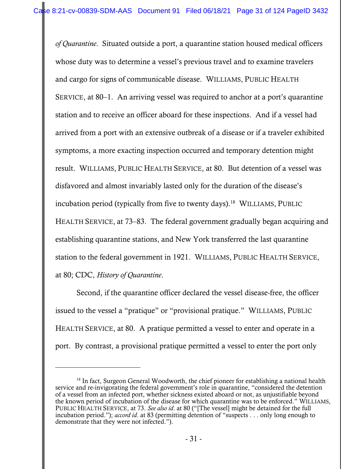*of Quarantine*. Situated outside a port, a quarantine station housed medical officers whose duty was to determine a vessel's previous travel and to examine travelers and cargo for signs of communicable disease. WILLIAMS, PUBLIC HEALTH SERVICE, at 80–1. An arriving vessel was required to anchor at a port's quarantine station and to receive an officer aboard for these inspections. And if a vessel had arrived from a port with an extensive outbreak of a disease or if a traveler exhibited symptoms, a more exacting inspection occurred and temporary detention might result. WILLIAMS, PUBLIC HEALTH SERVICE, at 80. But detention of a vessel was disfavored and almost invariably lasted only for the duration of the disease's incubation period (typically from five to twenty days).<sup>18</sup> WILLIAMS, PUBLIC HEALTH SERVICE, at 73–83. The federal government gradually began acquiring and establishing quarantine stations, and New York transferred the last quarantine station to the federal government in 1921. WILLIAMS, PUBLIC HEALTH SERVICE, at 80; CDC, *History of Quarantine*.

Second, if the quarantine officer declared the vessel disease-free, the officer issued to the vessel a "pratique" or "provisional pratique." WILLIAMS, PUBLIC HEALTH SERVICE, at 80. A pratique permitted a vessel to enter and operate in a port. By contrast, a provisional pratique permitted a vessel to enter the port only

 $18$  In fact, Surgeon General Woodworth, the chief pioneer for establishing a national health service and re-invigorating the federal government's role in quarantine, "considered the detention of a vessel from an infected port, whether sickness existed aboard or not, as unjustifiable beyond the known period of incubation of the disease for which quarantine was to be enforced." WILLIAMS, PUBLIC HEALTH SERVICE, at 73. *See also id*. at 80 ("[The vessel] might be detained for the full incubation period."); *accord id*. at 83 (permitting detention of "suspects . . . only long enough to demonstrate that they were not infected.").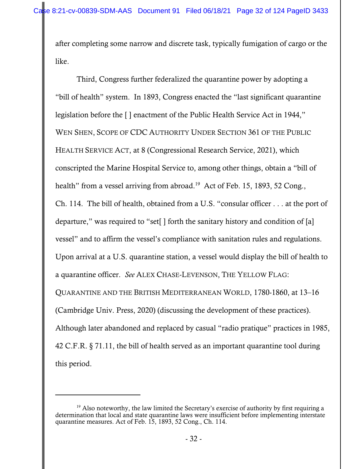after completing some narrow and discrete task, typically fumigation of cargo or the like.

Third, Congress further federalized the quarantine power by adopting a "bill of health" system. In 1893, Congress enacted the "last significant quarantine legislation before the [ ] enactment of the Public Health Service Act in 1944," WEN SHEN, SCOPE OF CDC AUTHORITY UNDER SECTION 361 OF THE PUBLIC HEALTH SERVICE ACT, at 8 (Congressional Research Service, 2021), which conscripted the Marine Hospital Service to, among other things, obtain a "bill of health" from a vessel arriving from abroad.<sup>19</sup> Act of Feb. 15, 1893, 52 Cong., Ch. 114. The bill of health, obtained from a U.S. "consular officer . . . at the port of departure," was required to "set[ ] forth the sanitary history and condition of [a] vessel" and to affirm the vessel's compliance with sanitation rules and regulations. Upon arrival at a U.S. quarantine station, a vessel would display the bill of health to a quarantine officer. *See* ALEX CHASE-LEVENSON, THE YELLOW FLAG: QUARANTINE AND THE BRITISH MEDITERRANEAN WORLD, 1780-1860, at 13–16 (Cambridge Univ. Press, 2020) (discussing the development of these practices). Although later abandoned and replaced by casual "radio pratique" practices in 1985, 42 C.F.R. § 71.11, the bill of health served as an important quarantine tool during this period.

 $19$  Also noteworthy, the law limited the Secretary's exercise of authority by first requiring a determination that local and state quarantine laws were insufficient before implementing interstate quarantine measures. Act of Feb. 15, 1893, 52 Cong., Ch. 114.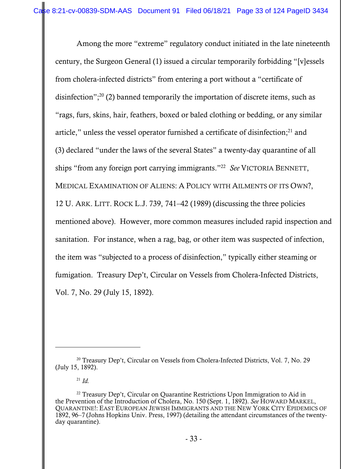Among the more "extreme" regulatory conduct initiated in the late nineteenth century, the Surgeon General (1) issued a circular temporarily forbidding "[v]essels from cholera-infected districts" from entering a port without a "certificate of disinfection"; $^{20}$  (2) banned temporarily the importation of discrete items, such as "rags, furs, skins, hair, feathers, boxed or baled clothing or bedding, or any similar article," unless the vessel operator furnished a certificate of disinfection; $^{21}$  and (3) declared "under the laws of the several States" a twenty-day quarantine of all ships "from any foreign port carrying immigrants."22 *See* VICTORIA BENNETT, MEDICAL EXAMINATION OF ALIENS: A POLICY WITH AILMENTS OF ITS OWN?, 12 U. ARK. LITT. ROCK L.J. 739, 741–42 (1989) (discussing the three policies mentioned above). However, more common measures included rapid inspection and sanitation. For instance, when a rag, bag, or other item was suspected of infection, the item was "subjected to a process of disinfection," typically either steaming or fumigation. Treasury Dep't, Circular on Vessels from Cholera-Infected Districts, Vol. 7, No. 29 (July 15, 1892).

<sup>&</sup>lt;sup>20</sup> Treasury Dep't, Circular on Vessels from Cholera-Infected Districts, Vol. 7, No. 29 (July 15, 1892).

 $^{21}$  *Id.* 

<sup>&</sup>lt;sup>22</sup> Treasury Dep't, Circular on Quarantine Restrictions Upon Immigration to Aid in the Prevention of the Introduction of Cholera, No. 150 (Sept. 1, 1892). *See* HOWARD MARKEL, QUARANTINE!: EAST EUROPEAN JEWISH IMMIGRANTS AND THE NEW YORK CITY EPIDEMICS OF 1892, 96–7 (Johns Hopkins Univ. Press, 1997) (detailing the attendant circumstances of the twentyday quarantine).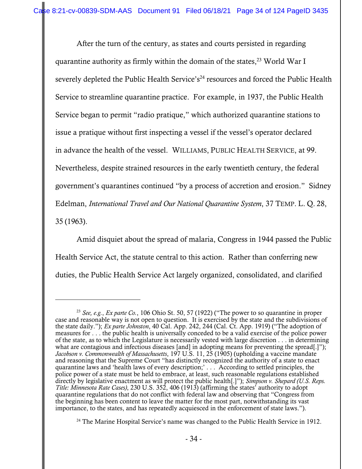After the turn of the century, as states and courts persisted in regarding quarantine authority as firmly within the domain of the states,  $23$  World War I severely depleted the Public Health Service's<sup>24</sup> resources and forced the Public Health Service to streamline quarantine practice. For example, in 1937, the Public Health Service began to permit "radio pratique," which authorized quarantine stations to issue a pratique without first inspecting a vessel if the vessel's operator declared in advance the health of the vessel. WILLIAMS, PUBLIC HEALTH SERVICE, at 99. Nevertheless, despite strained resources in the early twentieth century, the federal government's quarantines continued "by a process of accretion and erosion." Sidney Edelman, *International Travel and Our National Quarantine System*, 37 TEMP. L. Q. 28, 35 (1963).

Amid disquiet about the spread of malaria, Congress in 1944 passed the Public Health Service Act, the statute central to this action. Rather than conferring new duties, the Public Health Service Act largely organized, consolidated, and clarified

 $24$  The Marine Hospital Service's name was changed to the Public Health Service in 1912.

<sup>23</sup> *See, e.g.*, *Ex parte Co.*, 106 Ohio St. 50, 57 (1922) ("The power to so quarantine in proper case and reasonable way is not open to question. It is exercised by the state and the subdivisions of the state daily."); *Ex parte Johnston*, 40 Cal. App. 242, 244 (Cal. Ct. App. 1919) ("The adoption of measures for . . . the public health is universally conceded to be a valid exercise of the police power of the state, as to which the Legislature is necessarily vested with large discretion . . . in determining what are contagious and infectious diseases [and] in adopting means for preventing the spread[.]"); *Jacobson v. Commonwealth of Massachusetts*, 197 U.S. 11, 25 (1905) (upholding a vaccine mandate and reasoning that the Supreme Court "has distinctly recognized the authority of a state to enact quarantine laws and 'health laws of every description;' . . . According to settled principles, the police power of a state must be held to embrace, at least, such reasonable regulations established directly by legislative enactment as will protect the public health[.]"); *Simpson v. Shepard (U.S. Reps. Title: Minnesota Rate Cases)*, 230 U.S. 352, 406 (1913) (affirming the states' authority to adopt quarantine regulations that do not conflict with federal law and observing that "Congress from the beginning has been content to leave the matter for the most part, notwithstanding its vast importance, to the states, and has repeatedly acquiesced in the enforcement of state laws.").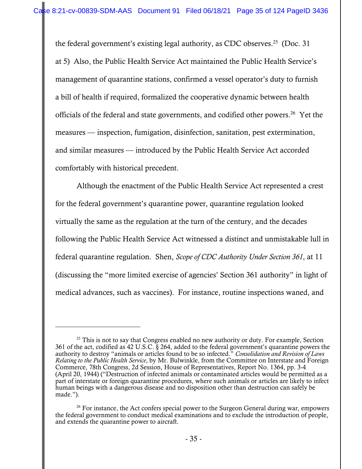the federal government's existing legal authority, as CDC observes.<sup>25</sup> (Doc. 31) at 5) Also, the Public Health Service Act maintained the Public Health Service's management of quarantine stations, confirmed a vessel operator's duty to furnish a bill of health if required, formalized the cooperative dynamic between health officials of the federal and state governments, and codified other powers.26 Yet the measures — inspection, fumigation, disinfection, sanitation, pest extermination, and similar measures — introduced by the Public Health Service Act accorded comfortably with historical precedent.

Although the enactment of the Public Health Service Act represented a crest for the federal government's quarantine power, quarantine regulation looked virtually the same as the regulation at the turn of the century, and the decades following the Public Health Service Act witnessed a distinct and unmistakable lull in federal quarantine regulation. Shen, *Scope of CDC Authority Under Section 361*, at 11 (discussing the "more limited exercise of agencies' Section 361 authority" in light of medical advances, such as vaccines). For instance, routine inspections waned, and

 $25$  This is not to say that Congress enabled no new authority or duty. For example, Section 361 of the act, codified as 42 U.S.C. § 264, added to the federal government's quarantine powers the authority to destroy "animals or articles found to be so infected." *Consolidation and Revision of Laws Relating to the Public Health Service*, by Mr. Bulwinkle, from the Committee on Interstate and Foreign Commerce, 78th Congress, 2d Session, House of Representatives, Report No. 1364, pp. 3-4 (April 20, 1944) ("Destruction of infected animals or contaminated articles would be permitted as a part of interstate or foreign quarantine procedures, where such animals or articles are likely to infect human beings with a dangerous disease and no disposition other than destruction can safely be made.").

 $26$  For instance, the Act confers special power to the Surgeon General during war, empowers the federal government to conduct medical examinations and to exclude the introduction of people, and extends the quarantine power to aircraft.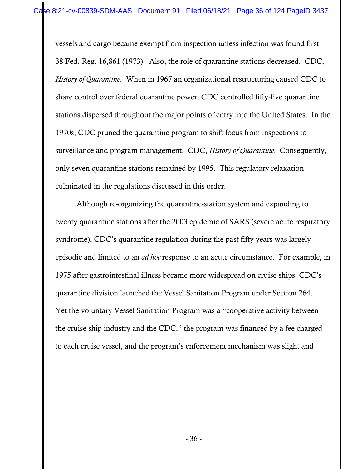vessels and cargo became exempt from inspection unless infection was found first. 38 Fed. Reg. 16,861 (1973). Also, the role of quarantine stations decreased. CDC, *History of Quarantine*. When in 1967 an organizational restructuring caused CDC to share control over federal quarantine power, CDC controlled fifty-five quarantine stations dispersed throughout the major points of entry into the United States. In the 1970s, CDC pruned the quarantine program to shift focus from inspections to surveillance and program management. CDC, *History of Quarantine*. Consequently, only seven quarantine stations remained by 1995. This regulatory relaxation culminated in the regulations discussed in this order.

Although re-organizing the quarantine-station system and expanding to twenty quarantine stations after the 2003 epidemic of SARS (severe acute respiratory syndrome), CDC's quarantine regulation during the past fifty years was largely episodic and limited to an *ad hoc* response to an acute circumstance. For example, in 1975 after gastrointestinal illness became more widespread on cruise ships, CDC's quarantine division launched the Vessel Sanitation Program under Section 264. Yet the voluntary Vessel Sanitation Program was a "cooperative activity between the cruise ship industry and the CDC," the program was financed by a fee charged to each cruise vessel, and the program's enforcement mechanism was slight and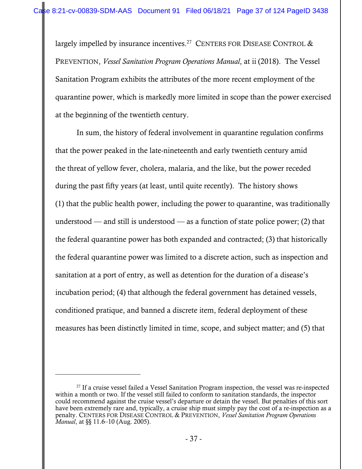largely impelled by insurance incentives.<sup>27</sup> CENTERS FOR DISEASE CONTROL  $\&$ PREVENTION, *Vessel Sanitation Program Operations Manual*, at ii (2018). The Vessel Sanitation Program exhibits the attributes of the more recent employment of the quarantine power, which is markedly more limited in scope than the power exercised at the beginning of the twentieth century.

 In sum, the history of federal involvement in quarantine regulation confirms that the power peaked in the late-nineteenth and early twentieth century amid the threat of yellow fever, cholera, malaria, and the like, but the power receded during the past fifty years (at least, until quite recently). The history shows (1) that the public health power, including the power to quarantine, was traditionally understood — and still is understood — as a function of state police power; (2) that the federal quarantine power has both expanded and contracted; (3) that historically the federal quarantine power was limited to a discrete action, such as inspection and sanitation at a port of entry, as well as detention for the duration of a disease's incubation period; (4) that although the federal government has detained vessels, conditioned pratique, and banned a discrete item, federal deployment of these measures has been distinctly limited in time, scope, and subject matter; and (5) that

<sup>&</sup>lt;sup>27</sup> If a cruise vessel failed a Vessel Sanitation Program inspection, the vessel was re-inspected within a month or two. If the vessel still failed to conform to sanitation standards, the inspector could recommend against the cruise vessel's departure or detain the vessel. But penalties of this sort have been extremely rare and, typically, a cruise ship must simply pay the cost of a re-inspection as a penalty. CENTERS FOR DISEASE CONTROL & PREVENTION, *Vessel Sanitation Program Operations Manual*, at §§ 11.6–10 (Aug. 2005).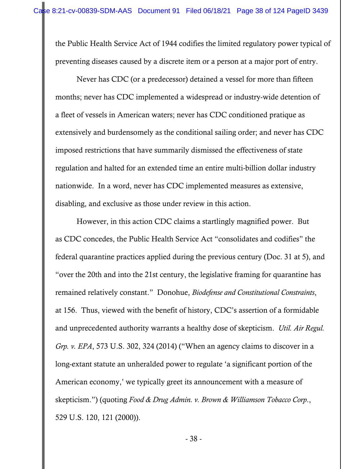the Public Health Service Act of 1944 codifies the limited regulatory power typical of preventing diseases caused by a discrete item or a person at a major port of entry.

Never has CDC (or a predecessor) detained a vessel for more than fifteen months; never has CDC implemented a widespread or industry-wide detention of a fleet of vessels in American waters; never has CDC conditioned pratique as extensively and burdensomely as the conditional sailing order; and never has CDC imposed restrictions that have summarily dismissed the effectiveness of state regulation and halted for an extended time an entire multi-billion dollar industry nationwide. In a word, never has CDC implemented measures as extensive, disabling, and exclusive as those under review in this action.

However, in this action CDC claims a startlingly magnified power. But as CDC concedes, the Public Health Service Act "consolidates and codifies" the federal quarantine practices applied during the previous century (Doc. 31 at 5), and "over the 20th and into the 21st century, the legislative framing for quarantine has remained relatively constant." Donohue, *Biodefense and Constitutional Constraints*, at 156. Thus, viewed with the benefit of history, CDC's assertion of a formidable and unprecedented authority warrants a healthy dose of skepticism. *Util. Air Regul. Grp. v. EPA*, 573 U.S. 302, 324 (2014) ("When an agency claims to discover in a long-extant statute an unheralded power to regulate 'a significant portion of the American economy,' we typically greet its announcement with a measure of skepticism.") (quoting *Food & Drug Admin. v. Brown & Williamson Tobacco Corp*., 529 U.S. 120, 121 (2000)).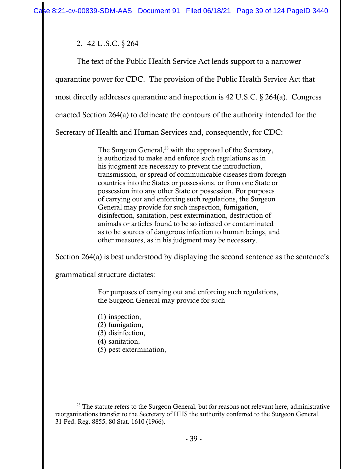# 2. 42 U.S.C. § 264

The text of the Public Health Service Act lends support to a narrower quarantine power for CDC. The provision of the Public Health Service Act that most directly addresses quarantine and inspection is 42 U.S.C. § 264(a). Congress enacted Section 264(a) to delineate the contours of the authority intended for the Secretary of Health and Human Services and, consequently, for CDC:

> The Surgeon General,<sup>28</sup> with the approval of the Secretary, is authorized to make and enforce such regulations as in his judgment are necessary to prevent the introduction, transmission, or spread of communicable diseases from foreign countries into the States or possessions, or from one State or possession into any other State or possession. For purposes of carrying out and enforcing such regulations, the Surgeon General may provide for such inspection, fumigation, disinfection, sanitation, pest extermination, destruction of animals or articles found to be so infected or contaminated as to be sources of dangerous infection to human beings, and other measures, as in his judgment may be necessary.

Section 264(a) is best understood by displaying the second sentence as the sentence's

grammatical structure dictates:

For purposes of carrying out and enforcing such regulations, the Surgeon General may provide for such

- (1) inspection,
- (2) fumigation,
- (3) disinfection,
- (4) sanitation,
- (5) pest extermination,

 $28$  The statute refers to the Surgeon General, but for reasons not relevant here, administrative reorganizations transfer to the Secretary of HHS the authority conferred to the Surgeon General. 31 Fed. Reg. 8855, 80 Stat. 1610 (1966).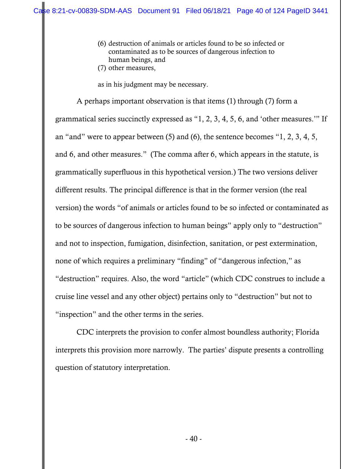- (6) destruction of animals or articles found to be so infected or contaminated as to be sources of dangerous infection to human beings, and
- (7) other measures,

as in his judgment may be necessary.

 A perhaps important observation is that items (1) through (7) form a grammatical series succinctly expressed as "1, 2, 3, 4, 5, 6, and 'other measures.'" If an "and" were to appear between (5) and (6), the sentence becomes "1, 2, 3, 4, 5, and 6, and other measures." (The comma after 6, which appears in the statute, is grammatically superfluous in this hypothetical version.) The two versions deliver different results. The principal difference is that in the former version (the real version) the words "of animals or articles found to be so infected or contaminated as to be sources of dangerous infection to human beings" apply only to "destruction" and not to inspection, fumigation, disinfection, sanitation, or pest extermination, none of which requires a preliminary "finding" of "dangerous infection," as "destruction" requires. Also, the word "article" (which CDC construes to include a cruise line vessel and any other object) pertains only to "destruction" but not to "inspection" and the other terms in the series.

 CDC interprets the provision to confer almost boundless authority; Florida interprets this provision more narrowly. The parties' dispute presents a controlling question of statutory interpretation.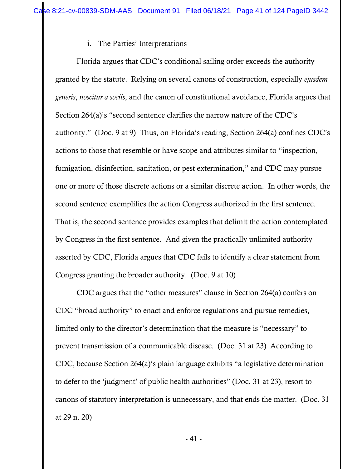## i. The Parties' Interpretations

 Florida argues that CDC's conditional sailing order exceeds the authority granted by the statute. Relying on several canons of construction, especially *ejusdem generis*, *noscitur a sociis*, and the canon of constitutional avoidance, Florida argues that Section 264(a)'s "second sentence clarifies the narrow nature of the CDC's authority." (Doc. 9 at 9) Thus, on Florida's reading, Section 264(a) confines CDC's actions to those that resemble or have scope and attributes similar to "inspection, fumigation, disinfection, sanitation, or pest extermination," and CDC may pursue one or more of those discrete actions or a similar discrete action. In other words, the second sentence exemplifies the action Congress authorized in the first sentence. That is, the second sentence provides examples that delimit the action contemplated by Congress in the first sentence. And given the practically unlimited authority asserted by CDC, Florida argues that CDC fails to identify a clear statement from Congress granting the broader authority. (Doc. 9 at 10)

 CDC argues that the "other measures" clause in Section 264(a) confers on CDC "broad authority" to enact and enforce regulations and pursue remedies, limited only to the director's determination that the measure is "necessary" to prevent transmission of a communicable disease. (Doc. 31 at 23) According to CDC, because Section 264(a)'s plain language exhibits "a legislative determination to defer to the 'judgment' of public health authorities" (Doc. 31 at 23), resort to canons of statutory interpretation is unnecessary, and that ends the matter. (Doc. 31 at 29 n. 20)

- 41 -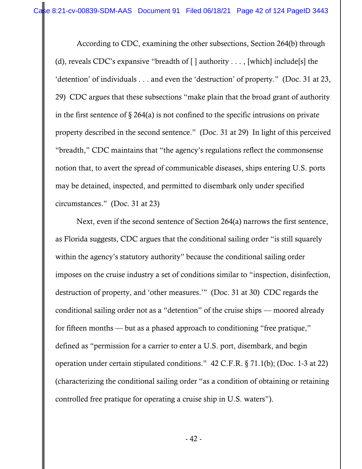According to CDC, examining the other subsections, Section 264(b) through (d), reveals CDC's expansive "breadth of  $\lceil \cdot \rceil$  authority . . . , [which] include[s] the 'detention' of individuals . . . and even the 'destruction' of property." (Doc. 31 at 23, 29) CDC argues that these subsections "make plain that the broad grant of authority in the first sentence of  $\S 264(a)$  is not confined to the specific intrusions on private property described in the second sentence." (Doc. 31 at 29) In light of this perceived "breadth," CDC maintains that "the agency's regulations reflect the commonsense notion that, to avert the spread of communicable diseases, ships entering U.S. ports may be detained, inspected, and permitted to disembark only under specified circumstances." (Doc. 31 at 23)

 Next, even if the second sentence of Section 264(a) narrows the first sentence, as Florida suggests, CDC argues that the conditional sailing order "is still squarely within the agency's statutory authority" because the conditional sailing order imposes on the cruise industry a set of conditions similar to "inspection, disinfection, destruction of property, and 'other measures.'" (Doc. 31 at 30) CDC regards the conditional sailing order not as a "detention" of the cruise ships — moored already for fifteen months — but as a phased approach to conditioning "free pratique," defined as "permission for a carrier to enter a U.S. port, disembark, and begin operation under certain stipulated conditions." 42 C.F.R. § 71.1(b); (Doc. 1-3 at 22) (characterizing the conditional sailing order "as a condition of obtaining or retaining controlled free pratique for operating a cruise ship in U.S. waters").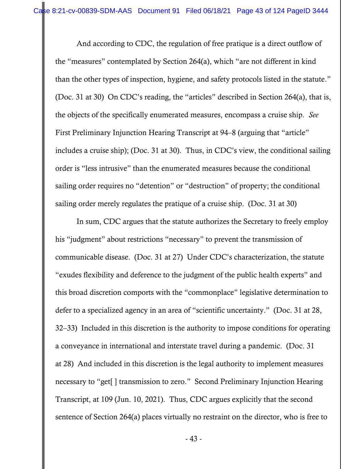And according to CDC, the regulation of free pratique is a direct outflow of the "measures" contemplated by Section 264(a), which "are not different in kind than the other types of inspection, hygiene, and safety protocols listed in the statute." (Doc. 31 at 30) On CDC's reading, the "articles" described in Section 264(a), that is, the objects of the specifically enumerated measures, encompass a cruise ship. *See*  First Preliminary Injunction Hearing Transcript at 94–8 (arguing that "article" includes a cruise ship); (Doc. 31 at 30). Thus, in CDC's view, the conditional sailing order is "less intrusive" than the enumerated measures because the conditional sailing order requires no "detention" or "destruction" of property; the conditional sailing order merely regulates the pratique of a cruise ship. (Doc. 31 at 30)

In sum, CDC argues that the statute authorizes the Secretary to freely employ his "judgment" about restrictions "necessary" to prevent the transmission of communicable disease. (Doc. 31 at 27) Under CDC's characterization, the statute "exudes flexibility and deference to the judgment of the public health experts" and this broad discretion comports with the "commonplace" legislative determination to defer to a specialized agency in an area of "scientific uncertainty." (Doc. 31 at 28, 32–33) Included in this discretion is the authority to impose conditions for operating a conveyance in international and interstate travel during a pandemic. (Doc. 31 at 28) And included in this discretion is the legal authority to implement measures necessary to "get[ ] transmission to zero." Second Preliminary Injunction Hearing Transcript, at 109 (Jun. 10, 2021). Thus, CDC argues explicitly that the second sentence of Section 264(a) places virtually no restraint on the director, who is free to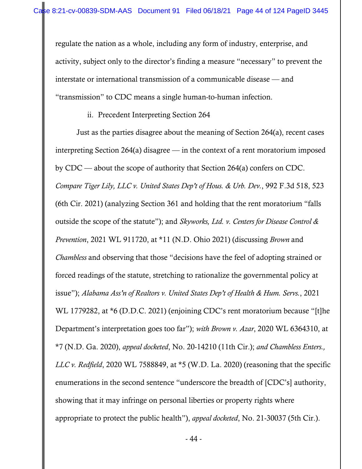regulate the nation as a whole, including any form of industry, enterprise, and activity, subject only to the director's finding a measure "necessary" to prevent the interstate or international transmission of a communicable disease — and "transmission" to CDC means a single human-to-human infection.

### ii. Precedent Interpreting Section 264

Just as the parties disagree about the meaning of Section 264(a), recent cases interpreting Section 264(a) disagree — in the context of a rent moratorium imposed by CDC — about the scope of authority that Section 264(a) confers on CDC. *Compare Tiger Lily, LLC v. United States Dep't of Hous. & Urb. Dev.*, 992 F.3d 518, 523 (6th Cir. 2021) (analyzing Section 361 and holding that the rent moratorium "falls outside the scope of the statute"); and *Skyworks, Ltd. v. Centers for Disease Control & Prevention*, 2021 WL 911720, at \*11 (N.D. Ohio 2021) (discussing *Brown* and *Chambless* and observing that those "decisions have the feel of adopting strained or forced readings of the statute, stretching to rationalize the governmental policy at issue"); *Alabama Ass'n of Realtors v. United States Dep't of Health & Hum. Servs.*, 2021 WL 1779282, at \*6 (D.D.C. 2021) (enjoining CDC's rent moratorium because "[t]he Department's interpretation goes too far"); *with Brown v. Azar*, 2020 WL 6364310, at \*7 (N.D. Ga. 2020), *appeal docketed*, No. 20-14210 (11th Cir.); *and Chambless Enters., LLC v. Redfield*, 2020 WL 7588849, at \*5 (W.D. La. 2020) (reasoning that the specific enumerations in the second sentence "underscore the breadth of [CDC's] authority, showing that it may infringe on personal liberties or property rights where appropriate to protect the public health"), *appeal docketed*, No. 21-30037 (5th Cir.).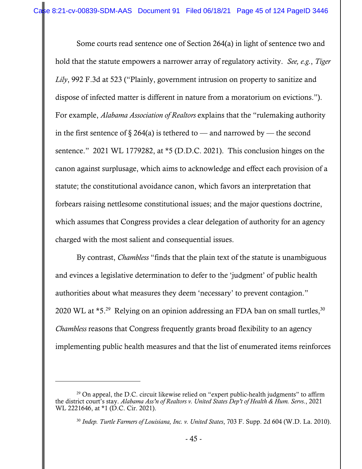Some courts read sentence one of Section 264(a) in light of sentence two and hold that the statute empowers a narrower array of regulatory activity. *See, e.g.*, *Tiger Lily*, 992 F.3d at 523 ("Plainly, government intrusion on property to sanitize and dispose of infected matter is different in nature from a moratorium on evictions."). For example, *Alabama Association of Realtors* explains that the "rulemaking authority in the first sentence of § 264(a) is tethered to — and narrowed by — the second sentence." 2021 WL 1779282, at \*5 (D.D.C. 2021). This conclusion hinges on the canon against surplusage, which aims to acknowledge and effect each provision of a statute; the constitutional avoidance canon, which favors an interpretation that forbears raising nettlesome constitutional issues; and the major questions doctrine, which assumes that Congress provides a clear delegation of authority for an agency charged with the most salient and consequential issues.

By contrast, *Chambless* "finds that the plain text of the statute is unambiguous and evinces a legislative determination to defer to the 'judgment' of public health authorities about what measures they deem 'necessary' to prevent contagion." 2020 WL at  $*5.^{29}$  Relying on an opinion addressing an FDA ban on small turtles,  $30$ *Chambless* reasons that Congress frequently grants broad flexibility to an agency implementing public health measures and that the list of enumerated items reinforces

 $29$  On appeal, the D.C. circuit likewise relied on "expert public-health judgments" to affirm the district court's stay. *Alabama Ass'n of Realtors v. United States Dep't of Health & Hum. Servs*., 2021 WL 2221646, at \*1 (D.C. Cir. 2021).

<sup>30</sup> *Indep. Turtle Farmers of Louisiana, Inc. v. United States*, 703 F. Supp. 2d 604 (W.D. La. 2010).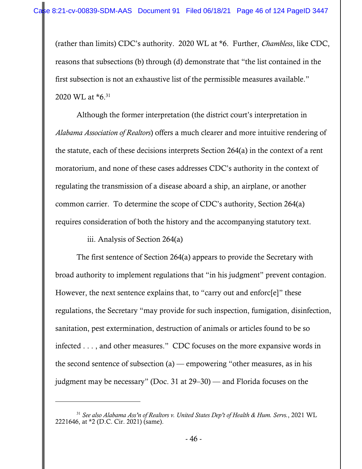(rather than limits) CDC's authority. 2020 WL at \*6. Further, *Chambless*, like CDC, reasons that subsections (b) through (d) demonstrate that "the list contained in the first subsection is not an exhaustive list of the permissible measures available." 2020 WL at \*6.31

Although the former interpretation (the district court's interpretation in *Alabama Association of Realtors*) offers a much clearer and more intuitive rendering of the statute, each of these decisions interprets Section 264(a) in the context of a rent moratorium, and none of these cases addresses CDC's authority in the context of regulating the transmission of a disease aboard a ship, an airplane, or another common carrier. To determine the scope of CDC's authority, Section 264(a) requires consideration of both the history and the accompanying statutory text.

iii. Analysis of Section 264(a)

The first sentence of Section 264(a) appears to provide the Secretary with broad authority to implement regulations that "in his judgment" prevent contagion. However, the next sentence explains that, to "carry out and enforc[e]" these regulations, the Secretary "may provide for such inspection, fumigation, disinfection, sanitation, pest extermination, destruction of animals or articles found to be so infected . . . , and other measures." CDC focuses on the more expansive words in the second sentence of subsection  $(a)$  — empowering "other measures, as in his judgment may be necessary" (Doc. 31 at 29–30) — and Florida focuses on the

<sup>31</sup> *See also Alabama Ass'n of Realtors v. United States Dep't of Health & Hum. Servs.*, 2021 WL 2221646, at \*2 (D.C. Cir. 2021) (same).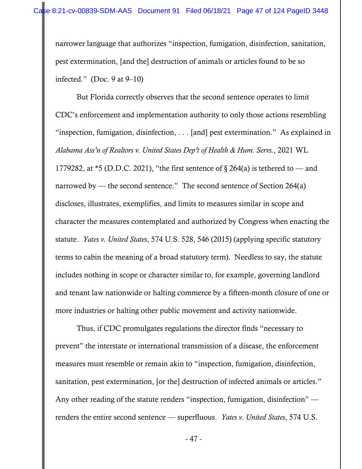narrower language that authorizes "inspection, fumigation, disinfection, sanitation, pest extermination, [and the] destruction of animals or articles found to be so infected." (Doc. 9 at 9–10)

But Florida correctly observes that the second sentence operates to limit CDC's enforcement and implementation authority to only those actions resembling "inspection, fumigation, disinfection, . . . [and] pest extermination." As explained in *Alabama Ass'n of Realtors v. United States Dep't of Health & Hum. Servs.*, 2021 WL 1779282, at  $*5$  (D.D.C. 2021), "the first sentence of § 264(a) is tethered to — and narrowed by — the second sentence." The second sentence of Section 264(a) discloses, illustrates, exemplifies, and limits to measures similar in scope and character the measures contemplated and authorized by Congress when enacting the statute. *Yates v. United States*, 574 U.S. 528, 546 (2015) (applying specific statutory terms to cabin the meaning of a broad statutory term). Needless to say, the statute includes nothing in scope or character similar to, for example, governing landlord and tenant law nationwide or halting commerce by a fifteen-month closure of one or more industries or halting other public movement and activity nationwide.

Thus, if CDC promulgates regulations the director finds "necessary to prevent" the interstate or international transmission of a disease, the enforcement measures must resemble or remain akin to "inspection, fumigation, disinfection, sanitation, pest extermination, [or the] destruction of infected animals or articles." Any other reading of the statute renders "inspection, fumigation, disinfection" renders the entire second sentence — superfluous. *Yates v. United States*, 574 U.S.

- 47 -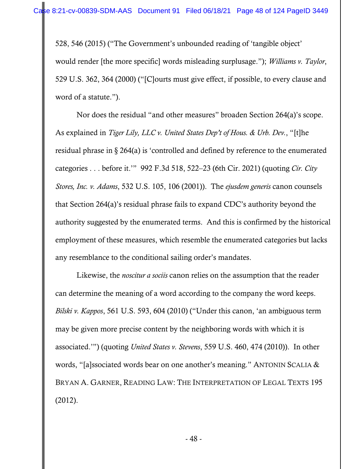528, 546 (2015) ("The Government's unbounded reading of 'tangible object' would render [the more specific] words misleading surplusage."); *Williams v. Taylor*, 529 U.S. 362, 364 (2000) ("[C]ourts must give effect, if possible, to every clause and word of a statute.").

Nor does the residual "and other measures" broaden Section 264(a)'s scope. As explained in *Tiger Lily, LLC v. United States Dep't of Hous. & Urb. Dev.*, "[t]he residual phrase in § 264(a) is 'controlled and defined by reference to the enumerated categories . . . before it.'" 992 F.3d 518, 522–23 (6th Cir. 2021) (quoting *Cir. City Stores, Inc. v. Adams*, 532 U.S. 105, 106 (2001)). The *ejusdem generis* canon counsels that Section 264(a)'s residual phrase fails to expand CDC's authority beyond the authority suggested by the enumerated terms. And this is confirmed by the historical employment of these measures, which resemble the enumerated categories but lacks any resemblance to the conditional sailing order's mandates.

Likewise, the *noscitur a sociis* canon relies on the assumption that the reader can determine the meaning of a word according to the company the word keeps. *Bilski v. Kappos*, 561 U.S. 593, 604 (2010) ("Under this canon, 'an ambiguous term may be given more precise content by the neighboring words with which it is associated.'") (quoting *United States v. Stevens*, 559 U.S. 460, 474 (2010)). In other words, "[a]ssociated words bear on one another's meaning." ANTONIN SCALIA & BRYAN A. GARNER, READING LAW: THE INTERPRETATION OF LEGAL TEXTS 195 (2012).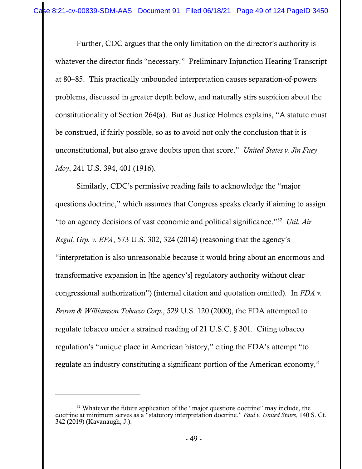Further, CDC argues that the only limitation on the director's authority is whatever the director finds "necessary." Preliminary Injunction Hearing Transcript at 80–85. This practically unbounded interpretation causes separation-of-powers problems, discussed in greater depth below, and naturally stirs suspicion about the constitutionality of Section 264(a). But as Justice Holmes explains, "A statute must be construed, if fairly possible, so as to avoid not only the conclusion that it is unconstitutional, but also grave doubts upon that score." *United States v. Jin Fuey Moy*, 241 U.S. 394, 401 (1916).

Similarly, CDC's permissive reading fails to acknowledge the "major questions doctrine," which assumes that Congress speaks clearly if aiming to assign "to an agency decisions of vast economic and political significance."32 *Util. Air Regul. Grp. v. EPA*, 573 U.S. 302, 324 (2014) (reasoning that the agency's "interpretation is also unreasonable because it would bring about an enormous and transformative expansion in [the agency's] regulatory authority without clear congressional authorization") (internal citation and quotation omitted). In *FDA v. Brown & Williamson Tobacco Corp.*, 529 U.S. 120 (2000), the FDA attempted to regulate tobacco under a strained reading of 21 U.S.C. § 301. Citing tobacco regulation's "unique place in American history," citing the FDA's attempt "to regulate an industry constituting a significant portion of the American economy,"

<sup>&</sup>lt;sup>32</sup> Whatever the future application of the "major questions doctrine" may include, the doctrine at minimum serves as a "statutory interpretation doctrine." *Paul v. United States*, 140 S. Ct. 342 (2019) (Kavanaugh, J.).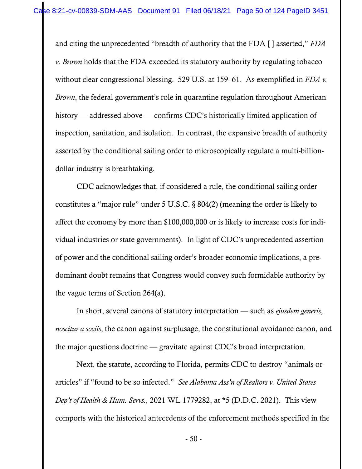and citing the unprecedented "breadth of authority that the FDA [ ] asserted," *FDA v. Brown* holds that the FDA exceeded its statutory authority by regulating tobacco without clear congressional blessing. 529 U.S. at 159–61. As exemplified in *FDA v. Brown*, the federal government's role in quarantine regulation throughout American history — addressed above — confirms CDC's historically limited application of inspection, sanitation, and isolation. In contrast, the expansive breadth of authority asserted by the conditional sailing order to microscopically regulate a multi-billiondollar industry is breathtaking.

CDC acknowledges that, if considered a rule, the conditional sailing order constitutes a "major rule" under 5 U.S.C. § 804(2) (meaning the order is likely to affect the economy by more than \$100,000,000 or is likely to increase costs for individual industries or state governments). In light of CDC's unprecedented assertion of power and the conditional sailing order's broader economic implications, a predominant doubt remains that Congress would convey such formidable authority by the vague terms of Section 264(a).

In short, several canons of statutory interpretation — such as *ejusdem generis*, *noscitur a sociis*, the canon against surplusage, the constitutional avoidance canon, and the major questions doctrine — gravitate against CDC's broad interpretation.

Next, the statute, according to Florida, permits CDC to destroy "animals or articles" if "found to be so infected." *See Alabama Ass'n of Realtors v. United States Dep't of Health & Hum. Servs.*, 2021 WL 1779282, at \*5 (D.D.C. 2021). This view comports with the historical antecedents of the enforcement methods specified in the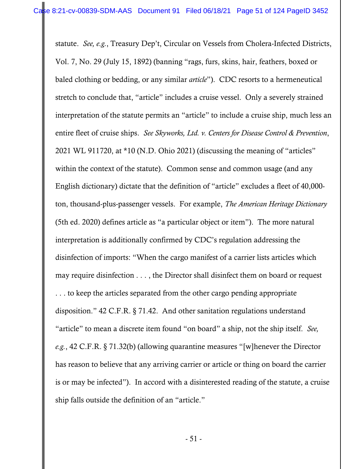statute. *See, e.g.*, Treasury Dep't, Circular on Vessels from Cholera-Infected Districts, Vol. 7, No. 29 (July 15, 1892) (banning "rags, furs, skins, hair, feathers, boxed or baled clothing or bedding, or any similar *article*"). CDC resorts to a hermeneutical stretch to conclude that, "article" includes a cruise vessel. Only a severely strained interpretation of the statute permits an "article" to include a cruise ship, much less an entire fleet of cruise ships. *See Skyworks, Ltd. v. Centers for Disease Control & Prevention*, 2021 WL 911720, at \*10 (N.D. Ohio 2021) (discussing the meaning of "articles" within the context of the statute). Common sense and common usage (and any English dictionary) dictate that the definition of "article" excludes a fleet of 40,000 ton, thousand-plus-passenger vessels. For example, *The American Heritage Dictionary* (5th ed. 2020) defines article as "a particular object or item"). The more natural interpretation is additionally confirmed by CDC's regulation addressing the disinfection of imports: "When the cargo manifest of a carrier lists articles which may require disinfection . . . , the Director shall disinfect them on board or request . . . to keep the articles separated from the other cargo pending appropriate disposition." 42 C.F.R. § 71.42. And other sanitation regulations understand "article" to mean a discrete item found "on board" a ship, not the ship itself. *See, e.g.*, 42 C.F.R. § 71.32(b) (allowing quarantine measures "[w]henever the Director has reason to believe that any arriving carrier or article or thing on board the carrier is or may be infected"). In accord with a disinterested reading of the statute, a cruise ship falls outside the definition of an "article."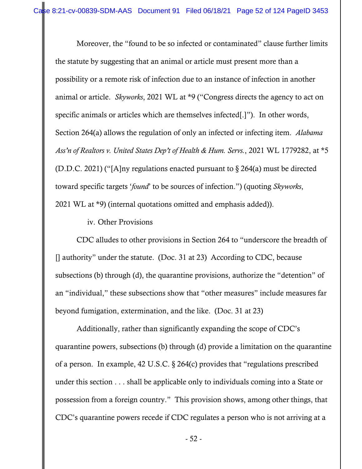Moreover, the "found to be so infected or contaminated" clause further limits the statute by suggesting that an animal or article must present more than a possibility or a remote risk of infection due to an instance of infection in another animal or article. *Skyworks*, 2021 WL at \*9 ("Congress directs the agency to act on specific animals or articles which are themselves infected[.]"). In other words, Section 264(a) allows the regulation of only an infected or infecting item. *Alabama Ass'n of Realtors v. United States Dep't of Health & Hum. Servs.*, 2021 WL 1779282, at \*5 (D.D.C. 2021) ("[A]ny regulations enacted pursuant to § 264(a) must be directed toward specific targets '*found*' to be sources of infection.") (quoting *Skyworks*, 2021 WL at \*9) (internal quotations omitted and emphasis added)).

iv. Other Provisions

CDC alludes to other provisions in Section 264 to "underscore the breadth of [] authority" under the statute. (Doc. 31 at 23) According to CDC, because subsections (b) through (d), the quarantine provisions, authorize the "detention" of an "individual," these subsections show that "other measures" include measures far beyond fumigation, extermination, and the like. (Doc. 31 at 23)

Additionally, rather than significantly expanding the scope of CDC's quarantine powers, subsections (b) through (d) provide a limitation on the quarantine of a person. In example, 42 U.S.C. § 264(c) provides that "regulations prescribed under this section . . . shall be applicable only to individuals coming into a State or possession from a foreign country." This provision shows, among other things, that CDC's quarantine powers recede if CDC regulates a person who is not arriving at a

- 52 -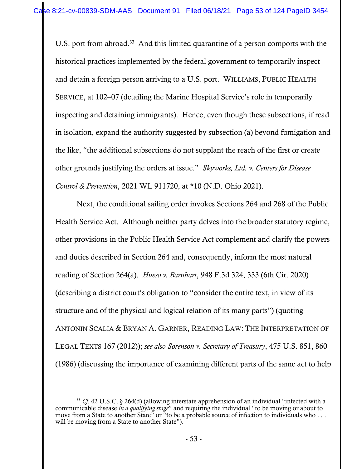U.S. port from abroad.<sup>33</sup> And this limited quarantine of a person comports with the historical practices implemented by the federal government to temporarily inspect and detain a foreign person arriving to a U.S. port. WILLIAMS, PUBLIC HEALTH SERVICE, at 102–07 (detailing the Marine Hospital Service's role in temporarily inspecting and detaining immigrants). Hence, even though these subsections, if read in isolation, expand the authority suggested by subsection (a) beyond fumigation and the like, "the additional subsections do not supplant the reach of the first or create other grounds justifying the orders at issue." *Skyworks, Ltd. v. Centers for Disease Control & Prevention*, 2021 WL 911720, at \*10 (N.D. Ohio 2021).

Next, the conditional sailing order invokes Sections 264 and 268 of the Public Health Service Act. Although neither party delves into the broader statutory regime, other provisions in the Public Health Service Act complement and clarify the powers and duties described in Section 264 and, consequently, inform the most natural reading of Section 264(a). *Hueso v. Barnhart*, 948 F.3d 324, 333 (6th Cir. 2020) (describing a district court's obligation to "consider the entire text, in view of its structure and of the physical and logical relation of its many parts") (quoting ANTONIN SCALIA & BRYAN A. GARNER, READING LAW: THE INTERPRETATION OF LEGAL TEXTS 167 (2012)); *see also Sorenson v. Secretary of Treasury*, 475 U.S. 851, 860 (1986) (discussing the importance of examining different parts of the same act to help

<sup>33</sup> *Cf.* 42 U.S.C. § 264(d) (allowing interstate apprehension of an individual "infected with a communicable disease *in a qualifying stage*" and requiring the individual "to be moving or about to move from a State to another State" or "to be a probable source of infection to individuals who . . . will be moving from a State to another State").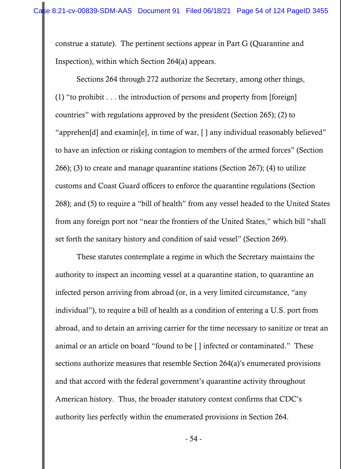construe a statute). The pertinent sections appear in Part G (Quarantine and Inspection), within which Section 264(a) appears.

Sections 264 through 272 authorize the Secretary, among other things, (1) "to prohibit . . . the introduction of persons and property from [foreign] countries" with regulations approved by the president (Section 265); (2) to "apprehen[d] and examin[e], in time of war, [ ] any individual reasonably believed" to have an infection or risking contagion to members of the armed forces" (Section 266); (3) to create and manage quarantine stations (Section 267); (4) to utilize customs and Coast Guard officers to enforce the quarantine regulations (Section 268); and (5) to require a "bill of health" from any vessel headed to the United States from any foreign port not "near the frontiers of the United States," which bill "shall set forth the sanitary history and condition of said vessel" (Section 269).

These statutes contemplate a regime in which the Secretary maintains the authority to inspect an incoming vessel at a quarantine station, to quarantine an infected person arriving from abroad (or, in a very limited circumstance, "any individual"), to require a bill of health as a condition of entering a U.S. port from abroad, and to detain an arriving carrier for the time necessary to sanitize or treat an animal or an article on board "found to be [ ] infected or contaminated." These sections authorize measures that resemble Section 264(a)'s enumerated provisions and that accord with the federal government's quarantine activity throughout American history. Thus, the broader statutory context confirms that CDC's authority lies perfectly within the enumerated provisions in Section 264.

- 54 -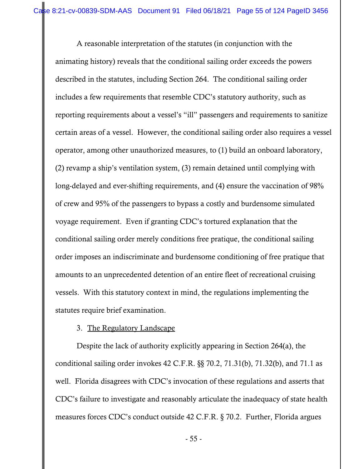A reasonable interpretation of the statutes (in conjunction with the animating history) reveals that the conditional sailing order exceeds the powers described in the statutes, including Section 264. The conditional sailing order includes a few requirements that resemble CDC's statutory authority, such as reporting requirements about a vessel's "ill" passengers and requirements to sanitize certain areas of a vessel. However, the conditional sailing order also requires a vessel operator, among other unauthorized measures, to (1) build an onboard laboratory, (2) revamp a ship's ventilation system, (3) remain detained until complying with long-delayed and ever-shifting requirements, and (4) ensure the vaccination of 98% of crew and 95% of the passengers to bypass a costly and burdensome simulated voyage requirement. Even if granting CDC's tortured explanation that the conditional sailing order merely conditions free pratique, the conditional sailing order imposes an indiscriminate and burdensome conditioning of free pratique that amounts to an unprecedented detention of an entire fleet of recreational cruising vessels. With this statutory context in mind, the regulations implementing the statutes require brief examination.

### 3. The Regulatory Landscape

Despite the lack of authority explicitly appearing in Section 264(a), the conditional sailing order invokes 42 C.F.R. §§ 70.2, 71.31(b), 71.32(b), and 71.1 as well. Florida disagrees with CDC's invocation of these regulations and asserts that CDC's failure to investigate and reasonably articulate the inadequacy of state health measures forces CDC's conduct outside 42 C.F.R. § 70.2. Further, Florida argues

- 55 -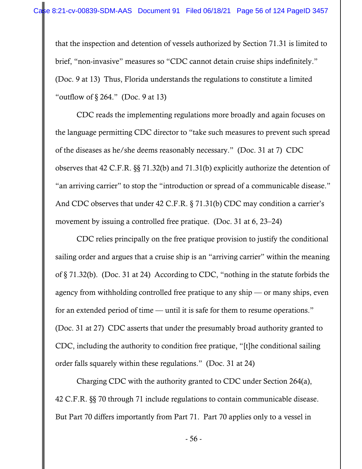that the inspection and detention of vessels authorized by Section 71.31 is limited to brief, "non-invasive" measures so "CDC cannot detain cruise ships indefinitely." (Doc. 9 at 13) Thus, Florida understands the regulations to constitute a limited "outflow of  $\S 264$ ." (Doc. 9 at 13)

CDC reads the implementing regulations more broadly and again focuses on the language permitting CDC director to "take such measures to prevent such spread of the diseases as he/she deems reasonably necessary." (Doc. 31 at 7) CDC observes that 42 C.F.R. §§ 71.32(b) and 71.31(b) explicitly authorize the detention of "an arriving carrier" to stop the "introduction or spread of a communicable disease." And CDC observes that under 42 C.F.R. § 71.31(b) CDC may condition a carrier's movement by issuing a controlled free pratique. (Doc. 31 at 6, 23–24)

CDC relies principally on the free pratique provision to justify the conditional sailing order and argues that a cruise ship is an "arriving carrier" within the meaning of § 71.32(b). (Doc. 31 at 24) According to CDC, "nothing in the statute forbids the agency from withholding controlled free pratique to any ship — or many ships, even for an extended period of time — until it is safe for them to resume operations." (Doc. 31 at 27) CDC asserts that under the presumably broad authority granted to CDC, including the authority to condition free pratique, "[t]he conditional sailing order falls squarely within these regulations." (Doc. 31 at 24)

Charging CDC with the authority granted to CDC under Section 264(a), 42 C.F.R. §§ 70 through 71 include regulations to contain communicable disease. But Part 70 differs importantly from Part 71. Part 70 applies only to a vessel in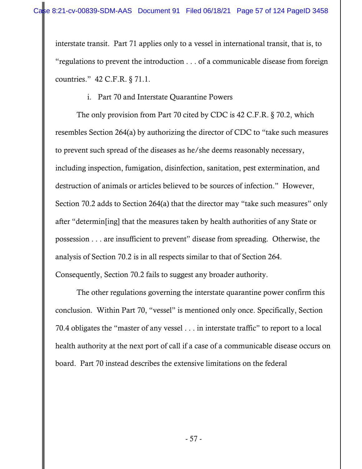interstate transit. Part 71 applies only to a vessel in international transit, that is, to "regulations to prevent the introduction . . . of a communicable disease from foreign countries." 42 C.F.R. § 71.1.

# i. Part 70 and Interstate Quarantine Powers

The only provision from Part 70 cited by CDC is 42 C.F.R. § 70.2, which resembles Section 264(a) by authorizing the director of CDC to "take such measures to prevent such spread of the diseases as he/she deems reasonably necessary, including inspection, fumigation, disinfection, sanitation, pest extermination, and destruction of animals or articles believed to be sources of infection." However, Section 70.2 adds to Section 264(a) that the director may "take such measures" only after "determin[ing] that the measures taken by health authorities of any State or possession . . . are insufficient to prevent" disease from spreading. Otherwise, the analysis of Section 70.2 is in all respects similar to that of Section 264. Consequently, Section 70.2 fails to suggest any broader authority.

The other regulations governing the interstate quarantine power confirm this conclusion. Within Part 70, "vessel" is mentioned only once. Specifically, Section 70.4 obligates the "master of any vessel . . . in interstate traffic" to report to a local health authority at the next port of call if a case of a communicable disease occurs on board. Part 70 instead describes the extensive limitations on the federal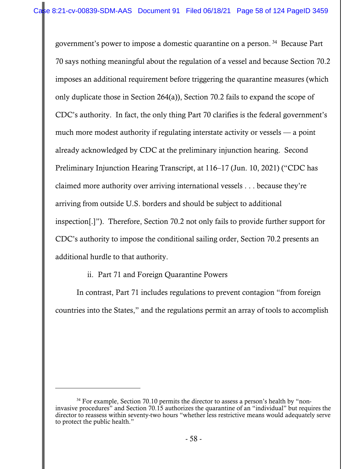government's power to impose a domestic quarantine on a person. 34 Because Part 70 says nothing meaningful about the regulation of a vessel and because Section 70.2 imposes an additional requirement before triggering the quarantine measures (which only duplicate those in Section 264(a)), Section 70.2 fails to expand the scope of CDC's authority. In fact, the only thing Part 70 clarifies is the federal government's much more modest authority if regulating interstate activity or vessels — a point already acknowledged by CDC at the preliminary injunction hearing. Second Preliminary Injunction Hearing Transcript, at 116–17 (Jun. 10, 2021) ("CDC has claimed more authority over arriving international vessels . . . because they're arriving from outside U.S. borders and should be subject to additional inspection[.]"). Therefore, Section 70.2 not only fails to provide further support for CDC's authority to impose the conditional sailing order, Section 70.2 presents an additional hurdle to that authority.

ii. Part 71 and Foreign Quarantine Powers

In contrast, Part 71 includes regulations to prevent contagion "from foreign countries into the States," and the regulations permit an array of tools to accomplish

 $34$  For example, Section 70.10 permits the director to assess a person's health by "noninvasive procedures" and Section 70.15 authorizes the quarantine of an "individual" but requires the director to reassess within seventy-two hours "whether less restrictive means would adequately serve to protect the public health."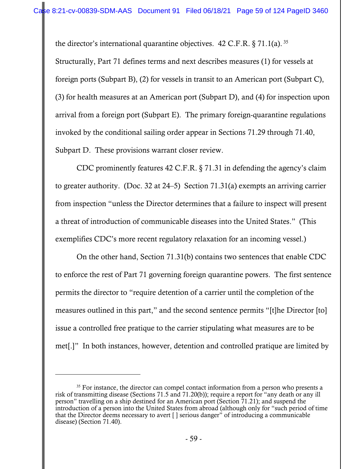the director's international quarantine objectives. 42 C.F.R.  $\S 71.1(a)$ . 35

Structurally, Part 71 defines terms and next describes measures (1) for vessels at foreign ports (Subpart B), (2) for vessels in transit to an American port (Subpart C), (3) for health measures at an American port (Subpart D), and (4) for inspection upon arrival from a foreign port (Subpart E). The primary foreign-quarantine regulations invoked by the conditional sailing order appear in Sections 71.29 through 71.40, Subpart D. These provisions warrant closer review.

CDC prominently features 42 C.F.R. § 71.31 in defending the agency's claim to greater authority. (Doc. 32 at 24–5) Section 71.31(a) exempts an arriving carrier from inspection "unless the Director determines that a failure to inspect will present a threat of introduction of communicable diseases into the United States." (This exemplifies CDC's more recent regulatory relaxation for an incoming vessel.)

On the other hand, Section 71.31(b) contains two sentences that enable CDC to enforce the rest of Part 71 governing foreign quarantine powers. The first sentence permits the director to "require detention of a carrier until the completion of the measures outlined in this part," and the second sentence permits "[t]he Director [to] issue a controlled free pratique to the carrier stipulating what measures are to be met[.]" In both instances, however, detention and controlled pratique are limited by

<sup>&</sup>lt;sup>35</sup> For instance, the director can compel contact information from a person who presents a risk of transmitting disease (Sections 71.5 and 71.20(b)); require a report for "any death or any ill person" travelling on a ship destined for an American port (Section 71.21); and suspend the introduction of a person into the United States from abroad (although only for "such period of time that the Director deems necessary to avert [ ] serious danger" of introducing a communicable disease) (Section 71.40).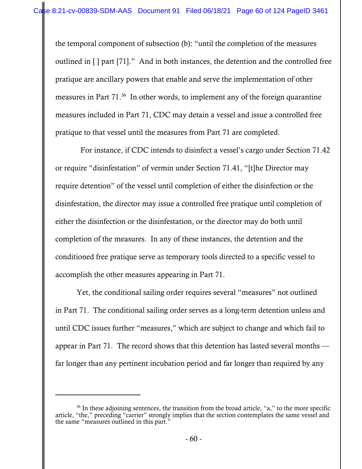the temporal component of subsection (b): "until the completion of the measures outlined in [ ] part [71]." And in both instances, the detention and the controlled free pratique are ancillary powers that enable and serve the implementation of other measures in Part 71.36 In other words, to implement any of the foreign quarantine measures included in Part 71, CDC may detain a vessel and issue a controlled free pratique to that vessel until the measures from Part 71 are completed.

 For instance, if CDC intends to disinfect a vessel's cargo under Section 71.42 or require "disinfestation" of vermin under Section 71.41, "[t]he Director may require detention" of the vessel until completion of either the disinfection or the disinfestation, the director may issue a controlled free pratique until completion of either the disinfection or the disinfestation, or the director may do both until completion of the measures. In any of these instances, the detention and the conditioned free pratique serve as temporary tools directed to a specific vessel to accomplish the other measures appearing in Part 71.

Yet, the conditional sailing order requires several "measures" not outlined in Part 71. The conditional sailing order serves as a long-term detention unless and until CDC issues further "measures," which are subject to change and which fail to appear in Part 71. The record shows that this detention has lasted several months far longer than any pertinent incubation period and far longer than required by any

 $36$  In these adjoining sentences, the transition from the broad article, "a," to the more specific article, "the," preceding "carrier" strongly implies that the section contemplates the same vessel and the same "measures outlined in this part."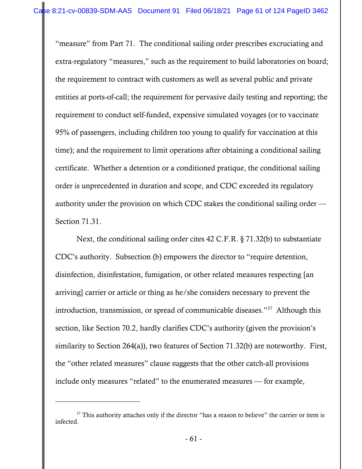"measure" from Part 71. The conditional sailing order prescribes excruciating and extra-regulatory "measures," such as the requirement to build laboratories on board; the requirement to contract with customers as well as several public and private entities at ports-of-call; the requirement for pervasive daily testing and reporting; the requirement to conduct self-funded, expensive simulated voyages (or to vaccinate 95% of passengers, including children too young to qualify for vaccination at this time); and the requirement to limit operations after obtaining a conditional sailing certificate. Whether a detention or a conditioned pratique, the conditional sailing order is unprecedented in duration and scope, and CDC exceeded its regulatory authority under the provision on which CDC stakes the conditional sailing order — Section 71.31.

Next, the conditional sailing order cites 42 C.F.R. § 71.32(b) to substantiate CDC's authority. Subsection (b) empowers the director to "require detention, disinfection, disinfestation, fumigation, or other related measures respecting [an arriving] carrier or article or thing as he/she considers necessary to prevent the introduction, transmission, or spread of communicable diseases."37 Although this section, like Section 70.2, hardly clarifies CDC's authority (given the provision's similarity to Section 264(a)), two features of Section 71.32(b) are noteworthy. First, the "other related measures" clause suggests that the other catch-all provisions include only measures "related" to the enumerated measures — for example,

<sup>&</sup>lt;sup>37</sup> This authority attaches only if the director "has a reason to believe" the carrier or item is infected.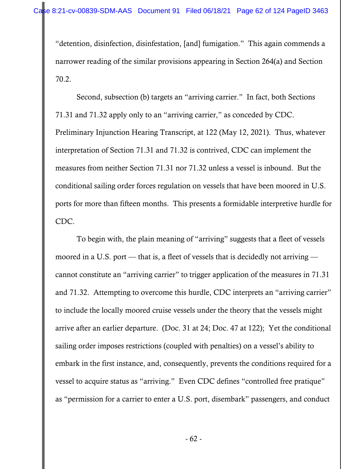"detention, disinfection, disinfestation, [and] fumigation." This again commends a narrower reading of the similar provisions appearing in Section 264(a) and Section 70.2.

Second, subsection (b) targets an "arriving carrier." In fact, both Sections 71.31 and 71.32 apply only to an "arriving carrier," as conceded by CDC. Preliminary Injunction Hearing Transcript, at 122 (May 12, 2021). Thus, whatever interpretation of Section 71.31 and 71.32 is contrived, CDC can implement the measures from neither Section 71.31 nor 71.32 unless a vessel is inbound. But the conditional sailing order forces regulation on vessels that have been moored in U.S. ports for more than fifteen months. This presents a formidable interpretive hurdle for CDC.

To begin with, the plain meaning of "arriving" suggests that a fleet of vessels moored in a U.S. port — that is, a fleet of vessels that is decidedly not arriving cannot constitute an "arriving carrier" to trigger application of the measures in 71.31 and 71.32. Attempting to overcome this hurdle, CDC interprets an "arriving carrier" to include the locally moored cruise vessels under the theory that the vessels might arrive after an earlier departure. (Doc. 31 at 24; Doc. 47 at 122); Yet the conditional sailing order imposes restrictions (coupled with penalties) on a vessel's ability to embark in the first instance, and, consequently, prevents the conditions required for a vessel to acquire status as "arriving." Even CDC defines "controlled free pratique" as "permission for a carrier to enter a U.S. port, disembark" passengers, and conduct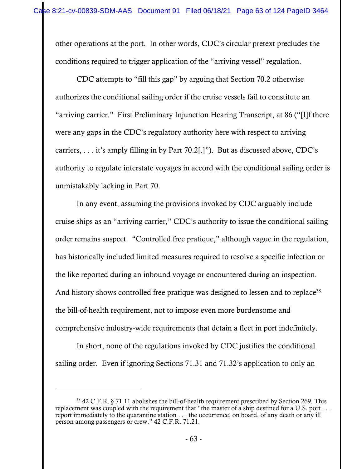other operations at the port. In other words, CDC's circular pretext precludes the conditions required to trigger application of the "arriving vessel" regulation.

CDC attempts to "fill this gap" by arguing that Section 70.2 otherwise authorizes the conditional sailing order if the cruise vessels fail to constitute an "arriving carrier." First Preliminary Injunction Hearing Transcript, at 86 ("[I]f there were any gaps in the CDC's regulatory authority here with respect to arriving carriers, . . . it's amply filling in by Part 70.2[.]"). But as discussed above, CDC's authority to regulate interstate voyages in accord with the conditional sailing order is unmistakably lacking in Part 70.

In any event, assuming the provisions invoked by CDC arguably include cruise ships as an "arriving carrier," CDC's authority to issue the conditional sailing order remains suspect. "Controlled free pratique," although vague in the regulation, has historically included limited measures required to resolve a specific infection or the like reported during an inbound voyage or encountered during an inspection. And history shows controlled free pratique was designed to lessen and to replace<sup>38</sup> the bill-of-health requirement, not to impose even more burdensome and comprehensive industry-wide requirements that detain a fleet in port indefinitely.

In short, none of the regulations invoked by CDC justifies the conditional sailing order. Even if ignoring Sections 71.31 and 71.32's application to only an

<sup>38 42</sup> C.F.R. § 71.11 abolishes the bill-of-health requirement prescribed by Section 269. This replacement was coupled with the requirement that "the master of a ship destined for a U.S. port . . . report immediately to the quarantine station . . . the occurrence, on board, of any death or any ill person among passengers or crew." 42 C.F.R. 71.21.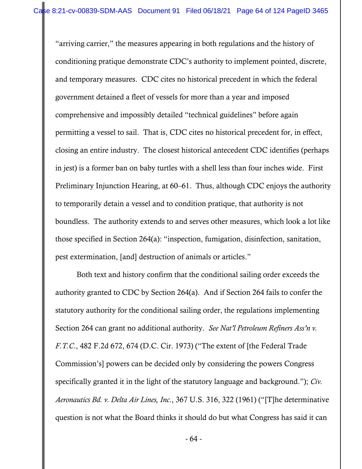"arriving carrier," the measures appearing in both regulations and the history of conditioning pratique demonstrate CDC's authority to implement pointed, discrete, and temporary measures. CDC cites no historical precedent in which the federal government detained a fleet of vessels for more than a year and imposed comprehensive and impossibly detailed "technical guidelines" before again permitting a vessel to sail. That is, CDC cites no historical precedent for, in effect, closing an entire industry. The closest historical antecedent CDC identifies (perhaps in jest) is a former ban on baby turtles with a shell less than four inches wide. First Preliminary Injunction Hearing, at 60–61. Thus, although CDC enjoys the authority to temporarily detain a vessel and to condition pratique, that authority is not boundless. The authority extends to and serves other measures, which look a lot like those specified in Section 264(a): "inspection, fumigation, disinfection, sanitation, pest extermination, [and] destruction of animals or articles."

Both text and history confirm that the conditional sailing order exceeds the authority granted to CDC by Section 264(a). And if Section 264 fails to confer the statutory authority for the conditional sailing order, the regulations implementing Section 264 can grant no additional authority. *See Nat'l Petroleum Refiners Ass'n v. F.T.C*., 482 F.2d 672, 674 (D.C. Cir. 1973) ("The extent of [the Federal Trade Commission's] powers can be decided only by considering the powers Congress specifically granted it in the light of the statutory language and background."); *Civ. Aeronautics Bd. v. Delta Air Lines, Inc*., 367 U.S. 316, 322 (1961) ("[T]he determinative question is not what the Board thinks it should do but what Congress has said it can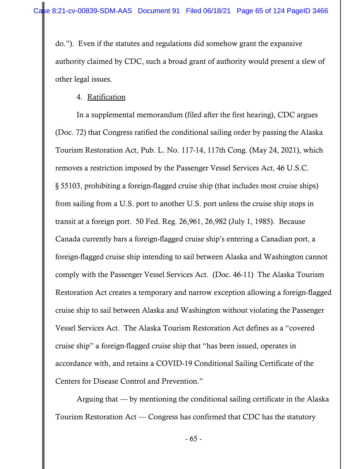do."). Even if the statutes and regulations did somehow grant the expansive authority claimed by CDC, such a broad grant of authority would present a slew of other legal issues.

### 4. Ratification

In a supplemental memorandum (filed after the first hearing), CDC argues (Doc. 72) that Congress ratified the conditional sailing order by passing the Alaska Tourism Restoration Act, Pub. L. No. 117-14, 117th Cong. (May 24, 2021), which removes a restriction imposed by the Passenger Vessel Services Act, 46 U.S.C. § 55103, prohibiting a foreign-flagged cruise ship (that includes most cruise ships) from sailing from a U.S. port to another U.S. port unless the cruise ship stops in transit at a foreign port. 50 Fed. Reg. 26,961, 26,982 (July 1, 1985). Because Canada currently bars a foreign-flagged cruise ship's entering a Canadian port, a foreign-flagged cruise ship intending to sail between Alaska and Washington cannot comply with the Passenger Vessel Services Act. (Doc. 46-11) The Alaska Tourism Restoration Act creates a temporary and narrow exception allowing a foreign-flagged cruise ship to sail between Alaska and Washington without violating the Passenger Vessel Services Act. The Alaska Tourism Restoration Act defines as a "covered cruise ship" a foreign-flagged cruise ship that "has been issued, operates in accordance with, and retains a COVID-19 Conditional Sailing Certificate of the Centers for Disease Control and Prevention."

 Arguing that — by mentioning the conditional sailing certificate in the Alaska Tourism Restoration Act — Congress has confirmed that CDC has the statutory

- 65 -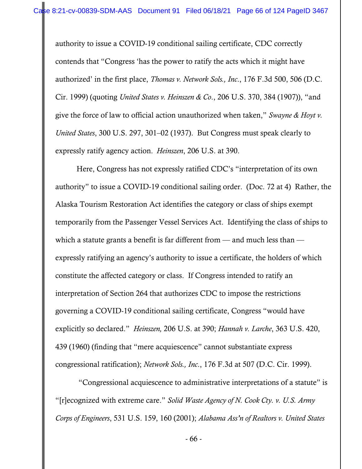authority to issue a COVID-19 conditional sailing certificate, CDC correctly contends that "Congress 'has the power to ratify the acts which it might have authorized' in the first place, *Thomas v. Network Sols., Inc*., 176 F.3d 500, 506 (D.C. Cir. 1999) (quoting *United States v. Heinszen & Co*., 206 U.S. 370, 384 (1907)), "and give the force of law to official action unauthorized when taken," *Swayne & Hoyt v. United States*, 300 U.S. 297, 301–02 (1937). But Congress must speak clearly to expressly ratify agency action. *Heinszen*, 206 U.S. at 390.

 Here, Congress has not expressly ratified CDC's "interpretation of its own authority" to issue a COVID-19 conditional sailing order. (Doc. 72 at 4) Rather, the Alaska Tourism Restoration Act identifies the category or class of ships exempt temporarily from the Passenger Vessel Services Act. Identifying the class of ships to which a statute grants a benefit is far different from — and much less than expressly ratifying an agency's authority to issue a certificate, the holders of which constitute the affected category or class. If Congress intended to ratify an interpretation of Section 264 that authorizes CDC to impose the restrictions governing a COVID-19 conditional sailing certificate, Congress "would have explicitly so declared." *Heinszen,* 206 U.S. at 390; *Hannah v. Larche*, 363 U.S. 420, 439 (1960) (finding that "mere acquiescence" cannot substantiate express congressional ratification); *Network Sols., Inc*., 176 F.3d at 507 (D.C. Cir. 1999).

 "Congressional acquiescence to administrative interpretations of a statute" is "[r]ecognized with extreme care." *Solid Waste Agency of N. Cook Cty. v. U.S. Army Corps of Engineers*, 531 U.S. 159, 160 (2001); *Alabama Ass'n of Realtors v. United States*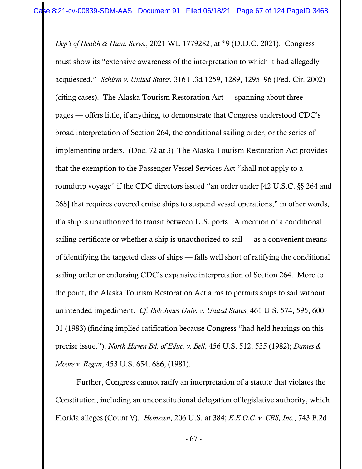*Dep't of Health & Hum. Servs.*, 2021 WL 1779282, at \*9 (D.D.C. 2021). Congress must show its "extensive awareness of the interpretation to which it had allegedly acquiesced." *Schism v. United States*, 316 F.3d 1259, 1289, 1295–96 (Fed. Cir. 2002) (citing cases). The Alaska Tourism Restoration Act — spanning about three pages — offers little, if anything, to demonstrate that Congress understood CDC's broad interpretation of Section 264, the conditional sailing order, or the series of implementing orders. (Doc. 72 at 3) The Alaska Tourism Restoration Act provides that the exemption to the Passenger Vessel Services Act "shall not apply to a roundtrip voyage" if the CDC directors issued "an order under [42 U.S.C. §§ 264 and 268] that requires covered cruise ships to suspend vessel operations," in other words, if a ship is unauthorized to transit between U.S. ports. A mention of a conditional sailing certificate or whether a ship is unauthorized to sail  $-$  as a convenient means of identifying the targeted class of ships — falls well short of ratifying the conditional sailing order or endorsing CDC's expansive interpretation of Section 264. More to the point, the Alaska Tourism Restoration Act aims to permits ships to sail without unintended impediment. *Cf*. *Bob Jones Univ. v. United States*, 461 U.S. 574, 595, 600– 01 (1983) (finding implied ratification because Congress "had held hearings on this precise issue."); *North Haven Bd. of Educ. v. Bell*, 456 U.S. 512, 535 (1982); *Dames & Moore v. Regan*, 453 U.S. 654, 686, (1981).

Further, Congress cannot ratify an interpretation of a statute that violates the Constitution, including an unconstitutional delegation of legislative authority, which Florida alleges (Count V). *Heinszen*, 206 U.S. at 384; *E.E.O.C. v. CBS, Inc*., 743 F.2d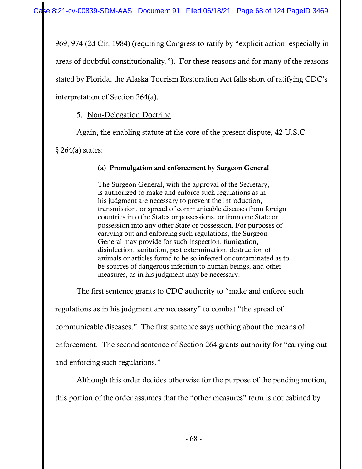969, 974 (2d Cir. 1984) (requiring Congress to ratify by "explicit action, especially in areas of doubtful constitutionality."). For these reasons and for many of the reasons stated by Florida, the Alaska Tourism Restoration Act falls short of ratifying CDC's interpretation of Section 264(a).

## 5. Non-Delegation Doctrine

Again, the enabling statute at the core of the present dispute, 42 U.S.C.

§ 264(a) states:

### (a) Promulgation and enforcement by Surgeon General

The Surgeon General, with the approval of the Secretary, is authorized to make and enforce such regulations as in his judgment are necessary to prevent the introduction, transmission, or spread of communicable diseases from foreign countries into the States or possessions, or from one State or possession into any other State or possession. For purposes of carrying out and enforcing such regulations, the Surgeon General may provide for such inspection, fumigation, disinfection, sanitation, pest extermination, destruction of animals or articles found to be so infected or contaminated as to be sources of dangerous infection to human beings, and other measures, as in his judgment may be necessary.

The first sentence grants to CDC authority to "make and enforce such

regulations as in his judgment are necessary" to combat "the spread of

communicable diseases." The first sentence says nothing about the means of

enforcement. The second sentence of Section 264 grants authority for "carrying out

and enforcing such regulations."

 Although this order decides otherwise for the purpose of the pending motion, this portion of the order assumes that the "other measures" term is not cabined by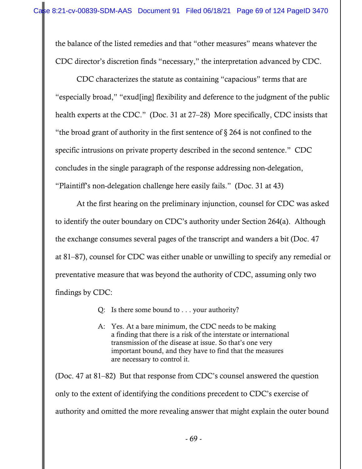the balance of the listed remedies and that "other measures" means whatever the CDC director's discretion finds "necessary," the interpretation advanced by CDC.

 CDC characterizes the statute as containing "capacious" terms that are "especially broad," "exud[ing] flexibility and deference to the judgment of the public health experts at the CDC." (Doc. 31 at 27–28) More specifically, CDC insists that "the broad grant of authority in the first sentence of  $\S 264$  is not confined to the specific intrusions on private property described in the second sentence." CDC concludes in the single paragraph of the response addressing non-delegation, "Plaintiff's non-delegation challenge here easily fails." (Doc. 31 at 43)

 At the first hearing on the preliminary injunction, counsel for CDC was asked to identify the outer boundary on CDC's authority under Section 264(a). Although the exchange consumes several pages of the transcript and wanders a bit (Doc. 47 at 81–87), counsel for CDC was either unable or unwilling to specify any remedial or preventative measure that was beyond the authority of CDC, assuming only two findings by CDC:

Q: Is there some bound to . . . your authority?

A: Yes. At a bare minimum, the CDC needs to be making a finding that there is a risk of the interstate or international transmission of the disease at issue. So that's one very important bound, and they have to find that the measures are necessary to control it.

(Doc. 47 at 81–82) But that response from CDC's counsel answered the question only to the extent of identifying the conditions precedent to CDC's exercise of authority and omitted the more revealing answer that might explain the outer bound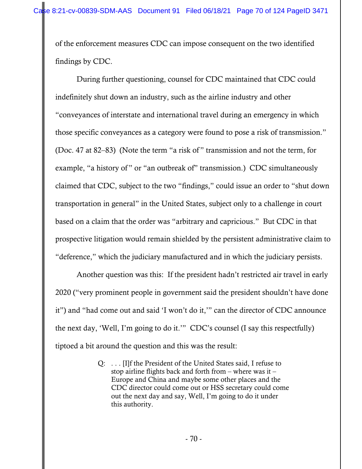of the enforcement measures CDC can impose consequent on the two identified findings by CDC.

 During further questioning, counsel for CDC maintained that CDC could indefinitely shut down an industry, such as the airline industry and other "conveyances of interstate and international travel during an emergency in which those specific conveyances as a category were found to pose a risk of transmission." (Doc. 47 at 82–83) (Note the term "a risk of " transmission and not the term, for example, "a history of" or "an outbreak of" transmission.) CDC simultaneously claimed that CDC, subject to the two "findings," could issue an order to "shut down transportation in general" in the United States, subject only to a challenge in court based on a claim that the order was "arbitrary and capricious." But CDC in that prospective litigation would remain shielded by the persistent administrative claim to "deference," which the judiciary manufactured and in which the judiciary persists.

 Another question was this: If the president hadn't restricted air travel in early 2020 ("very prominent people in government said the president shouldn't have done it") and "had come out and said 'I won't do it,'" can the director of CDC announce the next day, 'Well, I'm going to do it.'" CDC's counsel (I say this respectfully) tiptoed a bit around the question and this was the result:

> Q: . . . [I]f the President of the United States said, I refuse to stop airline flights back and forth from – where was it – Europe and China and maybe some other places and the CDC director could come out or HSS secretary could come out the next day and say, Well, I'm going to do it under this authority.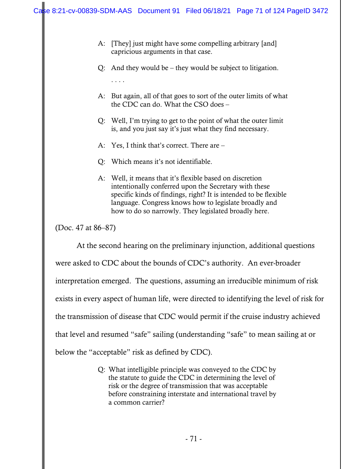- A: [They] just might have some compelling arbitrary [and] capricious arguments in that case.
- Q: And they would be they would be subject to litigation.
- A: But again, all of that goes to sort of the outer limits of what the CDC can do. What the CSO does –
- Q: Well, I'm trying to get to the point of what the outer limit is, and you just say it's just what they find necessary.
- A: Yes, I think that's correct. There are –
- Q: Which means it's not identifiable.
- A: Well, it means that it's flexible based on discretion intentionally conferred upon the Secretary with these specific kinds of findings, right? It is intended to be flexible language. Congress knows how to legislate broadly and how to do so narrowly. They legislated broadly here.

(Doc. 47 at 86–87)

. . . .

 At the second hearing on the preliminary injunction, additional questions were asked to CDC about the bounds of CDC's authority. An ever-broader interpretation emerged. The questions, assuming an irreducible minimum of risk exists in every aspect of human life, were directed to identifying the level of risk for the transmission of disease that CDC would permit if the cruise industry achieved that level and resumed "safe" sailing (understanding "safe" to mean sailing at or below the "acceptable" risk as defined by CDC).

> Q: What intelligible principle was conveyed to the CDC by the statute to guide the CDC in determining the level of risk or the degree of transmission that was acceptable before constraining interstate and international travel by a common carrier?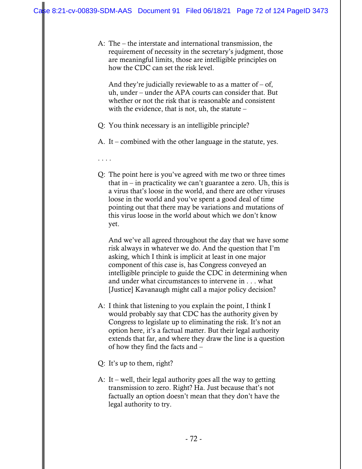A: The – the interstate and international transmission, the requirement of necessity in the secretary's judgment, those are meaningful limits, those are intelligible principles on how the CDC can set the risk level.

And they're judicially reviewable to as a matter of  $-$  of, uh, under – under the APA courts can consider that. But whether or not the risk that is reasonable and consistent with the evidence, that is not, uh, the statute –

- Q: You think necessary is an intelligible principle?
- A. It combined with the other language in the statute, yes.
- . . . .
- Q: The point here is you've agreed with me two or three times that in  $-$  in practicality we can't guarantee a zero. Uh, this is a virus that's loose in the world, and there are other viruses loose in the world and you've spent a good deal of time pointing out that there may be variations and mutations of this virus loose in the world about which we don't know yet.

 And we've all agreed throughout the day that we have some risk always in whatever we do. And the question that I'm asking, which I think is implicit at least in one major component of this case is, has Congress conveyed an intelligible principle to guide the CDC in determining when and under what circumstances to intervene in . . . what [Justice] Kavanaugh might call a major policy decision?

- A: I think that listening to you explain the point, I think I would probably say that CDC has the authority given by Congress to legislate up to eliminating the risk. It's not an option here, it's a factual matter. But their legal authority extends that far, and where they draw the line is a question of how they find the facts and –
- Q: It's up to them, right?
- A: It well, their legal authority goes all the way to getting transmission to zero. Right? Ha. Just because that's not factually an option doesn't mean that they don't have the legal authority to try.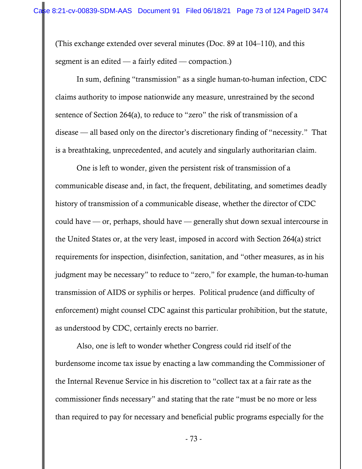(This exchange extended over several minutes (Doc. 89 at 104–110), and this segment is an edited — a fairly edited — compaction.)

 In sum, defining "transmission" as a single human-to-human infection, CDC claims authority to impose nationwide any measure, unrestrained by the second sentence of Section 264(a), to reduce to "zero" the risk of transmission of a disease — all based only on the director's discretionary finding of "necessity." That is a breathtaking, unprecedented, and acutely and singularly authoritarian claim.

 One is left to wonder, given the persistent risk of transmission of a communicable disease and, in fact, the frequent, debilitating, and sometimes deadly history of transmission of a communicable disease, whether the director of CDC could have — or, perhaps, should have — generally shut down sexual intercourse in the United States or, at the very least, imposed in accord with Section 264(a) strict requirements for inspection, disinfection, sanitation, and "other measures, as in his judgment may be necessary" to reduce to "zero," for example, the human-to-human transmission of AIDS or syphilis or herpes. Political prudence (and difficulty of enforcement) might counsel CDC against this particular prohibition, but the statute, as understood by CDC, certainly erects no barrier.

 Also, one is left to wonder whether Congress could rid itself of the burdensome income tax issue by enacting a law commanding the Commissioner of the Internal Revenue Service in his discretion to "collect tax at a fair rate as the commissioner finds necessary" and stating that the rate "must be no more or less than required to pay for necessary and beneficial public programs especially for the

- 73 -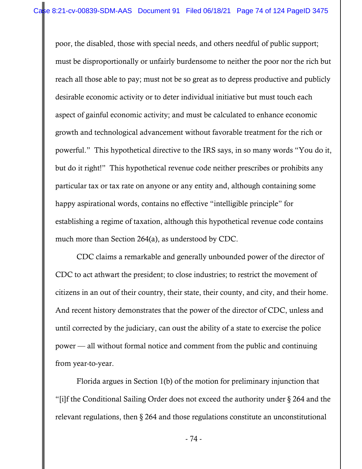poor, the disabled, those with special needs, and others needful of public support; must be disproportionally or unfairly burdensome to neither the poor nor the rich but reach all those able to pay; must not be so great as to depress productive and publicly desirable economic activity or to deter individual initiative but must touch each aspect of gainful economic activity; and must be calculated to enhance economic growth and technological advancement without favorable treatment for the rich or powerful." This hypothetical directive to the IRS says, in so many words "You do it, but do it right!" This hypothetical revenue code neither prescribes or prohibits any particular tax or tax rate on anyone or any entity and, although containing some happy aspirational words, contains no effective "intelligible principle" for establishing a regime of taxation, although this hypothetical revenue code contains much more than Section 264(a), as understood by CDC.

 CDC claims a remarkable and generally unbounded power of the director of CDC to act athwart the president; to close industries; to restrict the movement of citizens in an out of their country, their state, their county, and city, and their home. And recent history demonstrates that the power of the director of CDC, unless and until corrected by the judiciary, can oust the ability of a state to exercise the police power — all without formal notice and comment from the public and continuing from year-to-year.

 Florida argues in Section 1(b) of the motion for preliminary injunction that "[i]f the Conditional Sailing Order does not exceed the authority under § 264 and the relevant regulations, then § 264 and those regulations constitute an unconstitutional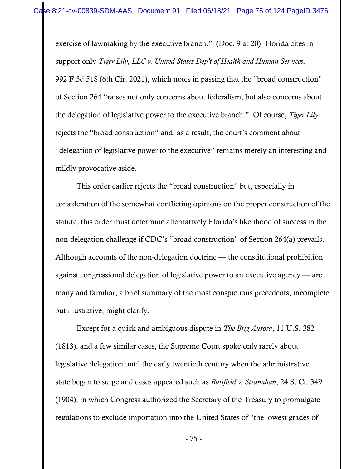exercise of lawmaking by the executive branch." (Doc. 9 at 20) Florida cites in support only *Tiger Lily, LLC v. United States Dep't of Health and Human Services*, 992 F.3d 518 (6th Cir. 2021), which notes in passing that the "broad construction" of Section 264 "raises not only concerns about federalism, but also concerns about the delegation of legislative power to the executive branch." Of course, *Tiger Lily* rejects the "broad construction" and, as a result, the court's comment about "delegation of legislative power to the executive" remains merely an interesting and mildly provocative aside.

 This order earlier rejects the "broad construction" but, especially in consideration of the somewhat conflicting opinions on the proper construction of the statute, this order must determine alternatively Florida's likelihood of success in the non-delegation challenge if CDC's "broad construction" of Section 264(a) prevails. Although accounts of the non-delegation doctrine — the constitutional prohibition against congressional delegation of legislative power to an executive agency — are many and familiar, a brief summary of the most conspicuous precedents, incomplete but illustrative, might clarify.

 Except for a quick and ambiguous dispute in *The Brig Aurora*, 11 U.S. 382 (1813), and a few similar cases, the Supreme Court spoke only rarely about legislative delegation until the early twentieth century when the administrative state began to surge and cases appeared such as *Buttfield v. Stranahan*, 24 S. Ct. 349 (1904), in which Congress authorized the Secretary of the Treasury to promulgate regulations to exclude importation into the United States of "the lowest grades of

- 75 -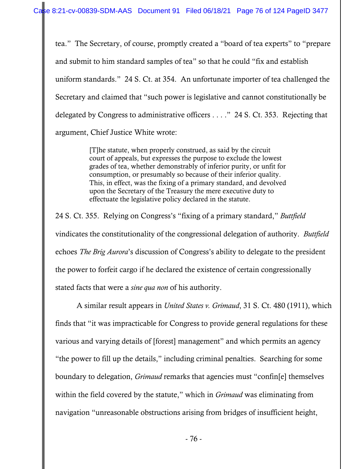tea." The Secretary, of course, promptly created a "board of tea experts" to "prepare and submit to him standard samples of tea" so that he could "fix and establish uniform standards." 24 S. Ct. at 354. An unfortunate importer of tea challenged the Secretary and claimed that "such power is legislative and cannot constitutionally be delegated by Congress to administrative officers . . . ." 24 S. Ct. 353. Rejecting that argument, Chief Justice White wrote:

> [T]he statute, when properly construed, as said by the circuit court of appeals, but expresses the purpose to exclude the lowest grades of tea, whether demonstrably of inferior purity, or unfit for consumption, or presumably so because of their inferior quality. This, in effect, was the fixing of a primary standard, and devolved upon the Secretary of the Treasury the mere executive duty to effectuate the legislative policy declared in the statute.

24 S. Ct. 355. Relying on Congress's "fixing of a primary standard," *Buttfield* vindicates the constitutionality of the congressional delegation of authority. *Buttfield*  echoes *The Brig Aurora*'s discussion of Congress's ability to delegate to the president the power to forfeit cargo if he declared the existence of certain congressionally stated facts that were a *sine qua non* of his authority.

 A similar result appears in *United States v. Grimaud*, 31 S. Ct. 480 (1911), which finds that "it was impracticable for Congress to provide general regulations for these various and varying details of [forest] management" and which permits an agency "the power to fill up the details," including criminal penalties. Searching for some boundary to delegation, *Grimaud* remarks that agencies must "confin[e] themselves within the field covered by the statute," which in *Grimaud* was eliminating from navigation "unreasonable obstructions arising from bridges of insufficient height,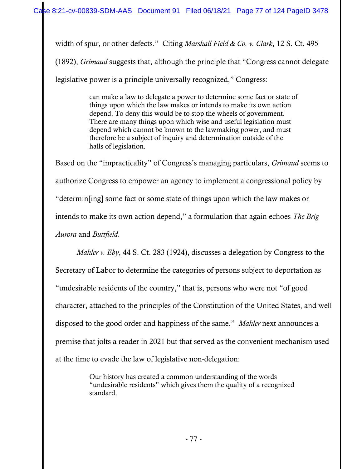width of spur, or other defects." Citing *Marshall Field & Co. v. Clark*, 12 S. Ct. 495 (1892), *Grimaud* suggests that, although the principle that "Congress cannot delegate legislative power is a principle universally recognized," Congress:

> can make a law to delegate a power to determine some fact or state of things upon which the law makes or intends to make its own action depend. To deny this would be to stop the wheels of government. There are many things upon which wise and useful legislation must depend which cannot be known to the lawmaking power, and must therefore be a subject of inquiry and determination outside of the halls of legislation.

Based on the "impracticality" of Congress's managing particulars, *Grimaud* seems to authorize Congress to empower an agency to implement a congressional policy by "determin[ing] some fact or some state of things upon which the law makes or intends to make its own action depend," a formulation that again echoes *The Brig Aurora* and *Buttfield*.

*Mahler v. Eby*, 44 S. Ct. 283 (1924), discusses a delegation by Congress to the Secretary of Labor to determine the categories of persons subject to deportation as "undesirable residents of the country," that is, persons who were not "of good character, attached to the principles of the Constitution of the United States, and well disposed to the good order and happiness of the same." *Mahler* next announces a premise that jolts a reader in 2021 but that served as the convenient mechanism used at the time to evade the law of legislative non-delegation:

> Our history has created a common understanding of the words "undesirable residents" which gives them the quality of a recognized standard.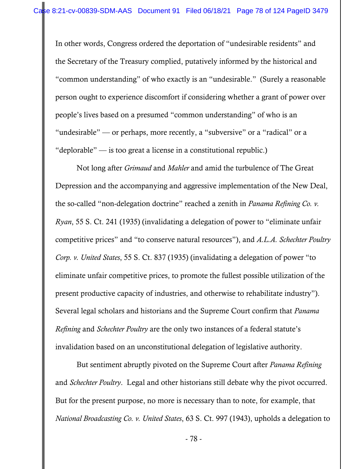In other words, Congress ordered the deportation of "undesirable residents" and the Secretary of the Treasury complied, putatively informed by the historical and "common understanding" of who exactly is an "undesirable." (Surely a reasonable person ought to experience discomfort if considering whether a grant of power over people's lives based on a presumed "common understanding" of who is an "undesirable" — or perhaps, more recently, a "subversive" or a "radical" or a "deplorable" — is too great a license in a constitutional republic.)

 Not long after *Grimaud* and *Mahler* and amid the turbulence of The Great Depression and the accompanying and aggressive implementation of the New Deal, the so-called "non-delegation doctrine" reached a zenith in *Panama Refining Co. v. Ryan*, 55 S. Ct. 241 (1935) (invalidating a delegation of power to "eliminate unfair competitive prices" and "to conserve natural resources"), and *A.L.A. Schechter Poultry Corp. v. United States*, 55 S. Ct. 837 (1935) (invalidating a delegation of power "to eliminate unfair competitive prices, to promote the fullest possible utilization of the present productive capacity of industries, and otherwise to rehabilitate industry"). Several legal scholars and historians and the Supreme Court confirm that *Panama Refining* and *Schechter Poultry* are the only two instances of a federal statute's invalidation based on an unconstitutional delegation of legislative authority.

 But sentiment abruptly pivoted on the Supreme Court after *Panama Refining* and *Schechter Poultry*. Legal and other historians still debate why the pivot occurred. But for the present purpose, no more is necessary than to note, for example, that *National Broadcasting Co. v. United States*, 63 S. Ct. 997 (1943), upholds a delegation to

- 78 -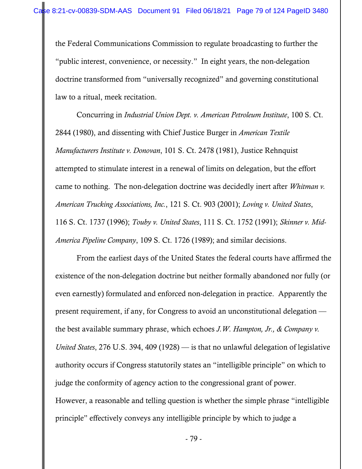the Federal Communications Commission to regulate broadcasting to further the "public interest, convenience, or necessity." In eight years, the non-delegation doctrine transformed from "universally recognized" and governing constitutional law to a ritual, meek recitation.

 Concurring in *Industrial Union Dept. v. American Petroleum Institute*, 100 S. Ct. 2844 (1980), and dissenting with Chief Justice Burger in *American Textile Manufacturers Institute v. Donovan*, 101 S. Ct. 2478 (1981), Justice Rehnquist attempted to stimulate interest in a renewal of limits on delegation, but the effort came to nothing. The non-delegation doctrine was decidedly inert after *Whitman v. American Trucking Associations, Inc.*, 121 S. Ct. 903 (2001); *Loving v. United States*, 116 S. Ct. 1737 (1996); *Touby v. United States*, 111 S. Ct. 1752 (1991); *Skinner v. Mid-America Pipeline Company*, 109 S. Ct. 1726 (1989); and similar decisions.

 From the earliest days of the United States the federal courts have affirmed the existence of the non-delegation doctrine but neither formally abandoned nor fully (or even earnestly) formulated and enforced non-delegation in practice. Apparently the present requirement, if any, for Congress to avoid an unconstitutional delegation the best available summary phrase, which echoes *J.W. Hampton, Jr., & Company v. United States*, 276 U.S. 394, 409 (1928) — is that no unlawful delegation of legislative authority occurs if Congress statutorily states an "intelligible principle" on which to judge the conformity of agency action to the congressional grant of power. However, a reasonable and telling question is whether the simple phrase "intelligible principle" effectively conveys any intelligible principle by which to judge a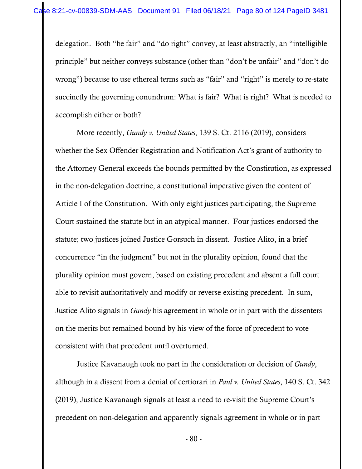delegation. Both "be fair" and "do right" convey, at least abstractly, an "intelligible principle" but neither conveys substance (other than "don't be unfair" and "don't do wrong") because to use ethereal terms such as "fair" and "right" is merely to re-state succinctly the governing conundrum: What is fair? What is right? What is needed to accomplish either or both?

 More recently, *Gundy v. United States*, 139 S. Ct. 2116 (2019), considers whether the Sex Offender Registration and Notification Act's grant of authority to the Attorney General exceeds the bounds permitted by the Constitution, as expressed in the non-delegation doctrine, a constitutional imperative given the content of Article I of the Constitution. With only eight justices participating, the Supreme Court sustained the statute but in an atypical manner. Four justices endorsed the statute; two justices joined Justice Gorsuch in dissent. Justice Alito, in a brief concurrence "in the judgment" but not in the plurality opinion, found that the plurality opinion must govern, based on existing precedent and absent a full court able to revisit authoritatively and modify or reverse existing precedent. In sum, Justice Alito signals in *Gundy* his agreement in whole or in part with the dissenters on the merits but remained bound by his view of the force of precedent to vote consistent with that precedent until overturned.

 Justice Kavanaugh took no part in the consideration or decision of *Gundy*, although in a dissent from a denial of certiorari in *Paul v. United States*, 140 S. Ct. 342 (2019), Justice Kavanaugh signals at least a need to re-visit the Supreme Court's precedent on non-delegation and apparently signals agreement in whole or in part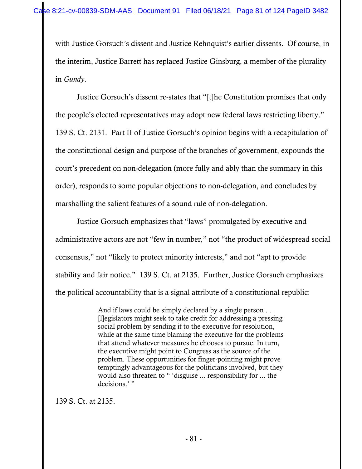with Justice Gorsuch's dissent and Justice Rehnquist's earlier dissents. Of course, in the interim, Justice Barrett has replaced Justice Ginsburg, a member of the plurality in *Gundy*.

 Justice Gorsuch's dissent re-states that "[t]he Constitution promises that only the people's elected representatives may adopt new federal laws restricting liberty." 139 S. Ct. 2131. Part II of Justice Gorsuch's opinion begins with a recapitulation of the constitutional design and purpose of the branches of government, expounds the court's precedent on non-delegation (more fully and ably than the summary in this order), responds to some popular objections to non-delegation, and concludes by marshalling the salient features of a sound rule of non-delegation.

 Justice Gorsuch emphasizes that "laws" promulgated by executive and administrative actors are not "few in number," not "the product of widespread social consensus," not "likely to protect minority interests," and not "apt to provide stability and fair notice." 139 S. Ct. at 2135. Further, Justice Gorsuch emphasizes the political accountability that is a signal attribute of a constitutional republic:

> And if laws could be simply declared by a single person . . . [l]egislators might seek to take credit for addressing a pressing social problem by sending it to the executive for resolution, while at the same time blaming the executive for the problems that attend whatever measures he chooses to pursue. In turn, the executive might point to Congress as the source of the problem. These opportunities for finger-pointing might prove temptingly advantageous for the politicians involved, but they would also threaten to " 'disguise ... responsibility for ... the decisions.' "

139 S. Ct. at 2135.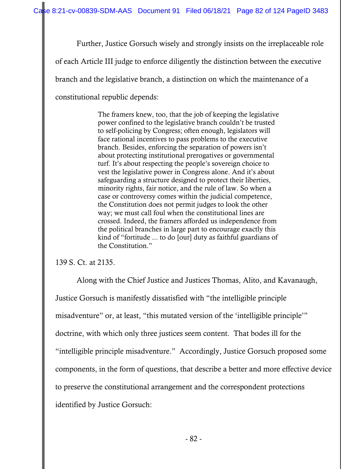Further, Justice Gorsuch wisely and strongly insists on the irreplaceable role

of each Article III judge to enforce diligently the distinction between the executive

branch and the legislative branch, a distinction on which the maintenance of a

constitutional republic depends:

The framers knew, too, that the job of keeping the legislative power confined to the legislative branch couldn't be trusted to self-policing by Congress; often enough, legislators will face rational incentives to pass problems to the executive branch. Besides, enforcing the separation of powers isn't about protecting institutional prerogatives or governmental turf. It's about respecting the people's sovereign choice to vest the legislative power in Congress alone. And it's about safeguarding a structure designed to protect their liberties, minority rights, fair notice, and the rule of law. So when a case or controversy comes within the judicial competence, the Constitution does not permit judges to look the other way; we must call foul when the constitutional lines are crossed. Indeed, the framers afforded us independence from the political branches in large part to encourage exactly this kind of "fortitude ... to do [our] duty as faithful guardians of the Constitution."

139 S. Ct. at 2135.

 Along with the Chief Justice and Justices Thomas, Alito, and Kavanaugh, Justice Gorsuch is manifestly dissatisfied with "the intelligible principle misadventure" or, at least, "this mutated version of the 'intelligible principle'" doctrine, with which only three justices seem content. That bodes ill for the "intelligible principle misadventure." Accordingly, Justice Gorsuch proposed some components, in the form of questions, that describe a better and more effective device to preserve the constitutional arrangement and the correspondent protections identified by Justice Gorsuch: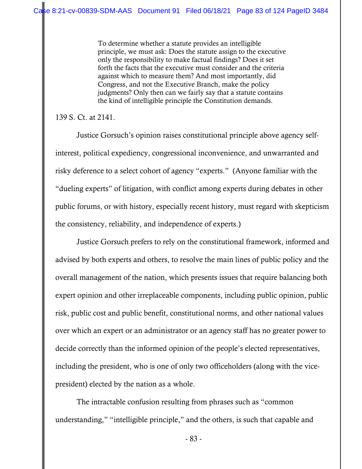To determine whether a statute provides an intelligible principle, we must ask: Does the statute assign to the executive only the responsibility to make factual findings? Does it set forth the facts that the executive must consider and the criteria against which to measure them? And most importantly, did Congress, and not the Executive Branch, make the policy judgments? Only then can we fairly say that a statute contains the kind of intelligible principle the Constitution demands.

139 S. Ct. at 2141.

 Justice Gorsuch's opinion raises constitutional principle above agency selfinterest, political expediency, congressional inconvenience, and unwarranted and risky deference to a select cohort of agency "experts." (Anyone familiar with the "dueling experts" of litigation, with conflict among experts during debates in other public forums, or with history, especially recent history, must regard with skepticism the consistency, reliability, and independence of experts.)

 Justice Gorsuch prefers to rely on the constitutional framework, informed and advised by both experts and others, to resolve the main lines of public policy and the overall management of the nation, which presents issues that require balancing both expert opinion and other irreplaceable components, including public opinion, public risk, public cost and public benefit, constitutional norms, and other national values over which an expert or an administrator or an agency staff has no greater power to decide correctly than the informed opinion of the people's elected representatives, including the president, who is one of only two officeholders (along with the vicepresident) elected by the nation as a whole.

 The intractable confusion resulting from phrases such as "common understanding," "intelligible principle," and the others, is such that capable and

- 83 -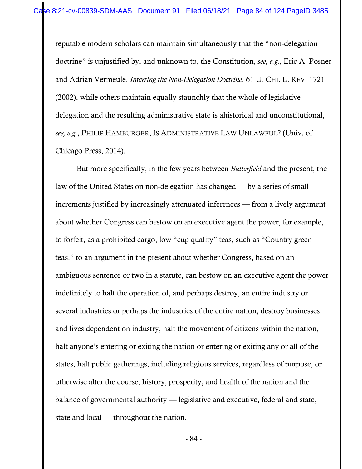reputable modern scholars can maintain simultaneously that the "non-delegation doctrine" is unjustified by, and unknown to, the Constitution, *see, e.g.,* Eric A. Posner and Adrian Vermeule, *Interring the Non-Delegation Doctrine*, 61 U. CHI. L. REV. 1721 (2002), while others maintain equally staunchly that the whole of legislative delegation and the resulting administrative state is ahistorical and unconstitutional, *see, e.g.*, PHILIP HAMBURGER, IS ADMINISTRATIVE LAW UNLAWFUL? (Univ. of Chicago Press, 2014).

 But more specifically, in the few years between *Butterfield* and the present, the law of the United States on non-delegation has changed — by a series of small increments justified by increasingly attenuated inferences — from a lively argument about whether Congress can bestow on an executive agent the power, for example, to forfeit, as a prohibited cargo, low "cup quality" teas, such as "Country green teas," to an argument in the present about whether Congress, based on an ambiguous sentence or two in a statute, can bestow on an executive agent the power indefinitely to halt the operation of, and perhaps destroy, an entire industry or several industries or perhaps the industries of the entire nation, destroy businesses and lives dependent on industry, halt the movement of citizens within the nation, halt anyone's entering or exiting the nation or entering or exiting any or all of the states, halt public gatherings, including religious services, regardless of purpose, or otherwise alter the course, history, prosperity, and health of the nation and the balance of governmental authority — legislative and executive, federal and state, state and local — throughout the nation.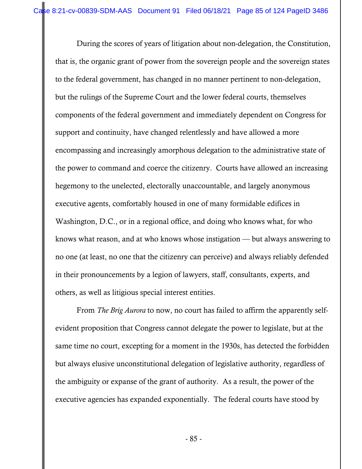During the scores of years of litigation about non-delegation, the Constitution, that is, the organic grant of power from the sovereign people and the sovereign states to the federal government, has changed in no manner pertinent to non-delegation, but the rulings of the Supreme Court and the lower federal courts, themselves components of the federal government and immediately dependent on Congress for support and continuity, have changed relentlessly and have allowed a more encompassing and increasingly amorphous delegation to the administrative state of the power to command and coerce the citizenry. Courts have allowed an increasing hegemony to the unelected, electorally unaccountable, and largely anonymous executive agents, comfortably housed in one of many formidable edifices in Washington, D.C., or in a regional office, and doing who knows what, for who knows what reason, and at who knows whose instigation — but always answering to no one (at least, no one that the citizenry can perceive) and always reliably defended in their pronouncements by a legion of lawyers, staff, consultants, experts, and others, as well as litigious special interest entities.

 From *The Brig Aurora* to now, no court has failed to affirm the apparently selfevident proposition that Congress cannot delegate the power to legislate, but at the same time no court, excepting for a moment in the 1930s, has detected the forbidden but always elusive unconstitutional delegation of legislative authority, regardless of the ambiguity or expanse of the grant of authority. As a result, the power of the executive agencies has expanded exponentially. The federal courts have stood by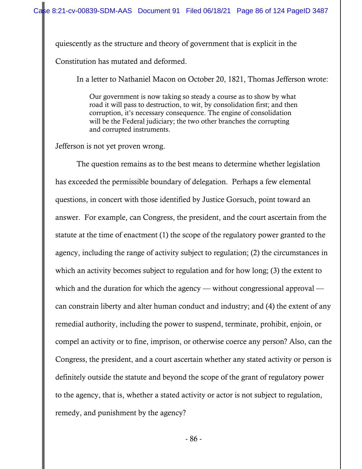quiescently as the structure and theory of government that is explicit in the Constitution has mutated and deformed.

In a letter to Nathaniel Macon on October 20, 1821, Thomas Jefferson wrote:

Our government is now taking so steady a course as to show by what road it will pass to destruction, to wit, by consolidation first; and then corruption, it's necessary consequence. The engine of consolidation will be the Federal judiciary; the two other branches the corrupting and corrupted instruments.

Jefferson is not yet proven wrong.

 The question remains as to the best means to determine whether legislation has exceeded the permissible boundary of delegation. Perhaps a few elemental questions, in concert with those identified by Justice Gorsuch, point toward an answer. For example, can Congress, the president, and the court ascertain from the statute at the time of enactment (1) the scope of the regulatory power granted to the agency, including the range of activity subject to regulation; (2) the circumstances in which an activity becomes subject to regulation and for how long; (3) the extent to which and the duration for which the agency — without congressional approval can constrain liberty and alter human conduct and industry; and (4) the extent of any remedial authority, including the power to suspend, terminate, prohibit, enjoin, or compel an activity or to fine, imprison, or otherwise coerce any person? Also, can the Congress, the president, and a court ascertain whether any stated activity or person is definitely outside the statute and beyond the scope of the grant of regulatory power to the agency, that is, whether a stated activity or actor is not subject to regulation, remedy, and punishment by the agency?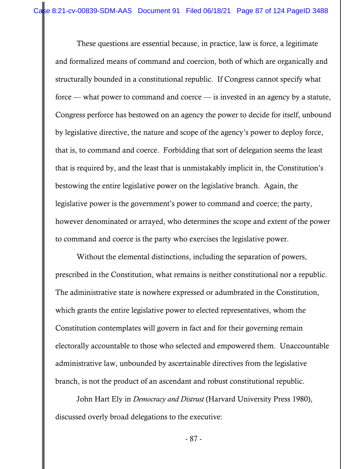These questions are essential because, in practice, law is force, a legitimate and formalized means of command and coercion, both of which are organically and structurally bounded in a constitutional republic. If Congress cannot specify what force — what power to command and coerce — is invested in an agency by a statute, Congress perforce has bestowed on an agency the power to decide for itself, unbound by legislative directive, the nature and scope of the agency's power to deploy force, that is, to command and coerce. Forbidding that sort of delegation seems the least that is required by, and the least that is unmistakably implicit in, the Constitution's bestowing the entire legislative power on the legislative branch. Again, the legislative power is the government's power to command and coerce; the party, however denominated or arrayed, who determines the scope and extent of the power to command and coerce is the party who exercises the legislative power.

 Without the elemental distinctions, including the separation of powers, prescribed in the Constitution, what remains is neither constitutional nor a republic. The administrative state is nowhere expressed or adumbrated in the Constitution, which grants the entire legislative power to elected representatives, whom the Constitution contemplates will govern in fact and for their governing remain electorally accountable to those who selected and empowered them. Unaccountable administrative law, unbounded by ascertainable directives from the legislative branch, is not the product of an ascendant and robust constitutional republic.

 John Hart Ely in *Democracy and Distrust* (Harvard University Press 1980), discussed overly broad delegations to the executive:

- 87 -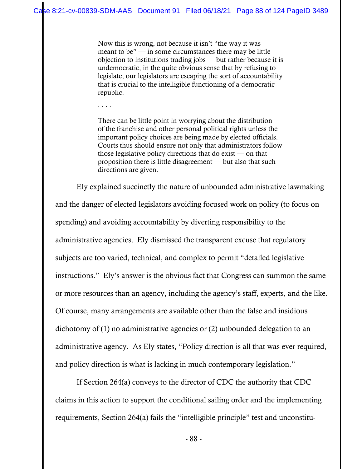Now this is wrong, not because it isn't "the way it was meant to be" — in some circumstances there may be little objection to institutions trading jobs — but rather because it is undemocratic, in the quite obvious sense that by refusing to legislate, our legislators are escaping the sort of accountability that is crucial to the intelligible functioning of a democratic republic.

. . . .

There can be little point in worrying about the distribution of the franchise and other personal political rights unless the important policy choices are being made by elected officials. Courts thus should ensure not only that administrators follow those legislative policy directions that do exist — on that proposition there is little disagreement — but also that such directions are given.

 Ely explained succinctly the nature of unbounded administrative lawmaking and the danger of elected legislators avoiding focused work on policy (to focus on spending) and avoiding accountability by diverting responsibility to the administrative agencies. Ely dismissed the transparent excuse that regulatory subjects are too varied, technical, and complex to permit "detailed legislative instructions." Ely's answer is the obvious fact that Congress can summon the same or more resources than an agency, including the agency's staff, experts, and the like. Of course, many arrangements are available other than the false and insidious dichotomy of (1) no administrative agencies or (2) unbounded delegation to an administrative agency. As Ely states, "Policy direction is all that was ever required, and policy direction is what is lacking in much contemporary legislation."

 If Section 264(a) conveys to the director of CDC the authority that CDC claims in this action to support the conditional sailing order and the implementing requirements, Section 264(a) fails the "intelligible principle" test and unconstitu-

- 88 -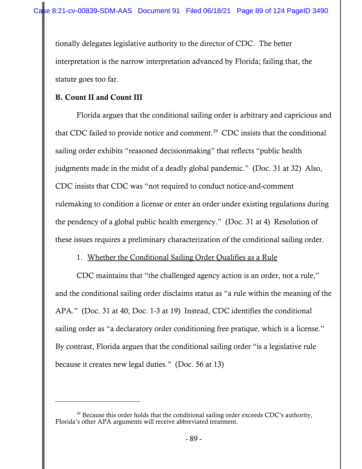tionally delegates legislative authority to the director of CDC. The better interpretation is the narrow interpretation advanced by Florida; failing that, the statute goes too far.

## B. Count II and Count III

 Florida argues that the conditional sailing order is arbitrary and capricious and that CDC failed to provide notice and comment.39 CDC insists that the conditional sailing order exhibits "reasoned decisionmaking" that reflects "public health judgments made in the midst of a deadly global pandemic." (Doc. 31 at 32) Also, CDC insists that CDC was "not required to conduct notice-and-comment rulemaking to condition a license or enter an order under existing regulations during the pendency of a global public health emergency." (Doc. 31 at 4) Resolution of these issues requires a preliminary characterization of the conditional sailing order.

## 1. Whether the Conditional Sailing Order Qualifies as a Rule

CDC maintains that "the challenged agency action is an order, not a rule," and the conditional sailing order disclaims status as "a rule within the meaning of the APA." (Doc. 31 at 40; Doc. 1-3 at 19) Instead, CDC identifies the conditional sailing order as "a declaratory order conditioning free pratique, which is a license." By contrast, Florida argues that the conditional sailing order "is a legislative rule because it creates new legal duties." (Doc. 56 at 13)

<sup>&</sup>lt;sup>39</sup> Because this order holds that the conditional sailing order exceeds CDC's authority, Florida's other APA arguments will receive abbreviated treatment.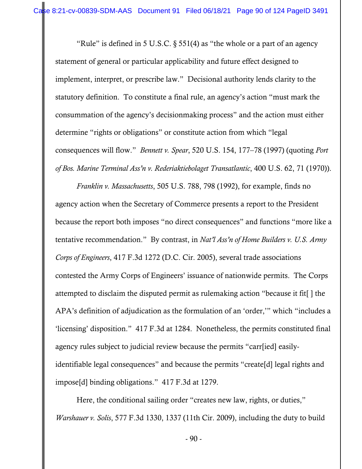"Rule" is defined in 5 U.S.C.  $\S$  551(4) as "the whole or a part of an agency statement of general or particular applicability and future effect designed to implement, interpret, or prescribe law." Decisional authority lends clarity to the statutory definition. To constitute a final rule, an agency's action "must mark the consummation of the agency's decisionmaking process" and the action must either determine "rights or obligations" or constitute action from which "legal consequences will flow." *Bennett v. Spear*, 520 U.S. 154, 177–78 (1997) (quoting *Port of Bos. Marine Terminal Ass'n v. Rederiaktiebolaget Transatlantic*, 400 U.S. 62, 71 (1970)).

*Franklin v. Massachusetts*, 505 U.S. 788, 798 (1992), for example, finds no agency action when the Secretary of Commerce presents a report to the President because the report both imposes "no direct consequences" and functions "more like a tentative recommendation." By contrast, in *Nat'l Ass'n of Home Builders v. U.S. Army Corps of Engineers*, 417 F.3d 1272 (D.C. Cir. 2005), several trade associations contested the Army Corps of Engineers' issuance of nationwide permits. The Corps attempted to disclaim the disputed permit as rulemaking action "because it fit[ ] the APA's definition of adjudication as the formulation of an 'order,'" which "includes a 'licensing' disposition." 417 F.3d at 1284. Nonetheless, the permits constituted final agency rules subject to judicial review because the permits "carr[ied] easilyidentifiable legal consequences" and because the permits "create[d] legal rights and impose[d] binding obligations." 417 F.3d at 1279.

 Here, the conditional sailing order "creates new law, rights, or duties," *Warshauer v. Solis*, 577 F.3d 1330, 1337 (11th Cir. 2009), including the duty to build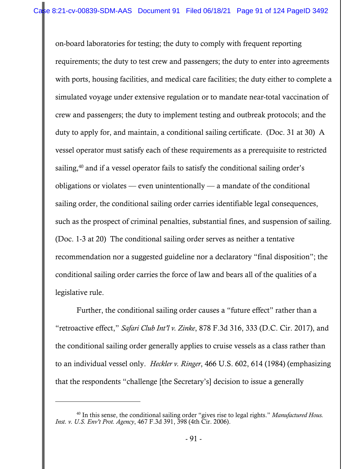on-board laboratories for testing; the duty to comply with frequent reporting requirements; the duty to test crew and passengers; the duty to enter into agreements with ports, housing facilities, and medical care facilities; the duty either to complete a simulated voyage under extensive regulation or to mandate near-total vaccination of crew and passengers; the duty to implement testing and outbreak protocols; and the duty to apply for, and maintain, a conditional sailing certificate. (Doc. 31 at 30) A vessel operator must satisfy each of these requirements as a prerequisite to restricted sailing,<sup>40</sup> and if a vessel operator fails to satisfy the conditional sailing order's obligations or violates — even unintentionally — a mandate of the conditional sailing order, the conditional sailing order carries identifiable legal consequences, such as the prospect of criminal penalties, substantial fines, and suspension of sailing. (Doc. 1-3 at 20) The conditional sailing order serves as neither a tentative recommendation nor a suggested guideline nor a declaratory "final disposition"; the conditional sailing order carries the force of law and bears all of the qualities of a legislative rule.

Further, the conditional sailing order causes a "future effect" rather than a "retroactive effect," *Safari Club Int'l v. Zinke*, 878 F.3d 316, 333 (D.C. Cir. 2017), and the conditional sailing order generally applies to cruise vessels as a class rather than to an individual vessel only. *Heckler v. Ringer*, 466 U.S. 602, 614 (1984) (emphasizing that the respondents "challenge [the Secretary's] decision to issue a generally

<sup>40</sup> In this sense, the conditional sailing order "gives rise to legal rights." *Manufactured Hous. Inst. v. U.S. Env't Prot. Agency*, 467 F.3d 391, 398 (4th Cir. 2006).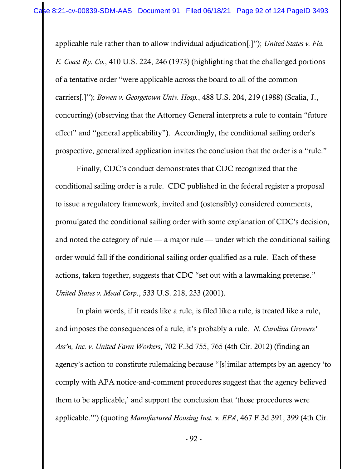applicable rule rather than to allow individual adjudication[.]"); *United States v. Fla. E. Coast Ry. Co.*, 410 U.S. 224, 246 (1973) (highlighting that the challenged portions of a tentative order "were applicable across the board to all of the common carriers[.]"); *Bowen v. Georgetown Univ. Hosp.*, 488 U.S. 204, 219 (1988) (Scalia, J., concurring) (observing that the Attorney General interprets a rule to contain "future effect" and "general applicability"). Accordingly, the conditional sailing order's prospective, generalized application invites the conclusion that the order is a "rule."

Finally, CDC's conduct demonstrates that CDC recognized that the conditional sailing order is a rule. CDC published in the federal register a proposal to issue a regulatory framework, invited and (ostensibly) considered comments, promulgated the conditional sailing order with some explanation of CDC's decision, and noted the category of rule — a major rule — under which the conditional sailing order would fall if the conditional sailing order qualified as a rule. Each of these actions, taken together, suggests that CDC "set out with a lawmaking pretense." *United States v. Mead Corp*., 533 U.S. 218, 233 (2001).

In plain words, if it reads like a rule, is filed like a rule, is treated like a rule, and imposes the consequences of a rule, it's probably a rule. *N. Carolina Growers' Ass'n, Inc. v. United Farm Workers*, 702 F.3d 755, 765 (4th Cir. 2012) (finding an agency's action to constitute rulemaking because "[s]imilar attempts by an agency 'to comply with APA notice-and-comment procedures suggest that the agency believed them to be applicable,' and support the conclusion that 'those procedures were applicable.'") (quoting *Manufactured Housing Inst. v. EPA*, 467 F.3d 391, 399 (4th Cir.

- 92 -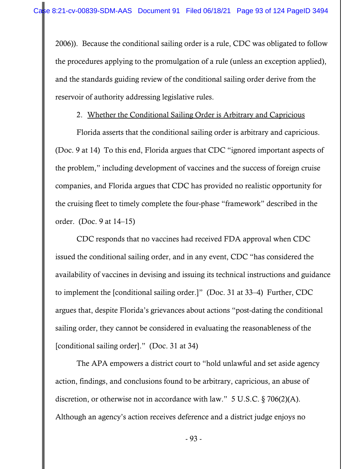2006)). Because the conditional sailing order is a rule, CDC was obligated to follow the procedures applying to the promulgation of a rule (unless an exception applied), and the standards guiding review of the conditional sailing order derive from the reservoir of authority addressing legislative rules.

## 2. Whether the Conditional Sailing Order is Arbitrary and Capricious

Florida asserts that the conditional sailing order is arbitrary and capricious. (Doc. 9 at 14) To this end, Florida argues that CDC "ignored important aspects of the problem," including development of vaccines and the success of foreign cruise companies, and Florida argues that CDC has provided no realistic opportunity for the cruising fleet to timely complete the four-phase "framework" described in the order. (Doc. 9 at 14–15)

CDC responds that no vaccines had received FDA approval when CDC issued the conditional sailing order, and in any event, CDC "has considered the availability of vaccines in devising and issuing its technical instructions and guidance to implement the [conditional sailing order.]" (Doc. 31 at 33–4) Further, CDC argues that, despite Florida's grievances about actions "post-dating the conditional sailing order, they cannot be considered in evaluating the reasonableness of the [conditional sailing order]." (Doc. 31 at 34)

The APA empowers a district court to "hold unlawful and set aside agency action, findings, and conclusions found to be arbitrary, capricious, an abuse of discretion, or otherwise not in accordance with law." 5 U.S.C. § 706(2)(A). Although an agency's action receives deference and a district judge enjoys no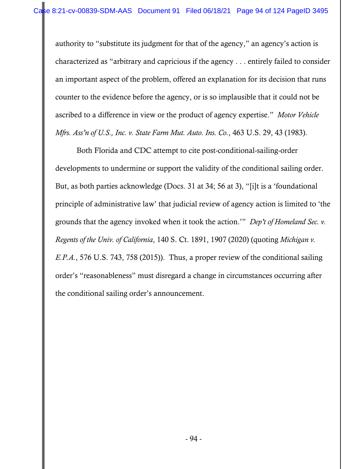authority to "substitute its judgment for that of the agency," an agency's action is characterized as "arbitrary and capricious if the agency . . . entirely failed to consider an important aspect of the problem, offered an explanation for its decision that runs counter to the evidence before the agency, or is so implausible that it could not be ascribed to a difference in view or the product of agency expertise." *Motor Vehicle Mfrs. Ass'n of U.S., Inc. v. State Farm Mut. Auto. Ins. Co.*, 463 U.S. 29, 43 (1983).

Both Florida and CDC attempt to cite post-conditional-sailing-order developments to undermine or support the validity of the conditional sailing order. But, as both parties acknowledge (Docs. 31 at 34; 56 at 3), "[i]t is a 'foundational principle of administrative law' that judicial review of agency action is limited to 'the grounds that the agency invoked when it took the action.'" *Dep't of Homeland Sec. v. Regents of the Univ. of California*, 140 S. Ct. 1891, 1907 (2020) (quoting *Michigan v. E.P.A.*, 576 U.S. 743, 758 (2015)). Thus, a proper review of the conditional sailing order's "reasonableness" must disregard a change in circumstances occurring after the conditional sailing order's announcement.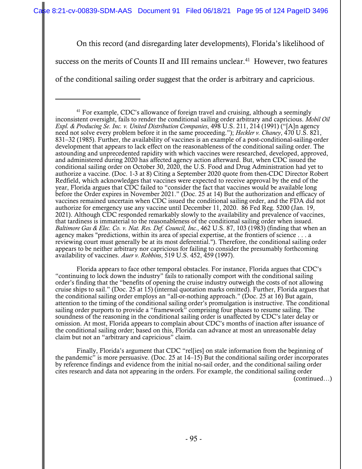On this record (and disregarding later developments), Florida's likelihood of

success on the merits of Counts II and III remains unclear.<sup>41</sup> However, two features

of the conditional sailing order suggest that the order is arbitrary and capricious.

Florida appears to face other temporal obstacles. For instance, Florida argues that CDC's "continuing to lock down the industry" fails to rationally comport with the conditional sailing order's finding that the "benefits of opening the cruise industry outweigh the costs of not allowing cruise ships to sail." (Doc. 25 at 15) (internal quotation marks omitted). Further, Florida argues that the conditional sailing order employs an "all-or-nothing approach." (Doc. 25 at 16) But again, attention to the timing of the conditional sailing order's promulgation is instructive. The conditional sailing order purports to provide a "framework" comprising four phases to resume sailing. The soundness of the reasoning in the conditional sailing order is unaffected by CDC's later delay or omission. At most, Florida appears to complain about CDC's months of inaction after issuance of the conditional sailing order; based on this, Florida can advance at most an unreasonable delay claim but not an "arbitrary and capricious" claim.

Finally, Florida's argument that CDC "rel[ies] on stale information from the beginning of the pandemic" is more persuasive. (Doc. 25 at 14–15) But the conditional sailing order incorporates by reference findings and evidence from the initial no-sail order, and the conditional sailing order cites research and data not appearing in the orders. For example, the conditional sailing order (continued…)

 $41$  For example, CDC's allowance of foreign travel and cruising, although a seemingly inconsistent oversight, fails to render the conditional sailing order arbitrary and capricious. *Mobil Oil Expl. & Producing Se. Inc. v. United Distribution Companies*, 498 U.S. 211, 214 (1991) ("[A]n agency need not solve every problem before it in the same proceeding."); *Heckler v. Chaney*, 470 U.S. 821, 831–32 (1985). Further, the availability of vaccines is an example of a post-conditional-sailing-order development that appears to lack effect on the reasonableness of the conditional sailing order. The astounding and unprecedented rapidity with which vaccines were researched, developed, approved, and administered during 2020 has affected agency action afterward. But, when CDC issued the conditional sailing order on October 30, 2020, the U.S. Food and Drug Administration had yet to authorize a vaccine. (Doc. 1-3 at 8) Citing a September 2020 quote from then-CDC Director Robert Redfield, which acknowledges that vaccines were expected to receive approval by the end of the year, Florida argues that CDC failed to "consider the fact that vaccines would be available long before the Order expires in November 2021." (Doc. 25 at 14) But the authorization and efficacy of vaccines remained uncertain when CDC issued the conditional sailing order, and the FDA did not authorize for emergency use any vaccine until December 11, 2020. 86 Fed Reg. 5200 (Jan. 19, 2021). Although CDC responded remarkably slowly to the availability and prevalence of vaccines, that tardiness is immaterial to the reasonableness of the conditional sailing order when issued. *Baltimore Gas & Elec. Co. v. Nat. Res. Def. Council, Inc.*, 462 U.S. 87, 103 (1983) (finding that when an agency makes "predictions, within its area of special expertise, at the frontiers of science . . . a reviewing court must generally be at its most deferential."). Therefore, the conditional sailing order appears to be neither arbitrary nor capricious for failing to consider the presumably forthcoming availability of vaccines. *Auer v. Robbins*, 519 U.S. 452, 459 (1997).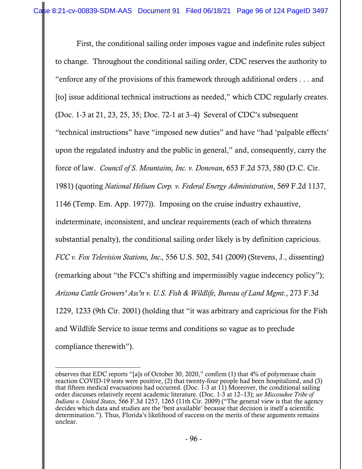First, the conditional sailing order imposes vague and indefinite rules subject to change. Throughout the conditional sailing order, CDC reserves the authority to "enforce any of the provisions of this framework through additional orders . . . and [to] issue additional technical instructions as needed," which CDC regularly creates. (Doc. 1-3 at 21, 23, 25, 35; Doc. 72-1 at 3–4) Several of CDC's subsequent "technical instructions" have "imposed new duties" and have "had 'palpable effects' upon the regulated industry and the public in general," and, consequently, carry the force of law. *Council of S. Mountains, Inc. v. Donovan*, 653 F.2d 573, 580 (D.C. Cir. 1981) (quoting *National Helium Corp. v. Federal Energy Administration*, 569 F.2d 1137, 1146 (Temp. Em. App. 1977)). Imposing on the cruise industry exhaustive, indeterminate, inconsistent, and unclear requirements (each of which threatens substantial penalty), the conditional sailing order likely is by definition capricious. *FCC v. Fox Television Stations, Inc.,* 556 U.S. 502, 541 (2009) (Stevens, J., dissenting) (remarking about "the FCC's shifting and impermissibly vague indecency policy"); *Arizona Cattle Growers' Ass'n v. U.S. Fish & Wildlife, Bureau of Land Mgmt.*, 273 F.3d 1229, 1233 (9th Cir. 2001) (holding that "it was arbitrary and capricious for the Fish and Wildlife Service to issue terms and conditions so vague as to preclude compliance therewith").

observes that EDC reports "[a]s of October 30, 2020," confirm (1) that 4% of polymerase chain reaction COVID-19 tests were positive, (2) that twenty-four people had been hospitalized, and (3) that fifteen medical evacuations had occurred. (Doc. 1-3 at 11) Moreover, the conditional sailing order discusses relatively recent academic literature. (Doc. 1-3 at 12–13); *see Miccosukee Tribe of Indians v. United States*, 566 F.3d 1257, 1265 (11th Cir. 2009) ("The general view is that the agency decides which data and studies are the 'best available' because that decision is itself a scientific determination."). Thus, Florida's likelihood of success on the merits of these arguments remains unclear.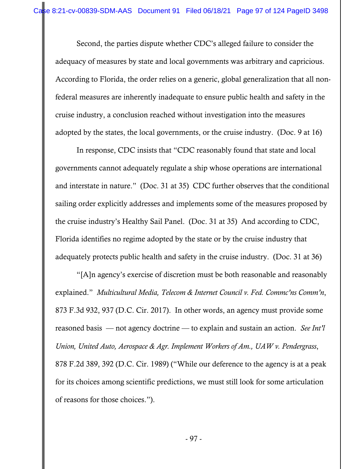Second, the parties dispute whether CDC's alleged failure to consider the adequacy of measures by state and local governments was arbitrary and capricious. According to Florida, the order relies on a generic, global generalization that all nonfederal measures are inherently inadequate to ensure public health and safety in the cruise industry, a conclusion reached without investigation into the measures adopted by the states, the local governments, or the cruise industry. (Doc. 9 at 16)

In response, CDC insists that "CDC reasonably found that state and local governments cannot adequately regulate a ship whose operations are international and interstate in nature." (Doc. 31 at 35) CDC further observes that the conditional sailing order explicitly addresses and implements some of the measures proposed by the cruise industry's Healthy Sail Panel. (Doc. 31 at 35) And according to CDC, Florida identifies no regime adopted by the state or by the cruise industry that adequately protects public health and safety in the cruise industry. (Doc. 31 at 36)

"[A]n agency's exercise of discretion must be both reasonable and reasonably explained." *Multicultural Media, Telecom & Internet Council v. Fed. Commc'ns Comm'n*, 873 F.3d 932, 937 (D.C. Cir. 2017). In other words, an agency must provide some reasoned basis — not agency doctrine — to explain and sustain an action. *See Int'l Union, United Auto, Aerospace & Agr. Implement Workers of Am., UAW v. Pendergrass*, 878 F.2d 389, 392 (D.C. Cir. 1989) ("While our deference to the agency is at a peak for its choices among scientific predictions, we must still look for some articulation of reasons for those choices.").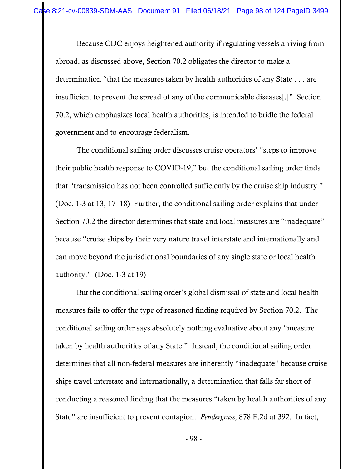Because CDC enjoys heightened authority if regulating vessels arriving from abroad, as discussed above, Section 70.2 obligates the director to make a determination "that the measures taken by health authorities of any State . . . are insufficient to prevent the spread of any of the communicable diseases[.]" Section 70.2, which emphasizes local health authorities, is intended to bridle the federal government and to encourage federalism.

The conditional sailing order discusses cruise operators' "steps to improve their public health response to COVID-19," but the conditional sailing order finds that "transmission has not been controlled sufficiently by the cruise ship industry." (Doc. 1-3 at 13, 17–18) Further, the conditional sailing order explains that under Section 70.2 the director determines that state and local measures are "inadequate" because "cruise ships by their very nature travel interstate and internationally and can move beyond the jurisdictional boundaries of any single state or local health authority." (Doc. 1-3 at 19)

But the conditional sailing order's global dismissal of state and local health measures fails to offer the type of reasoned finding required by Section 70.2. The conditional sailing order says absolutely nothing evaluative about any "measure taken by health authorities of any State." Instead, the conditional sailing order determines that all non-federal measures are inherently "inadequate" because cruise ships travel interstate and internationally, a determination that falls far short of conducting a reasoned finding that the measures "taken by health authorities of any State" are insufficient to prevent contagion. *Pendergrass*, 878 F.2d at 392. In fact,

- 98 -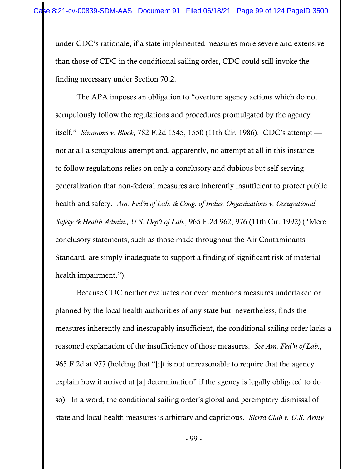under CDC's rationale, if a state implemented measures more severe and extensive than those of CDC in the conditional sailing order, CDC could still invoke the finding necessary under Section 70.2.

The APA imposes an obligation to "overturn agency actions which do not scrupulously follow the regulations and procedures promulgated by the agency itself." *Simmons v. Block*, 782 F.2d 1545, 1550 (11th Cir. 1986). CDC's attempt not at all a scrupulous attempt and, apparently, no attempt at all in this instance to follow regulations relies on only a conclusory and dubious but self-serving generalization that non-federal measures are inherently insufficient to protect public health and safety. *Am. Fed'n of Lab. & Cong. of Indus. Organizations v. Occupational Safety & Health Admin., U.S. Dep't of Lab.*, 965 F.2d 962, 976 (11th Cir. 1992) ("Mere conclusory statements, such as those made throughout the Air Contaminants Standard, are simply inadequate to support a finding of significant risk of material health impairment.").

Because CDC neither evaluates nor even mentions measures undertaken or planned by the local health authorities of any state but, nevertheless, finds the measures inherently and inescapably insufficient, the conditional sailing order lacks a reasoned explanation of the insufficiency of those measures. *See Am. Fed'n of Lab.*, 965 F.2d at 977 (holding that "[i]t is not unreasonable to require that the agency explain how it arrived at [a] determination" if the agency is legally obligated to do so). In a word, the conditional sailing order's global and peremptory dismissal of state and local health measures is arbitrary and capricious. *Sierra Club v. U.S. Army*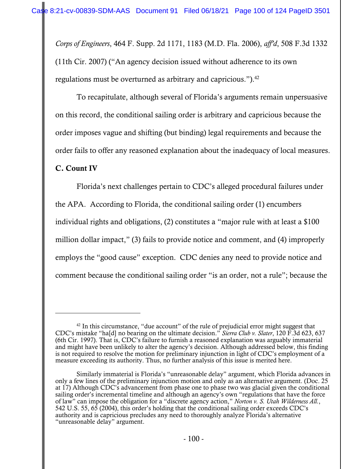*Corps of Engineers*, 464 F. Supp. 2d 1171, 1183 (M.D. Fla. 2006), *aff'd*, 508 F.3d 1332 (11th Cir. 2007) ("An agency decision issued without adherence to its own regulations must be overturned as arbitrary and capricious.").<sup>42</sup>

To recapitulate, although several of Florida's arguments remain unpersuasive on this record, the conditional sailing order is arbitrary and capricious because the order imposes vague and shifting (but binding) legal requirements and because the order fails to offer any reasoned explanation about the inadequacy of local measures.

## C. Count IV

Florida's next challenges pertain to CDC's alleged procedural failures under

the APA. According to Florida, the conditional sailing order (1) encumbers

individual rights and obligations, (2) constitutes a "major rule with at least a \$100

million dollar impact," (3) fails to provide notice and comment, and (4) improperly

employs the "good cause" exception. CDC denies any need to provide notice and

comment because the conditional sailing order "is an order, not a rule"; because the

 $42$  In this circumstance, "due account" of the rule of prejudicial error might suggest that CDC's mistake "ha[d] no bearing on the ultimate decision." *Sierra Club v. Slater*, 120 F.3d 623, 637 (6th Cir. 1997). That is, CDC's failure to furnish a reasoned explanation was arguably immaterial and might have been unlikely to alter the agency's decision. Although addressed below, this finding is not required to resolve the motion for preliminary injunction in light of CDC's employment of a measure exceeding its authority. Thus, no further analysis of this issue is merited here.

Similarly immaterial is Florida's "unreasonable delay" argument, which Florida advances in only a few lines of the preliminary injunction motion and only as an alternative argument. (Doc. 25 at 17) Although CDC's advancement from phase one to phase two was glacial given the conditional sailing order's incremental timeline and although an agency's own "regulations that have the force of law" can impose the obligation for a "discrete agency action," *Norton v. S. Utah Wilderness All.*, 542 U.S. 55, 65 (2004), this order's holding that the conditional sailing order exceeds CDC's authority and is capricious precludes any need to thoroughly analyze Florida's alternative "unreasonable delay" argument.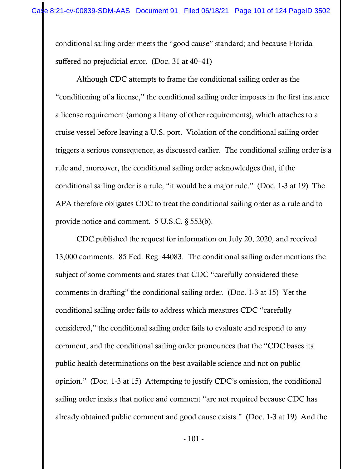conditional sailing order meets the "good cause" standard; and because Florida suffered no prejudicial error. (Doc. 31 at 40–41)

Although CDC attempts to frame the conditional sailing order as the "conditioning of a license," the conditional sailing order imposes in the first instance a license requirement (among a litany of other requirements), which attaches to a cruise vessel before leaving a U.S. port. Violation of the conditional sailing order triggers a serious consequence, as discussed earlier. The conditional sailing order is a rule and, moreover, the conditional sailing order acknowledges that, if the conditional sailing order is a rule, "it would be a major rule." (Doc. 1-3 at 19) The APA therefore obligates CDC to treat the conditional sailing order as a rule and to provide notice and comment. 5 U.S.C. § 553(b).

CDC published the request for information on July 20, 2020, and received 13,000 comments. 85 Fed. Reg. 44083. The conditional sailing order mentions the subject of some comments and states that CDC "carefully considered these comments in drafting" the conditional sailing order. (Doc. 1-3 at 15) Yet the conditional sailing order fails to address which measures CDC "carefully considered," the conditional sailing order fails to evaluate and respond to any comment, and the conditional sailing order pronounces that the "CDC bases its public health determinations on the best available science and not on public opinion." (Doc. 1-3 at 15) Attempting to justify CDC's omission, the conditional sailing order insists that notice and comment "are not required because CDC has already obtained public comment and good cause exists." (Doc. 1-3 at 19) And the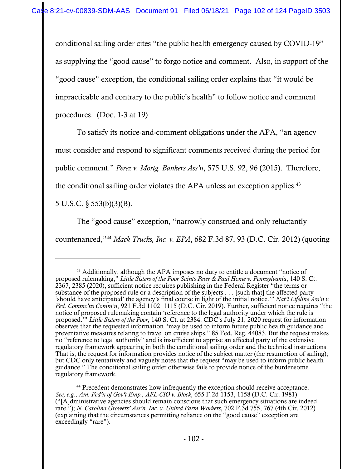conditional sailing order cites "the public health emergency caused by COVID-19" as supplying the "good cause" to forgo notice and comment. Also, in support of the "good cause" exception, the conditional sailing order explains that "it would be impracticable and contrary to the public's health" to follow notice and comment procedures. (Doc. 1-3 at 19)

To satisfy its notice-and-comment obligations under the APA, "an agency

must consider and respond to significant comments received during the period for

public comment." *Perez v. Mortg. Bankers Ass'n*, 575 U.S. 92, 96 (2015). Therefore,

the conditional sailing order violates the APA unless an exception applies.<sup>43</sup>

5 U.S.C. § 553(b)(3)(B).

The "good cause" exception, "narrowly construed and only reluctantly countenanced,"44 *Mack Trucks, Inc. v. EPA*, 682 F.3d 87, 93 (D.C. Cir. 2012) (quoting

<sup>43</sup> Additionally, although the APA imposes no duty to entitle a document "notice of proposed rulemaking," *Little Sisters of the Poor Saints Peter & Paul Home v. Pennsylvania*, 140 S. Ct. 2367, 2385 (2020), sufficient notice requires publishing in the Federal Register "the terms or substance of the proposed rule or a description of the subjects . . . [such that] the affected party 'should have anticipated' the agency's final course in light of the initial notice.'" *Nat'l Lifeline Ass'n v. Fed. Commc'ns Comm'n*, 921 F.3d 1102, 1115 (D.C. Cir. 2019). Further, sufficient notice requires "the notice of proposed rulemaking contain 'reference to the legal authority under which the rule is proposed.'" *Little Sisters of the Poor*, 140 S. Ct. at 2384. CDC's July 21, 2020 request for information observes that the requested information "may be used to inform future public health guidance and preventative measures relating to travel on cruise ships." 85 Fed. Reg. 44083. But the request makes no "reference to legal authority" and is insufficient to apprise an affected party of the extensive regulatory framework appearing in both the conditional sailing order and the technical instructions. That is, the request for information provides notice of the subject matter (the resumption of sailing); but CDC only tentatively and vaguely notes that the request "may be used to inform public health guidance." The conditional sailing order otherwise fails to provide notice of the burdensome regulatory framework.

<sup>&</sup>lt;sup>44</sup> Precedent demonstrates how infrequently the exception should receive acceptance. *See, e.g.*, *Am. Fed'n of Gov't Emp., AFL-CIO v. Block*, 655 F.2d 1153, 1158 (D.C. Cir. 1981) ("[A]dministrative agencies should remain conscious that such emergency situations are indeed rare."); *N. Carolina Growers' Ass'n, Inc. v. United Farm Workers*, 702 F.3d 755, 767 (4th Cir. 2012) (explaining that the circumstances permitting reliance on the "good cause" exception are exceedingly "rare").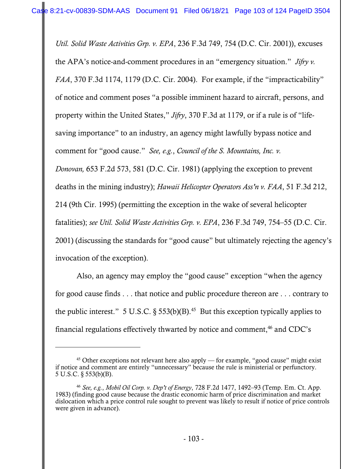*Util. Solid Waste Activities Grp. v. EPA*, 236 F.3d 749, 754 (D.C. Cir. 2001)), excuses the APA's notice-and-comment procedures in an "emergency situation." *Jifry v. FAA*, 370 F.3d 1174, 1179 (D.C. Cir. 2004). For example, if the "impracticability" of notice and comment poses "a possible imminent hazard to aircraft, persons, and property within the United States," *Jifry*, 370 F.3d at 1179, or if a rule is of "lifesaving importance" to an industry, an agency might lawfully bypass notice and comment for "good cause." *See, e.g.*, *Council of the S. Mountains, Inc. v. Donovan,* 653 F.2d 573, 581 (D.C. Cir. 1981) (applying the exception to prevent deaths in the mining industry); *Hawaii Helicopter Operators Ass'n v. FAA*, 51 F.3d 212, 214 (9th Cir. 1995) (permitting the exception in the wake of several helicopter fatalities); *see Util. Solid Waste Activities Grp. v. EPA*, 236 F.3d 749, 754–55 (D.C. Cir. 2001) (discussing the standards for "good cause" but ultimately rejecting the agency's invocation of the exception).

Also, an agency may employ the "good cause" exception "when the agency for good cause finds . . . that notice and public procedure thereon are . . . contrary to the public interest." 5 U.S.C.  $\S 553(b)(B)$ .<sup>45</sup> But this exception typically applies to financial regulations effectively thwarted by notice and comment,<sup>46</sup> and CDC's

 $45$  Other exceptions not relevant here also apply — for example, "good cause" might exist if notice and comment are entirely "unnecessary" because the rule is ministerial or perfunctory. 5 U.S.C. § 553(b)(B).

<sup>46</sup> *See, e.g.*, *Mobil Oil Corp. v. Dep't of Energy*, 728 F.2d 1477, 1492–93 (Temp. Em. Ct. App. 1983) (finding good cause because the drastic economic harm of price discrimination and market dislocation which a price control rule sought to prevent was likely to result if notice of price controls were given in advance).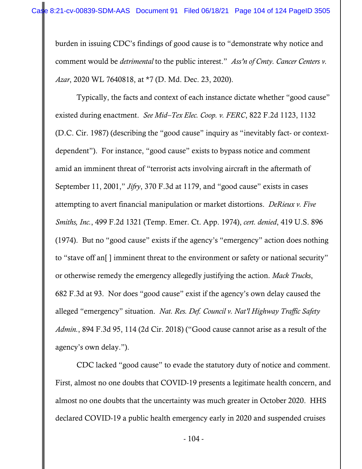burden in issuing CDC's findings of good cause is to "demonstrate why notice and comment would be *detrimental* to the public interest." *Ass'n of Cmty. Cancer Centers v. Azar*, 2020 WL 7640818, at \*7 (D. Md. Dec. 23, 2020).

Typically, the facts and context of each instance dictate whether "good cause" existed during enactment. *See Mid–Tex Elec. Coop. v. FERC*, 822 F.2d 1123, 1132 (D.C. Cir. 1987) (describing the "good cause" inquiry as "inevitably fact- or contextdependent"). For instance, "good cause" exists to bypass notice and comment amid an imminent threat of "terrorist acts involving aircraft in the aftermath of September 11, 2001," *Jifry*, 370 F.3d at 1179, and "good cause" exists in cases attempting to avert financial manipulation or market distortions. *DeRieux v. Five Smiths, Inc.*, 499 F.2d 1321 (Temp. Emer. Ct. App. 1974), *cert. denied*, 419 U.S. 896 (1974). But no "good cause" exists if the agency's "emergency" action does nothing to "stave off an[ ] imminent threat to the environment or safety or national security" or otherwise remedy the emergency allegedly justifying the action. *Mack Trucks*, 682 F.3d at 93. Nor does "good cause" exist if the agency's own delay caused the alleged "emergency" situation. *Nat. Res. Def. Council v. Nat'l Highway Traffic Safety Admin.*, 894 F.3d 95, 114 (2d Cir. 2018) ("Good cause cannot arise as a result of the agency's own delay.").

CDC lacked "good cause" to evade the statutory duty of notice and comment. First, almost no one doubts that COVID-19 presents a legitimate health concern, and almost no one doubts that the uncertainty was much greater in October 2020. HHS declared COVID-19 a public health emergency early in 2020 and suspended cruises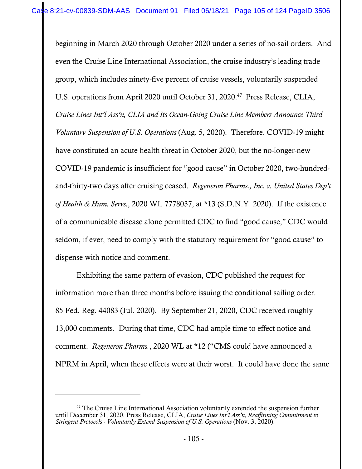beginning in March 2020 through October 2020 under a series of no-sail orders. And even the Cruise Line International Association, the cruise industry's leading trade group, which includes ninety-five percent of cruise vessels, voluntarily suspended U.S. operations from April 2020 until October 31, 2020.<sup>47</sup> Press Release, CLIA, *Cruise Lines Int'l Ass'n, CLIA and Its Ocean-Going Cruise Line Members Announce Third Voluntary Suspension of U.S. Operations* (Aug. 5, 2020). Therefore, COVID-19 might have constituted an acute health threat in October 2020, but the no-longer-new COVID-19 pandemic is insufficient for "good cause" in October 2020, two-hundredand-thirty-two days after cruising ceased. *Regeneron Pharms., Inc. v. United States Dep't of Health & Hum. Servs.*, 2020 WL 7778037, at \*13 (S.D.N.Y. 2020). If the existence of a communicable disease alone permitted CDC to find "good cause," CDC would seldom, if ever, need to comply with the statutory requirement for "good cause" to dispense with notice and comment.

Exhibiting the same pattern of evasion, CDC published the request for information more than three months before issuing the conditional sailing order. 85 Fed. Reg. 44083 (Jul. 2020). By September 21, 2020, CDC received roughly 13,000 comments. During that time, CDC had ample time to effect notice and comment. *Regeneron Pharms.*, 2020 WL at \*12 ("CMS could have announced a NPRM in April, when these effects were at their worst. It could have done the same

 $47$  The Cruise Line International Association voluntarily extended the suspension further until December 31, 2020. Press Release, CLIA, *Cruise Lines Int'l Ass'n, Reaffirming Commitment to Stringent Protocols - Voluntarily Extend Suspension of U.S. Operations* (Nov. 3, 2020).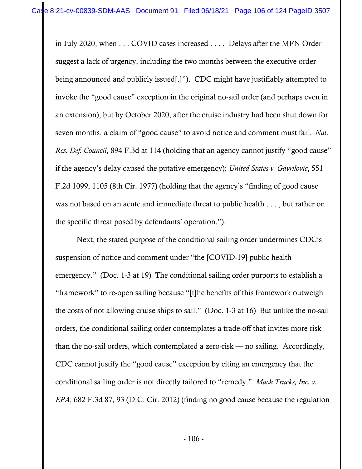in July 2020, when . . . COVID cases increased . . . . Delays after the MFN Order suggest a lack of urgency, including the two months between the executive order being announced and publicly issued[.]"). CDC might have justifiably attempted to invoke the "good cause" exception in the original no-sail order (and perhaps even in an extension), but by October 2020, after the cruise industry had been shut down for seven months, a claim of "good cause" to avoid notice and comment must fail. *Nat. Res. Def. Council*, 894 F.3d at 114 (holding that an agency cannot justify "good cause" if the agency's delay caused the putative emergency); *United States v. Gavrilovic*, 551 F.2d 1099, 1105 (8th Cir. 1977) (holding that the agency's "finding of good cause was not based on an acute and immediate threat to public health . . . , but rather on the specific threat posed by defendants' operation.").

Next, the stated purpose of the conditional sailing order undermines CDC's suspension of notice and comment under "the [COVID-19] public health emergency." (Doc. 1-3 at 19) The conditional sailing order purports to establish a "framework" to re-open sailing because "[t]he benefits of this framework outweigh the costs of not allowing cruise ships to sail." (Doc. 1-3 at 16) But unlike the no-sail orders, the conditional sailing order contemplates a trade-off that invites more risk than the no-sail orders, which contemplated a zero-risk — no sailing. Accordingly, CDC cannot justify the "good cause" exception by citing an emergency that the conditional sailing order is not directly tailored to "remedy." *Mack Trucks, Inc. v. EPA*, 682 F.3d 87, 93 (D.C. Cir. 2012) (finding no good cause because the regulation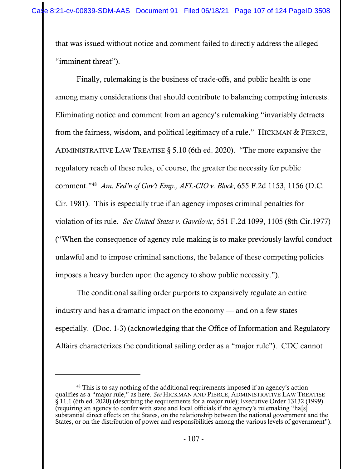that was issued without notice and comment failed to directly address the alleged "imminent threat").

Finally, rulemaking is the business of trade-offs, and public health is one among many considerations that should contribute to balancing competing interests. Eliminating notice and comment from an agency's rulemaking "invariably detracts from the fairness, wisdom, and political legitimacy of a rule." HICKMAN & PIERCE, ADMINISTRATIVE LAW TREATISE § 5.10 (6th ed. 2020). "The more expansive the regulatory reach of these rules, of course, the greater the necessity for public comment."48 *Am. Fed'n of Gov't Emp., AFL-CIO v. Block*, 655 F.2d 1153, 1156 (D.C. Cir. 1981). This is especially true if an agency imposes criminal penalties for violation of its rule. *See United States v. Gavrilovic*, 551 F.2d 1099, 1105 (8th Cir.1977) ("When the consequence of agency rule making is to make previously lawful conduct unlawful and to impose criminal sanctions, the balance of these competing policies imposes a heavy burden upon the agency to show public necessity.").

The conditional sailing order purports to expansively regulate an entire industry and has a dramatic impact on the economy — and on a few states especially. (Doc. 1-3) (acknowledging that the Office of Information and Regulatory Affairs characterizes the conditional sailing order as a "major rule"). CDC cannot

<sup>&</sup>lt;sup>48</sup> This is to say nothing of the additional requirements imposed if an agency's action qualifies as a "major rule," as here. *See* HICKMAN AND PIERCE, ADMINISTRATIVE LAW TREATISE  $\hat{\S}$  11.1 (6th ed. 2020) (describing the requirements for a major rule); Executive Order 13132 (1999) (requiring an agency to confer with state and local officials if the agency's rulemaking "ha[s] substantial direct effects on the States, on the relationship between the national government and the States, or on the distribution of power and responsibilities among the various levels of government").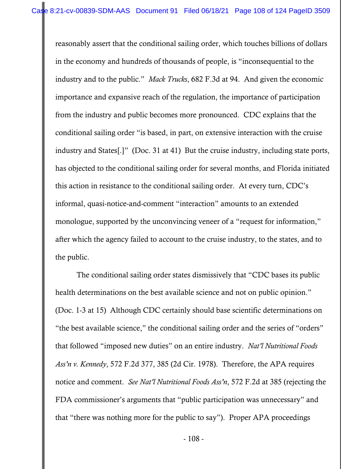reasonably assert that the conditional sailing order, which touches billions of dollars in the economy and hundreds of thousands of people, is "inconsequential to the industry and to the public." *Mack Trucks*, 682 F.3d at 94. And given the economic importance and expansive reach of the regulation, the importance of participation from the industry and public becomes more pronounced. CDC explains that the conditional sailing order "is based, in part, on extensive interaction with the cruise industry and States[.]" (Doc. 31 at 41) But the cruise industry, including state ports, has objected to the conditional sailing order for several months, and Florida initiated this action in resistance to the conditional sailing order. At every turn, CDC's informal, quasi-notice-and-comment "interaction" amounts to an extended monologue, supported by the unconvincing veneer of a "request for information," after which the agency failed to account to the cruise industry, to the states, and to the public.

The conditional sailing order states dismissively that "CDC bases its public health determinations on the best available science and not on public opinion." (Doc. 1-3 at 15) Although CDC certainly should base scientific determinations on "the best available science," the conditional sailing order and the series of "orders" that followed "imposed new duties" on an entire industry. *Nat'l Nutritional Foods Ass'n v. Kennedy*, 572 F.2d 377, 385 (2d Cir. 1978). Therefore, the APA requires notice and comment. *See Nat'l Nutritional Foods Ass'n*, 572 F.2d at 385 (rejecting the FDA commissioner's arguments that "public participation was unnecessary" and that "there was nothing more for the public to say"). Proper APA proceedings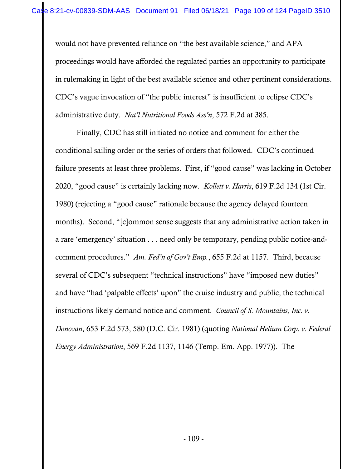would not have prevented reliance on "the best available science," and APA proceedings would have afforded the regulated parties an opportunity to participate in rulemaking in light of the best available science and other pertinent considerations. CDC's vague invocation of "the public interest" is insufficient to eclipse CDC's administrative duty. *Nat'l Nutritional Foods Ass'n*, 572 F.2d at 385.

Finally, CDC has still initiated no notice and comment for either the conditional sailing order or the series of orders that followed. CDC's continued failure presents at least three problems. First, if "good cause" was lacking in October 2020, "good cause" is certainly lacking now. *Kollett v. Harris*, 619 F.2d 134 (1st Cir. 1980) (rejecting a "good cause" rationale because the agency delayed fourteen months). Second, "[c]ommon sense suggests that any administrative action taken in a rare 'emergency' situation . . . need only be temporary, pending public notice-andcomment procedures." *Am. Fed'n of Gov't Emp.*, 655 F.2d at 1157. Third, because several of CDC's subsequent "technical instructions" have "imposed new duties" and have "had 'palpable effects' upon" the cruise industry and public, the technical instructions likely demand notice and comment. *Council of S. Mountains, Inc. v. Donovan*, 653 F.2d 573, 580 (D.C. Cir. 1981) (quoting *National Helium Corp. v. Federal Energy Administration*, 569 F.2d 1137, 1146 (Temp. Em. App. 1977)). The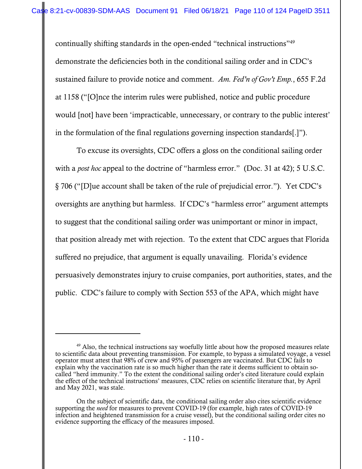continually shifting standards in the open-ended "technical instructions"49 demonstrate the deficiencies both in the conditional sailing order and in CDC's sustained failure to provide notice and comment. *Am. Fed'n of Gov't Emp.*, 655 F.2d at 1158 ("[O]nce the interim rules were published, notice and public procedure would [not] have been 'impracticable, unnecessary, or contrary to the public interest' in the formulation of the final regulations governing inspection standards[.]").

To excuse its oversights, CDC offers a gloss on the conditional sailing order with a *post hoc* appeal to the doctrine of "harmless error." (Doc. 31 at 42); 5 U.S.C. § 706 ("[D]ue account shall be taken of the rule of prejudicial error."). Yet CDC's oversights are anything but harmless. If CDC's "harmless error" argument attempts to suggest that the conditional sailing order was unimportant or minor in impact, that position already met with rejection. To the extent that CDC argues that Florida suffered no prejudice, that argument is equally unavailing. Florida's evidence persuasively demonstrates injury to cruise companies, port authorities, states, and the public. CDC's failure to comply with Section 553 of the APA, which might have

 $49$  Also, the technical instructions say woefully little about how the proposed measures relate to scientific data about preventing transmission. For example, to bypass a simulated voyage, a vessel operator must attest that 98% of crew and 95% of passengers are vaccinated. But CDC fails to explain why the vaccination rate is so much higher than the rate it deems sufficient to obtain socalled "herd immunity." To the extent the conditional sailing order's cited literature could explain the effect of the technical instructions' measures, CDC relies on scientific literature that, by April and May 2021, was stale.

On the subject of scientific data, the conditional sailing order also cites scientific evidence supporting the *need* for measures to prevent COVID-19 (for example, high rates of COVID-19 infection and heightened transmission for a cruise vessel), but the conditional sailing order cites no evidence supporting the efficacy of the measures imposed.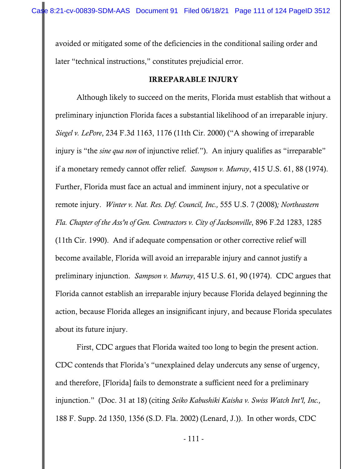avoided or mitigated some of the deficiencies in the conditional sailing order and later "technical instructions," constitutes prejudicial error.

## IRREPARABLE INJURY

Although likely to succeed on the merits, Florida must establish that without a preliminary injunction Florida faces a substantial likelihood of an irreparable injury. *Siegel v. LePore*, 234 F.3d 1163, 1176 (11th Cir. 2000) ("A showing of irreparable injury is "the *sine qua non* of injunctive relief."). An injury qualifies as "irreparable" if a monetary remedy cannot offer relief. *Sampson v. Murray*, 415 U.S. 61, 88 (1974). Further, Florida must face an actual and imminent injury, not a speculative or remote injury. *Winter v. Nat. Res. Def. Council, Inc.,* 555 U.S. 7 (2008)*; Northeastern Fla. Chapter of the Ass'n of Gen. Contractors v. City of Jacksonville*, 896 F.2d 1283, 1285 (11th Cir. 1990). And if adequate compensation or other corrective relief will become available, Florida will avoid an irreparable injury and cannot justify a preliminary injunction. *Sampson v. Murray*, 415 U.S. 61, 90 (1974). CDC argues that Florida cannot establish an irreparable injury because Florida delayed beginning the action, because Florida alleges an insignificant injury, and because Florida speculates about its future injury.

 First, CDC argues that Florida waited too long to begin the present action. CDC contends that Florida's "unexplained delay undercuts any sense of urgency, and therefore, [Florida] fails to demonstrate a sufficient need for a preliminary injunction." (Doc. 31 at 18) (citing *Seiko Kabushiki Kaisha v. Swiss Watch Int'l, Inc.,*  188 F. Supp. 2d 1350, 1356 (S.D. Fla. 2002) (Lenard, J.)). In other words, CDC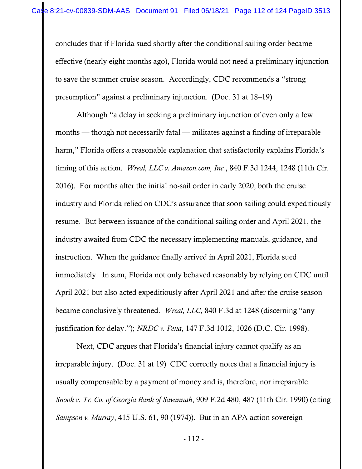concludes that if Florida sued shortly after the conditional sailing order became effective (nearly eight months ago), Florida would not need a preliminary injunction to save the summer cruise season. Accordingly, CDC recommends a "strong presumption" against a preliminary injunction. (Doc. 31 at 18–19)

 Although "a delay in seeking a preliminary injunction of even only a few months — though not necessarily fatal — militates against a finding of irreparable harm," Florida offers a reasonable explanation that satisfactorily explains Florida's timing of this action. *Wreal, LLC v. Amazon.com, Inc.*, 840 F.3d 1244, 1248 (11th Cir. 2016). For months after the initial no-sail order in early 2020, both the cruise industry and Florida relied on CDC's assurance that soon sailing could expeditiously resume. But between issuance of the conditional sailing order and April 2021, the industry awaited from CDC the necessary implementing manuals, guidance, and instruction. When the guidance finally arrived in April 2021, Florida sued immediately. In sum, Florida not only behaved reasonably by relying on CDC until April 2021 but also acted expeditiously after April 2021 and after the cruise season became conclusively threatened. *Wreal, LLC*, 840 F.3d at 1248 (discerning "any justification for delay."); *NRDC v. Pena*, 147 F.3d 1012, 1026 (D.C. Cir. 1998).

Next, CDC argues that Florida's financial injury cannot qualify as an irreparable injury. (Doc. 31 at 19) CDC correctly notes that a financial injury is usually compensable by a payment of money and is, therefore, nor irreparable. *Snook v. Tr. Co. of Georgia Bank of Savannah*, 909 F.2d 480, 487 (11th Cir. 1990) (citing *Sampson v. Murray*, 415 U.S. 61, 90 (1974)). But in an APA action sovereign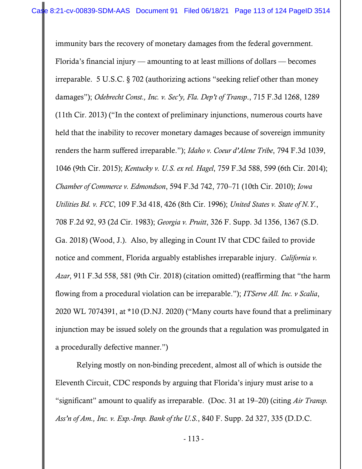immunity bars the recovery of monetary damages from the federal government. Florida's financial injury — amounting to at least millions of dollars — becomes irreparable. 5 U.S.C. § 702 (authorizing actions "seeking relief other than money damages"); *Odebrecht Const., Inc. v. Sec'y, Fla. Dep't of Transp*., 715 F.3d 1268, 1289 (11th Cir. 2013) ("In the context of preliminary injunctions, numerous courts have held that the inability to recover monetary damages because of sovereign immunity renders the harm suffered irreparable."); *Idaho v. Coeur d'Alene Tribe*, 794 F.3d 1039, 1046 (9th Cir. 2015); *Kentucky v. U.S. ex rel. Hagel*, 759 F.3d 588, 599 (6th Cir. 2014); *Chamber of Commerce v. Edmondson*, 594 F.3d 742, 770–71 (10th Cir. 2010); *Iowa Utilities Bd. v. FCC*, 109 F.3d 418, 426 (8th Cir. 1996); *United States v. State of N.Y.*, 708 F.2d 92, 93 (2d Cir. 1983); *Georgia v. Pruitt*, 326 F. Supp. 3d 1356, 1367 (S.D. Ga. 2018) (Wood, J.). Also, by alleging in Count IV that CDC failed to provide notice and comment, Florida arguably establishes irreparable injury. *California v. Azar*, 911 F.3d 558, 581 (9th Cir. 2018) (citation omitted) (reaffirming that "the harm flowing from a procedural violation can be irreparable."); *ITServe All. Inc. v Scalia*, 2020 WL 7074391, at \*10 (D.NJ. 2020) ("Many courts have found that a preliminary injunction may be issued solely on the grounds that a regulation was promulgated in a procedurally defective manner.")

Relying mostly on non-binding precedent, almost all of which is outside the Eleventh Circuit, CDC responds by arguing that Florida's injury must arise to a "significant" amount to qualify as irreparable. (Doc. 31 at 19–20) (citing *Air Transp. Ass'n of Am., Inc. v. Exp.-Imp. Bank of the U.S.*, 840 F. Supp. 2d 327, 335 (D.D.C.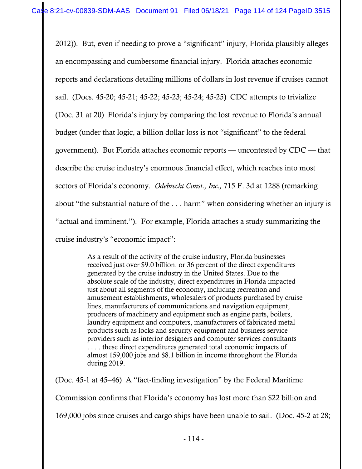2012)). But, even if needing to prove a "significant" injury, Florida plausibly alleges an encompassing and cumbersome financial injury. Florida attaches economic reports and declarations detailing millions of dollars in lost revenue if cruises cannot sail. (Docs. 45-20; 45-21; 45-22; 45-23; 45-24; 45-25) CDC attempts to trivialize (Doc. 31 at 20) Florida's injury by comparing the lost revenue to Florida's annual budget (under that logic, a billion dollar loss is not "significant" to the federal government). But Florida attaches economic reports — uncontested by CDC — that describe the cruise industry's enormous financial effect, which reaches into most sectors of Florida's economy. *Odebrecht Const., Inc.,* 715 F. 3d at 1288 (remarking about "the substantial nature of the . . . harm" when considering whether an injury is "actual and imminent."). For example, Florida attaches a study summarizing the cruise industry's "economic impact":

> As a result of the activity of the cruise industry, Florida businesses received just over \$9.0 billion, or 36 percent of the direct expenditures generated by the cruise industry in the United States. Due to the absolute scale of the industry, direct expenditures in Florida impacted just about all segments of the economy, including recreation and amusement establishments, wholesalers of products purchased by cruise lines, manufacturers of communications and navigation equipment, producers of machinery and equipment such as engine parts, boilers, laundry equipment and computers, manufacturers of fabricated metal products such as locks and security equipment and business service providers such as interior designers and computer services consultants . . . . these direct expenditures generated total economic impacts of almost 159,000 jobs and \$8.1 billion in income throughout the Florida during 2019.

(Doc. 45-1 at 45–46) A "fact-finding investigation" by the Federal Maritime Commission confirms that Florida's economy has lost more than \$22 billion and 169,000 jobs since cruises and cargo ships have been unable to sail. (Doc. 45-2 at 28;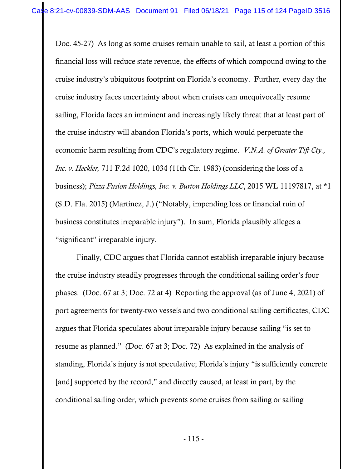Doc. 45-27) As long as some cruises remain unable to sail, at least a portion of this financial loss will reduce state revenue, the effects of which compound owing to the cruise industry's ubiquitous footprint on Florida's economy. Further, every day the cruise industry faces uncertainty about when cruises can unequivocally resume sailing, Florida faces an imminent and increasingly likely threat that at least part of the cruise industry will abandon Florida's ports, which would perpetuate the economic harm resulting from CDC's regulatory regime. *V.N.A. of Greater Tift Cty., Inc. v. Heckler,* 711 F.2d 1020, 1034 (11th Cir. 1983) (considering the loss of a business); *Pizza Fusion Holdings, Inc. v. Burton Holdings LLC*, 2015 WL 11197817, at \*1 (S.D. Fla. 2015) (Martinez, J.) ("Notably, impending loss or financial ruin of business constitutes irreparable injury"). In sum, Florida plausibly alleges a "significant" irreparable injury.

 Finally, CDC argues that Florida cannot establish irreparable injury because the cruise industry steadily progresses through the conditional sailing order's four phases. (Doc. 67 at 3; Doc. 72 at 4) Reporting the approval (as of June 4, 2021) of port agreements for twenty-two vessels and two conditional sailing certificates, CDC argues that Florida speculates about irreparable injury because sailing "is set to resume as planned." (Doc. 67 at 3; Doc. 72) As explained in the analysis of standing, Florida's injury is not speculative; Florida's injury "is sufficiently concrete [and] supported by the record," and directly caused, at least in part, by the conditional sailing order, which prevents some cruises from sailing or sailing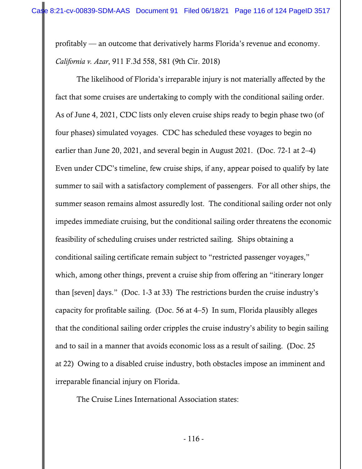profitably — an outcome that derivatively harms Florida's revenue and economy. *California v. Azar*, 911 F.3d 558, 581 (9th Cir. 2018)

The likelihood of Florida's irreparable injury is not materially affected by the fact that some cruises are undertaking to comply with the conditional sailing order. As of June 4, 2021, CDC lists only eleven cruise ships ready to begin phase two (of four phases) simulated voyages. CDC has scheduled these voyages to begin no earlier than June 20, 2021, and several begin in August 2021. (Doc. 72-1 at 2–4) Even under CDC's timeline, few cruise ships, if any, appear poised to qualify by late summer to sail with a satisfactory complement of passengers. For all other ships, the summer season remains almost assuredly lost. The conditional sailing order not only impedes immediate cruising, but the conditional sailing order threatens the economic feasibility of scheduling cruises under restricted sailing. Ships obtaining a conditional sailing certificate remain subject to "restricted passenger voyages," which, among other things, prevent a cruise ship from offering an "itinerary longer than [seven] days." (Doc. 1-3 at 33) The restrictions burden the cruise industry's capacity for profitable sailing. (Doc. 56 at 4–5) In sum, Florida plausibly alleges that the conditional sailing order cripples the cruise industry's ability to begin sailing and to sail in a manner that avoids economic loss as a result of sailing. (Doc. 25 at 22) Owing to a disabled cruise industry, both obstacles impose an imminent and irreparable financial injury on Florida.

The Cruise Lines International Association states: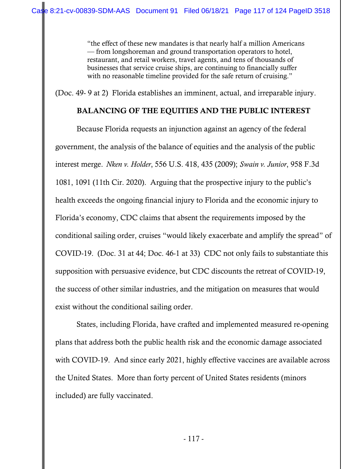"the effect of these new mandates is that nearly half a million Americans — from longshoreman and ground transportation operators to hotel, restaurant, and retail workers, travel agents, and tens of thousands of businesses that service cruise ships, are continuing to financially suffer with no reasonable timeline provided for the safe return of cruising."

(Doc. 49- 9 at 2) Florida establishes an imminent, actual, and irreparable injury.

## BALANCING OF THE EQUITIES AND THE PUBLIC INTEREST

Because Florida requests an injunction against an agency of the federal government, the analysis of the balance of equities and the analysis of the public interest merge. *Nken v. Holder*, 556 U.S. 418, 435 (2009); *Swain v. Junior*, 958 F.3d 1081, 1091 (11th Cir. 2020). Arguing that the prospective injury to the public's health exceeds the ongoing financial injury to Florida and the economic injury to Florida's economy, CDC claims that absent the requirements imposed by the conditional sailing order, cruises "would likely exacerbate and amplify the spread" of COVID-19. (Doc. 31 at 44; Doc. 46-1 at 33) CDC not only fails to substantiate this supposition with persuasive evidence, but CDC discounts the retreat of COVID-19, the success of other similar industries, and the mitigation on measures that would exist without the conditional sailing order.

States, including Florida, have crafted and implemented measured re-opening plans that address both the public health risk and the economic damage associated with COVID-19. And since early 2021, highly effective vaccines are available across the United States. More than forty percent of United States residents (minors included) are fully vaccinated.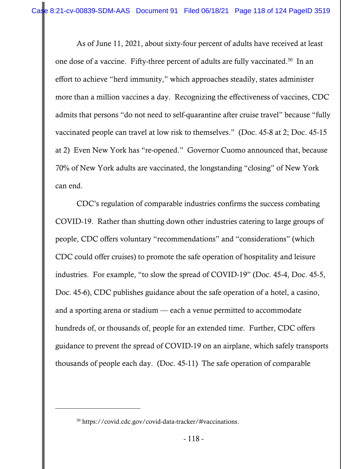As of June 11, 2021, about sixty-four percent of adults have received at least one dose of a vaccine. Fifty-three percent of adults are fully vaccinated.50 In an effort to achieve "herd immunity," which approaches steadily, states administer more than a million vaccines a day. Recognizing the effectiveness of vaccines, CDC admits that persons "do not need to self-quarantine after cruise travel" because "fully vaccinated people can travel at low risk to themselves." (Doc. 45-8 at 2; Doc. 45-15 at 2) Even New York has "re-opened." Governor Cuomo announced that, because 70% of New York adults are vaccinated, the longstanding "closing" of New York can end.

 CDC's regulation of comparable industries confirms the success combating COVID-19. Rather than shutting down other industries catering to large groups of people, CDC offers voluntary "recommendations" and "considerations" (which CDC could offer cruises) to promote the safe operation of hospitality and leisure industries. For example, "to slow the spread of COVID-19" (Doc. 45-4, Doc. 45-5, Doc. 45-6), CDC publishes guidance about the safe operation of a hotel, a casino, and a sporting arena or stadium — each a venue permitted to accommodate hundreds of, or thousands of, people for an extended time. Further, CDC offers guidance to prevent the spread of COVID-19 on an airplane, which safely transports thousands of people each day. (Doc. 45-11) The safe operation of comparable

<sup>50</sup> https://covid.cdc.gov/covid-data-tracker/#vaccinations.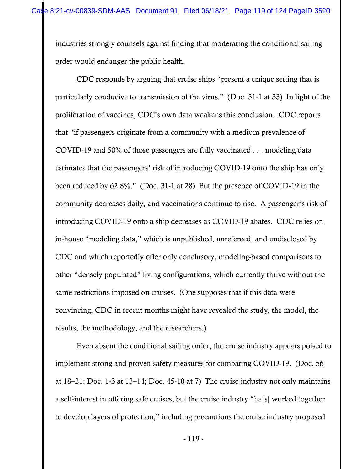industries strongly counsels against finding that moderating the conditional sailing order would endanger the public health.

CDC responds by arguing that cruise ships "present a unique setting that is particularly conducive to transmission of the virus." (Doc. 31-1 at 33) In light of the proliferation of vaccines, CDC's own data weakens this conclusion. CDC reports that "if passengers originate from a community with a medium prevalence of COVID-19 and 50% of those passengers are fully vaccinated . . . modeling data estimates that the passengers' risk of introducing COVID-19 onto the ship has only been reduced by 62.8%." (Doc. 31-1 at 28) But the presence of COVID-19 in the community decreases daily, and vaccinations continue to rise. A passenger's risk of introducing COVID-19 onto a ship decreases as COVID-19 abates. CDC relies on in-house "modeling data," which is unpublished, unrefereed, and undisclosed by CDC and which reportedly offer only conclusory, modeling-based comparisons to other "densely populated" living configurations, which currently thrive without the same restrictions imposed on cruises. (One supposes that if this data were convincing, CDC in recent months might have revealed the study, the model, the results, the methodology, and the researchers.)

 Even absent the conditional sailing order, the cruise industry appears poised to implement strong and proven safety measures for combating COVID-19. (Doc. 56 at 18–21; Doc. 1-3 at 13–14; Doc. 45-10 at 7) The cruise industry not only maintains a self-interest in offering safe cruises, but the cruise industry "ha[s] worked together to develop layers of protection," including precautions the cruise industry proposed

- 119 -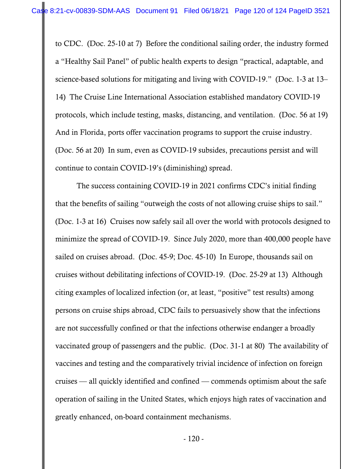to CDC. (Doc. 25-10 at 7) Before the conditional sailing order, the industry formed a "Healthy Sail Panel" of public health experts to design "practical, adaptable, and science-based solutions for mitigating and living with COVID-19." (Doc. 1-3 at 13– 14) The Cruise Line International Association established mandatory COVID-19 protocols, which include testing, masks, distancing, and ventilation. (Doc. 56 at 19) And in Florida, ports offer vaccination programs to support the cruise industry. (Doc. 56 at 20) In sum, even as COVID-19 subsides, precautions persist and will continue to contain COVID-19's (diminishing) spread.

The success containing COVID-19 in 2021 confirms CDC's initial finding that the benefits of sailing "outweigh the costs of not allowing cruise ships to sail." (Doc. 1-3 at 16) Cruises now safely sail all over the world with protocols designed to minimize the spread of COVID-19. Since July 2020, more than 400,000 people have sailed on cruises abroad. (Doc. 45-9; Doc. 45-10) In Europe, thousands sail on cruises without debilitating infections of COVID-19. (Doc. 25-29 at 13) Although citing examples of localized infection (or, at least, "positive" test results) among persons on cruise ships abroad, CDC fails to persuasively show that the infections are not successfully confined or that the infections otherwise endanger a broadly vaccinated group of passengers and the public. (Doc. 31-1 at 80) The availability of vaccines and testing and the comparatively trivial incidence of infection on foreign cruises — all quickly identified and confined — commends optimism about the safe operation of sailing in the United States, which enjoys high rates of vaccination and greatly enhanced, on-board containment mechanisms.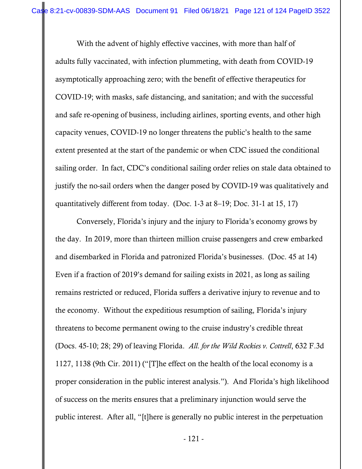With the advent of highly effective vaccines, with more than half of adults fully vaccinated, with infection plummeting, with death from COVID-19 asymptotically approaching zero; with the benefit of effective therapeutics for COVID-19; with masks, safe distancing, and sanitation; and with the successful and safe re-opening of business, including airlines, sporting events, and other high capacity venues, COVID-19 no longer threatens the public's health to the same extent presented at the start of the pandemic or when CDC issued the conditional sailing order. In fact, CDC's conditional sailing order relies on stale data obtained to justify the no-sail orders when the danger posed by COVID-19 was qualitatively and quantitatively different from today. (Doc. 1-3 at 8–19; Doc. 31-1 at 15, 17)

Conversely, Florida's injury and the injury to Florida's economy grows by the day. In 2019, more than thirteen million cruise passengers and crew embarked and disembarked in Florida and patronized Florida's businesses. (Doc. 45 at 14) Even if a fraction of 2019's demand for sailing exists in 2021, as long as sailing remains restricted or reduced, Florida suffers a derivative injury to revenue and to the economy. Without the expeditious resumption of sailing, Florida's injury threatens to become permanent owing to the cruise industry's credible threat (Docs. 45-10; 28; 29) of leaving Florida. *All. for the Wild Rockies v. Cottrell*, 632 F.3d 1127, 1138 (9th Cir. 2011) ("[T]he effect on the health of the local economy is a proper consideration in the public interest analysis."). And Florida's high likelihood of success on the merits ensures that a preliminary injunction would serve the public interest. After all, "[t]here is generally no public interest in the perpetuation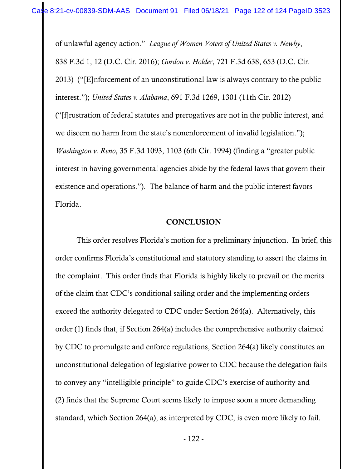of unlawful agency action." *League of Women Voters of United States v. Newby*, 838 F.3d 1, 12 (D.C. Cir. 2016); *Gordon v. Holde*r, 721 F.3d 638, 653 (D.C. Cir. 2013) ("[E]nforcement of an unconstitutional law is always contrary to the public interest."); *United States v. Alabama*, 691 F.3d 1269, 1301 (11th Cir. 2012) ("[f]rustration of federal statutes and prerogatives are not in the public interest, and we discern no harm from the state's nonenforcement of invalid legislation."); *Washington v. Reno*, 35 F.3d 1093, 1103 (6th Cir. 1994) (finding a "greater public interest in having governmental agencies abide by the federal laws that govern their existence and operations."). The balance of harm and the public interest favors Florida.

## **CONCLUSION**

This order resolves Florida's motion for a preliminary injunction. In brief, this order confirms Florida's constitutional and statutory standing to assert the claims in the complaint. This order finds that Florida is highly likely to prevail on the merits of the claim that CDC's conditional sailing order and the implementing orders exceed the authority delegated to CDC under Section 264(a). Alternatively, this order (1) finds that, if Section 264(a) includes the comprehensive authority claimed by CDC to promulgate and enforce regulations, Section 264(a) likely constitutes an unconstitutional delegation of legislative power to CDC because the delegation fails to convey any "intelligible principle" to guide CDC's exercise of authority and (2) finds that the Supreme Court seems likely to impose soon a more demanding standard, which Section 264(a), as interpreted by CDC, is even more likely to fail.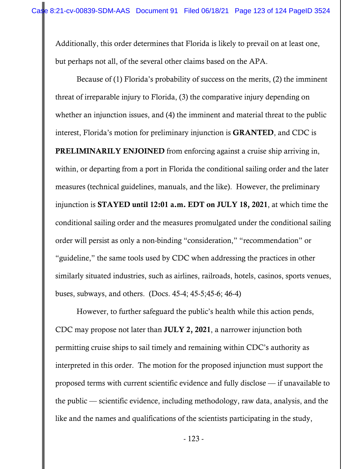Additionally, this order determines that Florida is likely to prevail on at least one, but perhaps not all, of the several other claims based on the APA.

Because of (1) Florida's probability of success on the merits, (2) the imminent threat of irreparable injury to Florida, (3) the comparative injury depending on whether an injunction issues, and (4) the imminent and material threat to the public interest, Florida's motion for preliminary injunction is GRANTED, and CDC is PRELIMINARILY ENJOINED from enforcing against a cruise ship arriving in, within, or departing from a port in Florida the conditional sailing order and the later measures (technical guidelines, manuals, and the like). However, the preliminary injunction is STAYED until 12:01 a.m. EDT on JULY 18, 2021, at which time the conditional sailing order and the measures promulgated under the conditional sailing order will persist as only a non-binding "consideration," "recommendation" or "guideline," the same tools used by CDC when addressing the practices in other similarly situated industries, such as airlines, railroads, hotels, casinos, sports venues, buses, subways, and others. (Docs. 45-4; 45-5;45-6; 46-4)

However, to further safeguard the public's health while this action pends, CDC may propose not later than JULY 2, 2021, a narrower injunction both permitting cruise ships to sail timely and remaining within CDC's authority as interpreted in this order. The motion for the proposed injunction must support the proposed terms with current scientific evidence and fully disclose — if unavailable to the public — scientific evidence, including methodology, raw data, analysis, and the like and the names and qualifications of the scientists participating in the study,